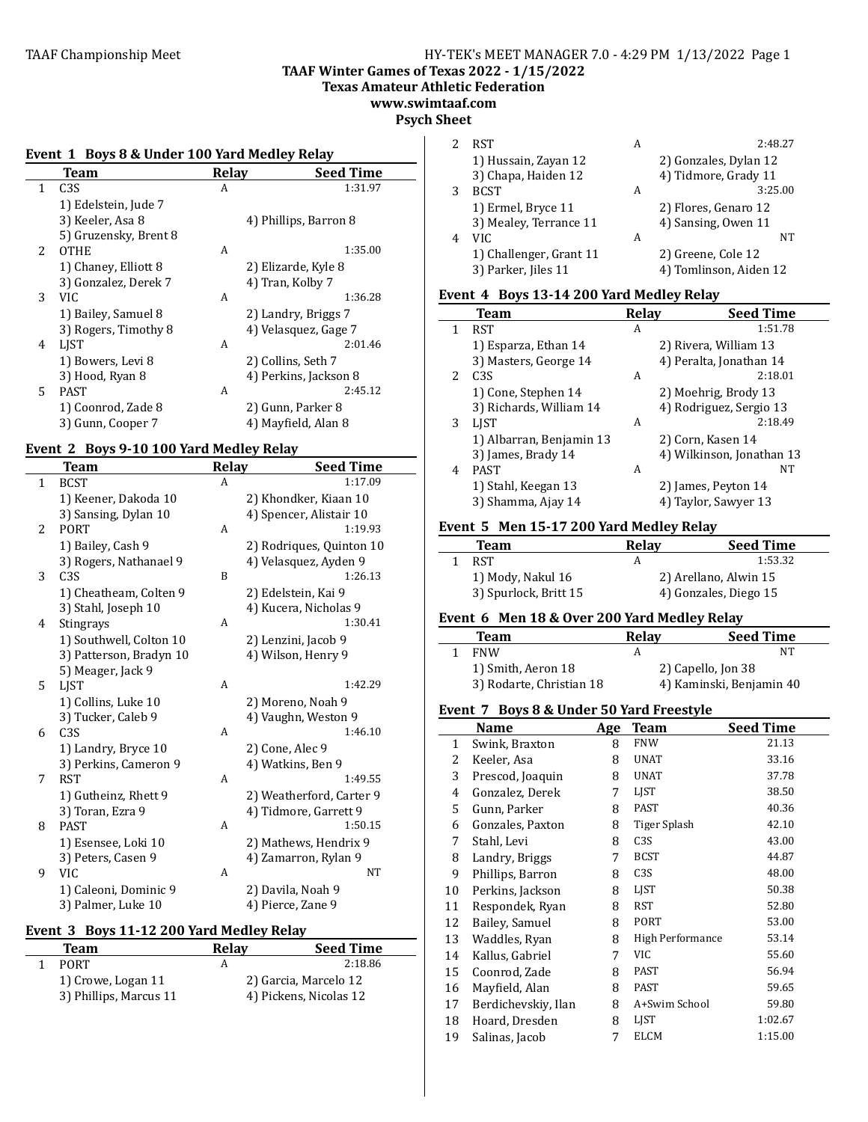### TAAF Championship Meet **HY-TEK's MEET MANAGER 7.0 - 4:29 PM 1/13/2022** Page 1 **TAAF Winter Games of Texas 2022 - 1/15/2022 Texas Amateur Athletic Federation**

**www.swimtaaf.com**

# **Psych Sheet**

 $\overline{a}$ 

#### Event 1 Boys 8 & Under 100 Yard Medley Relay **Team Relay Seed Time**<br>C3S **A** 1:31.97 1 C3S 1) Edelstein, Jude 7 3) Keeler, Asa 8 4) Phillips, Barron 8 5) Gruzensky, Brent 8 2 OTHE A 1:35.00 1) Chaney, Elliott 8 2) Elizarde, Kyle 8 3) Gonzalez, Derek 7 4) Tran, Kolby 7<br>VIC 3 VIC A 1:36.28 1) Bailey, Samuel 8 2) Landry, Briggs 7 3) Rogers, Timothy 8 4) Velasquez, Gage 7 4 LJST A 2:01.46 1) Bowers, Levi 8 2) Collins, Seth 7<br>3) Hood, Ryan 8 4) Perkins, Jackson 4) Perkins, Jackson 8  $2:45.12$ 5 PAST A 1) Coonrod, Zade 8 2) Gunn, Parker 8 3) Gunn, Cooper 7 4) Mayfield, Alan 8

# Event 2 Boys 9-10 100 Yard Medley Relay

|              | <b>Team</b>             | <b>Relay</b> | <b>Seed Time</b>         |
|--------------|-------------------------|--------------|--------------------------|
| $\mathbf{1}$ | <b>BCST</b>             | A            | 1:17.09                  |
|              | 1) Keener, Dakoda 10    |              | 2) Khondker, Kiaan 10    |
|              | 3) Sansing, Dylan 10    |              | 4) Spencer, Alistair 10  |
| 2            | <b>PORT</b>             | A            | 1:19.93                  |
|              | 1) Bailey, Cash 9       |              | 2) Rodriques, Quinton 10 |
|              | 3) Rogers, Nathanael 9  |              | 4) Velasquez, Ayden 9    |
| 3            | C <sub>3</sub> S        | B            | 1:26.13                  |
|              | 1) Cheatheam, Colten 9  |              | 2) Edelstein, Kai 9      |
|              | 3) Stahl, Joseph 10     |              | 4) Kucera, Nicholas 9    |
| 4            | <b>Stingrays</b>        | A            | 1:30.41                  |
|              | 1) Southwell, Colton 10 |              | 2) Lenzini, Jacob 9      |
|              | 3) Patterson, Bradyn 10 |              | 4) Wilson, Henry 9       |
|              | 5) Meager, Jack 9       |              |                          |
| 5.           | <b>LIST</b>             | A            | 1:42.29                  |
|              | 1) Collins, Luke 10     |              | 2) Moreno, Noah 9        |
|              | 3) Tucker, Caleb 9      |              | 4) Vaughn, Weston 9      |
| 6            | C <sub>3</sub> S        | A            | 1:46.10                  |
|              | 1) Landry, Bryce 10     |              | 2) Cone, Alec 9          |
|              | 3) Perkins, Cameron 9   |              | 4) Watkins, Ben 9        |
| 7            | <b>RST</b>              | A            | 1:49.55                  |
|              | 1) Gutheinz, Rhett 9    |              | 2) Weatherford, Carter 9 |
|              | 3) Toran, Ezra 9        |              | 4) Tidmore, Garrett 9    |
| 8            | <b>PAST</b>             | A            | 1:50.15                  |
|              | 1) Esensee, Loki 10     |              | 2) Mathews, Hendrix 9    |
|              | 3) Peters, Casen 9      |              | 4) Zamarron, Rylan 9     |
| 9            | <b>VIC</b>              | A            | NT                       |
|              | 1) Caleoni, Dominic 9   |              | 2) Davila, Noah 9        |
|              | 3) Palmer, Luke 10      |              | 4) Pierce, Zane 9        |

#### Event 3 Boys 11-12 200 Yard Medley Relay

| <b>Team</b>            | Relav | <b>Seed Time</b>       |
|------------------------|-------|------------------------|
| PORT.                  | А     | 2:18.86                |
| 1) Crowe, Logan 11     |       | 2) Garcia, Marcelo 12  |
| 3) Phillips, Marcus 11 |       | 4) Pickens, Nicolas 12 |

|   | <b>RST</b>              | А | 2:48.27                |
|---|-------------------------|---|------------------------|
|   | 1) Hussain, Zayan 12    |   | 2) Gonzales, Dylan 12  |
|   | 3) Chapa, Haiden 12     |   | 4) Tidmore, Grady 11   |
| 3 | <b>BCST</b>             | А | 3:25.00                |
|   | 1) Ermel, Bryce 11      |   | 2) Flores, Genaro 12   |
|   | 3) Mealey, Terrance 11  |   | 4) Sansing, Owen 11    |
| 4 | VIC.                    | А | NT                     |
|   | 1) Challenger, Grant 11 |   | 2) Greene, Cole 12     |
|   | 3) Parker, Jiles 11     |   | 4) Tomlinson, Aiden 12 |

#### Event 4 Boys 13-14 200 Yard Medley Relay

|   | Team                     | Relay | <b>Seed Time</b>          |
|---|--------------------------|-------|---------------------------|
| 1 | <b>RST</b>               | А     | 1:51.78                   |
|   | 1) Esparza, Ethan 14     |       | 2) Rivera, William 13     |
|   | 3) Masters, George 14    |       | 4) Peralta, Jonathan 14   |
| 2 | C <sub>3</sub> S         | A     | 2:18.01                   |
|   | 1) Cone, Stephen 14      |       | 2) Moehrig, Brody 13      |
|   | 3) Richards, William 14  |       | 4) Rodriguez, Sergio 13   |
| 3 | LIST                     | A     | 2:18.49                   |
|   | 1) Albarran, Benjamin 13 |       | 2) Corn, Kasen 14         |
|   | 3) James, Brady 14       |       | 4) Wilkinson, Jonathan 13 |
| 4 | <b>PAST</b>              | A     | NT                        |
|   | 1) Stahl, Keegan 13      |       | 2) James, Peyton 14       |
|   | 3) Shamma, Ajay 14       |       | 4) Taylor, Sawyer 13      |

#### **Event 5 Men 15-17 200 Yard Medley Relay**

| Team                  | Relav | <b>Seed Time</b>      |
|-----------------------|-------|-----------------------|
| <b>RST</b>            |       | 1:53.32               |
| 1) Mody, Nakul 16     |       | 2) Arellano, Alwin 15 |
| 3) Spurlock, Britt 15 |       | 4) Gonzales, Diego 15 |

#### **Event 6 Men 18 & Over 200 Yard Medley Relay**

| Team                     | Relay | <b>Seed Time</b>         |
|--------------------------|-------|--------------------------|
| <b>FNW</b>               |       | NΤ                       |
| 1) Smith, Aeron 18       |       | 2) Capello, Jon 38       |
| 3) Rodarte, Christian 18 |       | 4) Kaminski, Benjamin 40 |

#### Event 7 Boys 8 & Under 50 Yard Freestyle

|              | Name                | Age | <b>Team</b>      | <b>Seed Time</b> |
|--------------|---------------------|-----|------------------|------------------|
| $\mathbf{1}$ | Swink, Braxton      | 8   | <b>FNW</b>       | 21.13            |
| 2            | Keeler, Asa         | 8   | <b>UNAT</b>      | 33.16            |
| 3            | Prescod, Joaquin    | 8   | UNAT             | 37.78            |
| 4            | Gonzalez, Derek     | 7   | <b>LIST</b>      | 38.50            |
| 5            | Gunn, Parker        | 8   | PAST             | 40.36            |
| 6            | Gonzales, Paxton    | 8   | Tiger Splash     | 42.10            |
| 7            | Stahl, Levi         | 8   | C <sub>3</sub> S | 43.00            |
| 8            | Landry, Briggs      | 7   | <b>BCST</b>      | 44.87            |
| 9            | Phillips, Barron    | 8   | C <sub>3</sub> S | 48.00            |
| 10           | Perkins, Jackson    | 8   | <b>LIST</b>      | 50.38            |
| 11           | Respondek, Ryan     | 8   | <b>RST</b>       | 52.80            |
| 12           | Bailey, Samuel      | 8   | PORT             | 53.00            |
| 13           | Waddles, Ryan       | 8   | High Performance | 53.14            |
| 14           | Kallus, Gabriel     | 7   | VIC              | 55.60            |
| 15           | Coonrod, Zade       | 8   | PAST             | 56.94            |
| 16           | Mayfield, Alan      | 8   | PAST             | 59.65            |
| 17           | Berdichevskiy, Ilan | 8   | A+Swim School    | 59.80            |
| 18           | Hoard, Dresden      | 8   | <b>LIST</b>      | 1:02.67          |
| 19           | Salinas, Jacob      | 7   | <b>ELCM</b>      | 1:15.00          |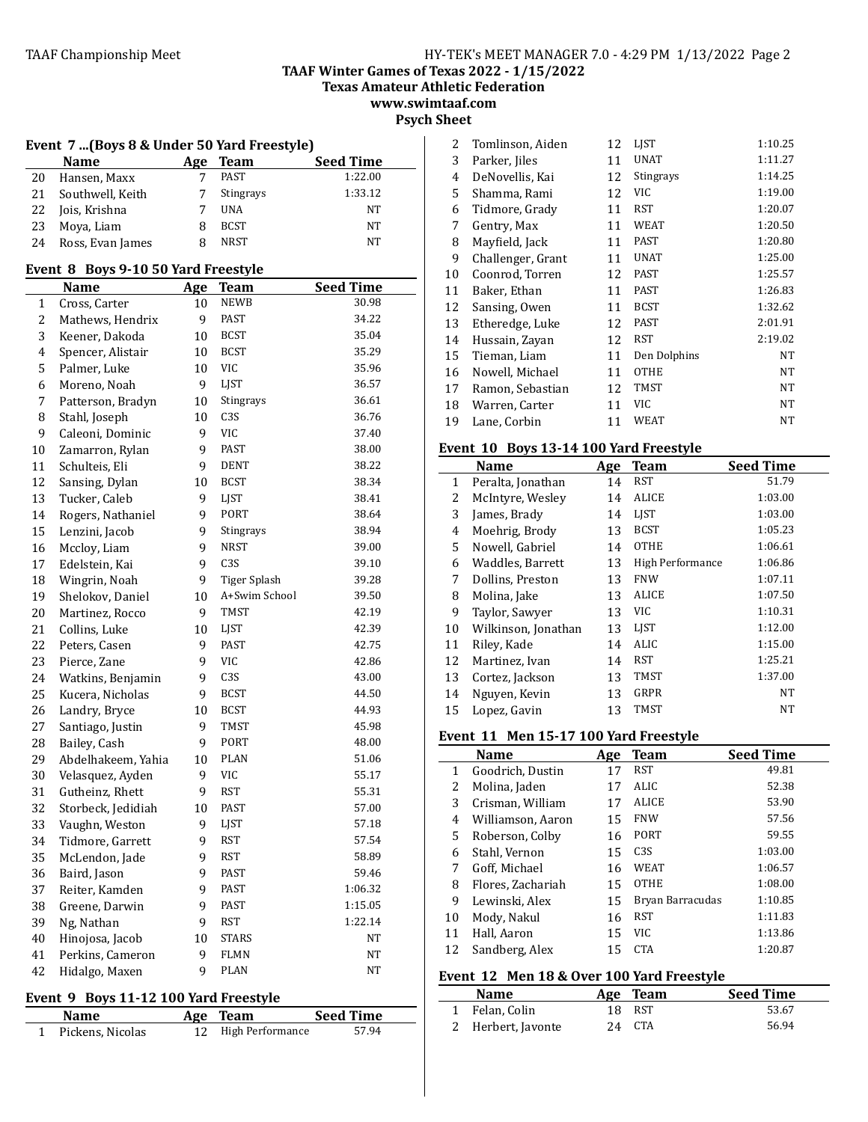**Texas Amateur Athletic Federation**

**www.swimtaaf.com Psych Sheet**

|  |  |  | Event  7 (Boys 8 & Under 50 Yard Freestyle) |
|--|--|--|---------------------------------------------|
|--|--|--|---------------------------------------------|

|    | <b>Name</b>      | Age | Team             | <b>Seed Time</b> |
|----|------------------|-----|------------------|------------------|
| 20 | Hansen, Maxx     |     | PAST             | 1:22.00          |
| 21 | Southwell, Keith |     | <b>Stingrays</b> | 1:33.12          |
| 22 | Jois, Krishna    |     | <b>UNA</b>       | NT               |
| 23 | Mova, Liam       |     | <b>BCST</b>      | NT               |
| 24 | Ross, Evan James | 8   | <b>NRST</b>      | NT               |

# Event 8 Boys 9-10 50 Yard Freestyle

|             | <b>Name</b>        | Age    | <b>Team</b>         | <b>Seed Time</b> |
|-------------|--------------------|--------|---------------------|------------------|
| $\mathbf 1$ | Cross, Carter      | 10     | NEWB                | 30.98            |
| 2           | Mathews, Hendrix   | 9      | <b>PAST</b>         | 34.22            |
| 3           | Keener, Dakoda     | 10     | <b>BCST</b>         | 35.04            |
| 4           | Spencer, Alistair  | 10     | <b>BCST</b>         | 35.29            |
| 5           | Palmer, Luke       | 10     | <b>VIC</b>          | 35.96            |
| 6           | Moreno, Noah       | 9      | LJST                | 36.57            |
| 7           | Patterson, Bradyn  | 10     | Stingrays           | 36.61            |
| 8           | Stahl, Joseph      | 10     | C <sub>3</sub> S    | 36.76            |
| 9           | Caleoni, Dominic   | 9      | VIC                 | 37.40            |
| 10          | Zamarron, Rylan    | 9      | PAST                | 38.00            |
| 11          | Schulteis, Eli     | 9      | <b>DENT</b>         | 38.22            |
| 12          | Sansing, Dylan     | 10     | <b>BCST</b>         | 38.34            |
| 13          | Tucker, Caleb      | 9      | LJST                | 38.41            |
| 14          | Rogers, Nathaniel  | 9      | PORT                | 38.64            |
| 15          | Lenzini, Jacob     | 9      | Stingrays           | 38.94            |
| 16          | Mccloy, Liam       | 9      | NRST                | 39.00            |
| 17          | Edelstein, Kai     | 9      | C <sub>3</sub> S    | 39.10            |
| 18          | Wingrin, Noah      | 9      | <b>Tiger Splash</b> | 39.28            |
| 19          | Shelokov, Daniel   | 10     | A+Swim School       | 39.50            |
| 20          | Martinez, Rocco    | 9      | TMST                | 42.19            |
| 21          | Collins, Luke      | 10     | LJST                | 42.39            |
| 22          | Peters, Casen      | 9      | PAST                | 42.75            |
| 23          | Pierce, Zane       | 9      | VIC                 | 42.86            |
| 24          | Watkins, Benjamin  | 9      | C <sub>3</sub> S    | 43.00            |
| 25          | Kucera, Nicholas   | 9      | <b>BCST</b>         | 44.50            |
| 26          | Landry, Bryce      | 10     | <b>BCST</b>         | 44.93            |
| 27          | Santiago, Justin   | 9      | TMST                | 45.98            |
| 28          | Bailey, Cash       | 9      | PORT                | 48.00            |
| 29          | Abdelhakeem, Yahia | 10     | <b>PLAN</b>         | 51.06            |
| 30          | Velasquez, Ayden   | 9      | VIC                 | 55.17            |
| 31          | Gutheinz, Rhett    | 9      | <b>RST</b>          | 55.31            |
| 32          | Storbeck, Jedidiah | 10     | <b>PAST</b>         | 57.00            |
| 33          | Vaughn, Weston     | 9      | LJST                | 57.18            |
| 34          | Tidmore, Garrett   | 9      | RST                 | 57.54            |
| 35          | McLendon, Jade     | 9      | <b>RST</b>          | 58.89            |
| 36          | Baird, Jason       | 9      | PAST                | 59.46            |
| 37          | Reiter, Kamden     | 9      | PAST                | 1:06.32          |
| 38          | Greene, Darwin     | 9      | <b>PAST</b>         | 1:15.05          |
| 39          | Ng, Nathan         | 9      | <b>RST</b>          | 1:22.14          |
| 40          | Hinojosa, Jacob    | $10\,$ | <b>STARS</b>        | NT               |
| 41          | Perkins, Cameron   | 9      | <b>FLMN</b>         | NT               |
| 42          | Hidalgo, Maxen     | 9      | <b>PLAN</b>         | NT               |

# Event 9 Boys 11-12 100 Yard Freestyle

| <b>Name</b>      | Age Team            | Seed Time |
|------------------|---------------------|-----------|
| Pickens, Nicolas | 12 High Performance | 57.94     |

| 2  | Tomlinson, Aiden  | 12 | <b>LIST</b>  | 1:10.25 |
|----|-------------------|----|--------------|---------|
| 3  | Parker, Jiles     | 11 | <b>UNAT</b>  | 1:11.27 |
| 4  | DeNovellis, Kai   | 12 | Stingrays    | 1:14.25 |
| 5  | Shamma, Rami      | 12 | VIC          | 1:19.00 |
| 6  | Tidmore, Grady    | 11 | <b>RST</b>   | 1:20.07 |
| 7  | Gentry, Max       | 11 | WEAT         | 1:20.50 |
| 8  | Mayfield, Jack    | 11 | <b>PAST</b>  | 1:20.80 |
| 9  | Challenger, Grant | 11 | UNAT         | 1:25.00 |
| 10 | Coonrod, Torren   | 12 | PAST         | 1:25.57 |
| 11 | Baker, Ethan      | 11 | PAST         | 1:26.83 |
| 12 | Sansing, Owen     | 11 | <b>BCST</b>  | 1:32.62 |
| 13 | Etheredge, Luke   | 12 | <b>PAST</b>  | 2:01.91 |
| 14 | Hussain, Zayan    | 12 | <b>RST</b>   | 2:19.02 |
| 15 | Tieman, Liam      | 11 | Den Dolphins | NT      |
| 16 | Nowell, Michael   | 11 | OTHE         | NT      |
| 17 | Ramon, Sebastian  | 12 | <b>TMST</b>  | NT      |
| 18 | Warren, Carter    | 11 | VIC          | NT      |
| 19 | Lane, Corbin      | 11 | WEAT         | NT      |

# Event 10 Boys 13-14 100 Yard Freestyle

|              | Name                | Age | <b>Team</b>      | <b>Seed Time</b> |
|--------------|---------------------|-----|------------------|------------------|
| $\mathbf{1}$ | Peralta, Jonathan   | 14  | <b>RST</b>       | 51.79            |
| 2            | McIntyre, Wesley    | 14  | <b>ALICE</b>     | 1:03.00          |
| 3            | James, Brady        | 14  | <b>LIST</b>      | 1:03.00          |
| 4            | Moehrig, Brody      | 13  | <b>BCST</b>      | 1:05.23          |
| 5            | Nowell, Gabriel     | 14  | <b>OTHE</b>      | 1:06.61          |
| 6            | Waddles, Barrett    | 13  | High Performance | 1:06.86          |
| 7            | Dollins, Preston    | 13  | <b>FNW</b>       | 1:07.11          |
| 8            | Molina, Jake        | 13  | <b>ALICE</b>     | 1:07.50          |
| 9            | Taylor, Sawyer      | 13  | VIC.             | 1:10.31          |
| 10           | Wilkinson, Jonathan | 13  | <b>LIST</b>      | 1:12.00          |
| 11           | Riley, Kade         | 14  | ALIC             | 1:15.00          |
| 12           | Martinez, Ivan      | 14  | RST              | 1:25.21          |
| 13           | Cortez, Jackson     | 13  | TMST             | 1:37.00          |
| 14           | Nguyen, Kevin       | 13  | GRPR             | NT               |
| 15           | Lopez, Gavin        | 13  | TMST             | NT               |

# Event 11 Men 15-17 100 Yard Freestyle

|    | <b>Name</b>       | Age | Team             | <b>Seed Time</b> |
|----|-------------------|-----|------------------|------------------|
| 1  | Goodrich, Dustin  | 17  | <b>RST</b>       | 49.81            |
| 2  | Molina, Jaden     | 17  | <b>ALIC</b>      | 52.38            |
| 3  | Crisman, William  | 17  | <b>ALICE</b>     | 53.90            |
| 4  | Williamson, Aaron | 15  | <b>FNW</b>       | 57.56            |
| 5  | Roberson, Colby   | 16  | <b>PORT</b>      | 59.55            |
| 6  | Stahl, Vernon     | 15  | C <sub>3S</sub>  | 1:03.00          |
| 7  | Goff. Michael     | 16  | <b>WEAT</b>      | 1:06.57          |
| 8  | Flores, Zachariah | 15  | <b>OTHE</b>      | 1:08.00          |
| 9  | Lewinski, Alex    | 15  | Bryan Barracudas | 1:10.85          |
| 10 | Mody, Nakul       | 16  | <b>RST</b>       | 1:11.83          |
| 11 | Hall, Aaron       | 15  | <b>VIC</b>       | 1:13.86          |
| 12 | Sandberg, Alex    | 15  | <b>CTA</b>       | 1:20.87          |

# Event 12 Men 18 & Over 100 Yard Freestyle

| <b>Name</b>        | Age Team | <b>Seed Time</b> |
|--------------------|----------|------------------|
| 1 Felan, Colin     | 18 RST   | 53.67            |
| 2 Herbert, Javonte | 24 CTA   | 56.94            |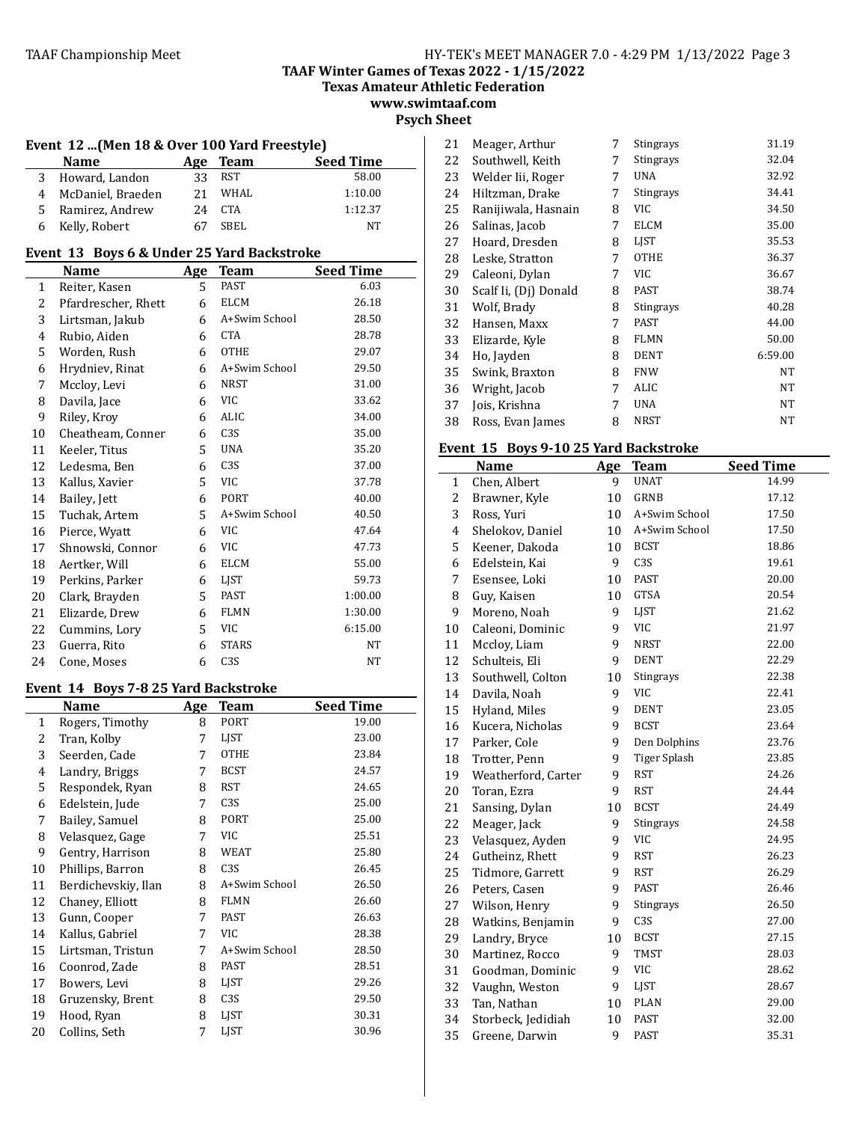**Texas Amateur Athletic Federation www.swimtaaf.com**

# **Psych Sheet**

#### Event 12 ...(Men 18 & Over 100 Yard Freestyle)

| <b>Name</b>         |    | Age Team | <b>Seed Time</b> |
|---------------------|----|----------|------------------|
| 3 Howard, Landon    | 33 | RST      | 58.00            |
| 4 McDaniel, Braeden | 21 | WHAL     | 1:10.00          |
| 5 Ramirez, Andrew   | 24 | CTA      | 1:12.37          |
| 6 Kelly, Robert     |    | SBEL     | NT               |

#### Event 13 Boys 6 & Under 25 Yard Backstroke

|    | Name                | Age | Team             | <b>Seed Time</b> |  |
|----|---------------------|-----|------------------|------------------|--|
| 1  | Reiter, Kasen       | 5   | PAST             | 6.03             |  |
| 2  | Pfardrescher, Rhett | 6   | ELCM             | 26.18            |  |
| 3  | Lirtsman, Jakub     | 6   | A+Swim School    | 28.50            |  |
| 4  | Rubio, Aiden        | 6   | <b>CTA</b>       | 28.78            |  |
| 5  | Worden, Rush        | 6   | <b>OTHE</b>      | 29.07            |  |
| 6  | Hrydniev, Rinat     | 6   | A+Swim School    | 29.50            |  |
| 7  | Mccloy, Levi        | 6   | <b>NRST</b>      | 31.00            |  |
| 8  | Davila, Jace        | 6   | VIC              | 33.62            |  |
| 9  | Riley, Kroy         | 6   | ALIC             | 34.00            |  |
| 10 | Cheatheam, Conner   | 6   | C <sub>3</sub> S | 35.00            |  |
| 11 | Keeler, Titus       | 5   | <b>UNA</b>       | 35.20            |  |
| 12 | Ledesma, Ben        | 6   | C <sub>3</sub> S | 37.00            |  |
| 13 | Kallus, Xavier      | 5   | <b>VIC</b>       | 37.78            |  |
| 14 | Bailey, Jett        | 6   | PORT             | 40.00            |  |
| 15 | Tuchak, Artem       | 5.  | A+Swim School    | 40.50            |  |
| 16 | Pierce, Wyatt       | 6   | VIC              | 47.64            |  |
| 17 | Shnowski, Connor    | 6   | VIC              | 47.73            |  |
| 18 | Aertker, Will       | 6   | ELCM             | 55.00            |  |
| 19 | Perkins, Parker     | 6   | LJST             | 59.73            |  |
| 20 | Clark, Brayden      | 5   | PAST             | 1:00.00          |  |
| 21 | Elizarde, Drew      | 6   | <b>FLMN</b>      | 1:30.00          |  |
| 22 | Cummins, Lory       | 5   | VIC              | 6:15.00          |  |
| 23 | Guerra, Rito        | 6   | <b>STARS</b>     | <b>NT</b>        |  |
| 24 | Cone, Moses         | 6   | C <sub>3</sub> S | <b>NT</b>        |  |

## Event 14 Boys 7-8 25 Yard Backstroke

|    | Name                | Age | Team             | <b>Seed Time</b> |
|----|---------------------|-----|------------------|------------------|
| 1  | Rogers, Timothy     | 8   | PORT             | 19.00            |
| 2  | Tran, Kolby         | 7   | LIST             | 23.00            |
| 3  | Seerden, Cade       | 7   | <b>OTHE</b>      | 23.84            |
| 4  | Landry, Briggs      | 7   | <b>BCST</b>      | 24.57            |
| 5  | Respondek, Ryan     | 8   | <b>RST</b>       | 24.65            |
| 6  | Edelstein, Jude     | 7   | C <sub>3</sub> S | 25.00            |
| 7  | Bailey, Samuel      | 8   | <b>PORT</b>      | 25.00            |
| 8  | Velasquez, Gage     | 7   | <b>VIC</b>       | 25.51            |
| 9  | Gentry, Harrison    | 8   | WEAT             | 25.80            |
| 10 | Phillips, Barron    | 8   | C3S              | 26.45            |
| 11 | Berdichevskiy, Ilan | 8   | A+Swim School    | 26.50            |
| 12 | Chaney, Elliott     | 8   | <b>FLMN</b>      | 26.60            |
| 13 | Gunn, Cooper        | 7   | <b>PAST</b>      | 26.63            |
| 14 | Kallus, Gabriel     | 7   | <b>VIC</b>       | 28.38            |
| 15 | Lirtsman, Tristun   | 7   | A+Swim School    | 28.50            |
| 16 | Coonrod, Zade       | 8   | PAST             | 28.51            |
| 17 | Bowers, Levi        | 8   | LIST             | 29.26            |
| 18 | Gruzensky, Brent    | 8   | C <sub>3</sub> S | 29.50            |
| 19 | Hood, Ryan          | 8   | LJST             | 30.31            |
| 20 | Collins, Seth       | 7   | <b>LIST</b>      | 30.96            |

| 21 | Meager, Arthur        | 7 | Stingrays   | 31.19   |
|----|-----------------------|---|-------------|---------|
| 22 | Southwell, Keith      | 7 | Stingrays   | 32.04   |
| 23 | Welder Iii, Roger     | 7 | UNA         | 32.92   |
| 24 | Hiltzman, Drake       | 7 | Stingrays   | 34.41   |
| 25 | Ranijiwala, Hasnain   | 8 | VIC         | 34.50   |
| 26 | Salinas, Jacob        | 7 | ELCM        | 35.00   |
| 27 | Hoard, Dresden        | 8 | LJST        | 35.53   |
| 28 | Leske, Stratton       | 7 | OTHE        | 36.37   |
| 29 | Caleoni, Dylan        | 7 | VIC         | 36.67   |
| 30 | Scalf Ii, (Dj) Donald | 8 | PAST        | 38.74   |
| 31 | Wolf, Brady           | 8 | Stingrays   | 40.28   |
| 32 | Hansen, Maxx          | 7 | PAST        | 44.00   |
| 33 | Elizarde, Kyle        | 8 | <b>FLMN</b> | 50.00   |
| 34 | Ho, Jayden            | 8 | <b>DENT</b> | 6:59.00 |
| 35 | Swink, Braxton        | 8 | <b>FNW</b>  | NT      |
| 36 | Wright, Jacob         | 7 | <b>ALIC</b> | NT      |
| 37 | Jois, Krishna         | 7 | <b>UNA</b>  | NT      |
| 38 | Ross, Evan James      | 8 | <b>NRST</b> | NT      |

# Event 15 Boys 9-10 25 Yard Backstroke

|              | Name                | Age | <b>Team</b>         | <b>Seed Time</b> |
|--------------|---------------------|-----|---------------------|------------------|
| $\mathbf{1}$ | Chen, Albert        | 9   | <b>UNAT</b>         | 14.99            |
| 2            | Brawner, Kyle       | 10  | <b>GRNB</b>         | 17.12            |
| 3            | Ross, Yuri          | 10  | A+Swim School       | 17.50            |
| 4            | Shelokov, Daniel    | 10  | A+Swim School       | 17.50            |
| 5            | Keener, Dakoda      | 10  | <b>BCST</b>         | 18.86            |
| 6            | Edelstein, Kai      | 9   | C <sub>3</sub> S    | 19.61            |
| 7            | Esensee, Loki       | 10  | <b>PAST</b>         | 20.00            |
| 8            | Guy, Kaisen         | 10  | <b>GTSA</b>         | 20.54            |
| 9            | Moreno, Noah        | 9   | <b>LIST</b>         | 21.62            |
| 10           | Caleoni, Dominic    | 9   | <b>VIC</b>          | 21.97            |
| 11           | Mccloy, Liam        | 9   | <b>NRST</b>         | 22.00            |
| 12           | Schulteis, Eli      | 9   | <b>DENT</b>         | 22.29            |
| 13           | Southwell, Colton   | 10  | Stingrays           | 22.38            |
| 14           | Davila, Noah        | 9   | <b>VIC</b>          | 22.41            |
| 15           | Hyland, Miles       | 9   | <b>DENT</b>         | 23.05            |
| 16           | Kucera, Nicholas    | 9   | <b>BCST</b>         | 23.64            |
| 17           | Parker, Cole        | 9   | Den Dolphins        | 23.76            |
| 18           | Trotter, Penn       | 9   | <b>Tiger Splash</b> | 23.85            |
| 19           | Weatherford, Carter | 9   | <b>RST</b>          | 24.26            |
| 20           | Toran, Ezra         | 9   | <b>RST</b>          | 24.44            |
| 21           | Sansing, Dylan      | 10  | <b>BCST</b>         | 24.49            |
| 22           | Meager, Jack        | 9   | Stingrays           | 24.58            |
| 23           | Velasquez, Ayden    | 9   | <b>VIC</b>          | 24.95            |
| 24           | Gutheinz, Rhett     | 9   | <b>RST</b>          | 26.23            |
| 25           | Tidmore, Garrett    | 9   | <b>RST</b>          | 26.29            |
| 26           | Peters, Casen       | 9   | <b>PAST</b>         | 26.46            |
| 27           | Wilson, Henry       | 9   | Stingrays           | 26.50            |
| 28           | Watkins, Benjamin   | 9   | C <sub>3</sub> S    | 27.00            |
| 29           | Landry, Bryce       | 10  | <b>BCST</b>         | 27.15            |
| 30           | Martinez, Rocco     | 9   | <b>TMST</b>         | 28.03            |
| 31           | Goodman, Dominic    | 9   | <b>VIC</b>          | 28.62            |
| 32           | Vaughn, Weston      | 9   | LJST                | 28.67            |
| 33           | Tan, Nathan         | 10  | <b>PLAN</b>         | 29.00            |
| 34           | Storbeck, Jedidiah  | 10  | <b>PAST</b>         | 32.00            |
| 35           | Greene, Darwin      | 9   | <b>PAST</b>         | 35.31            |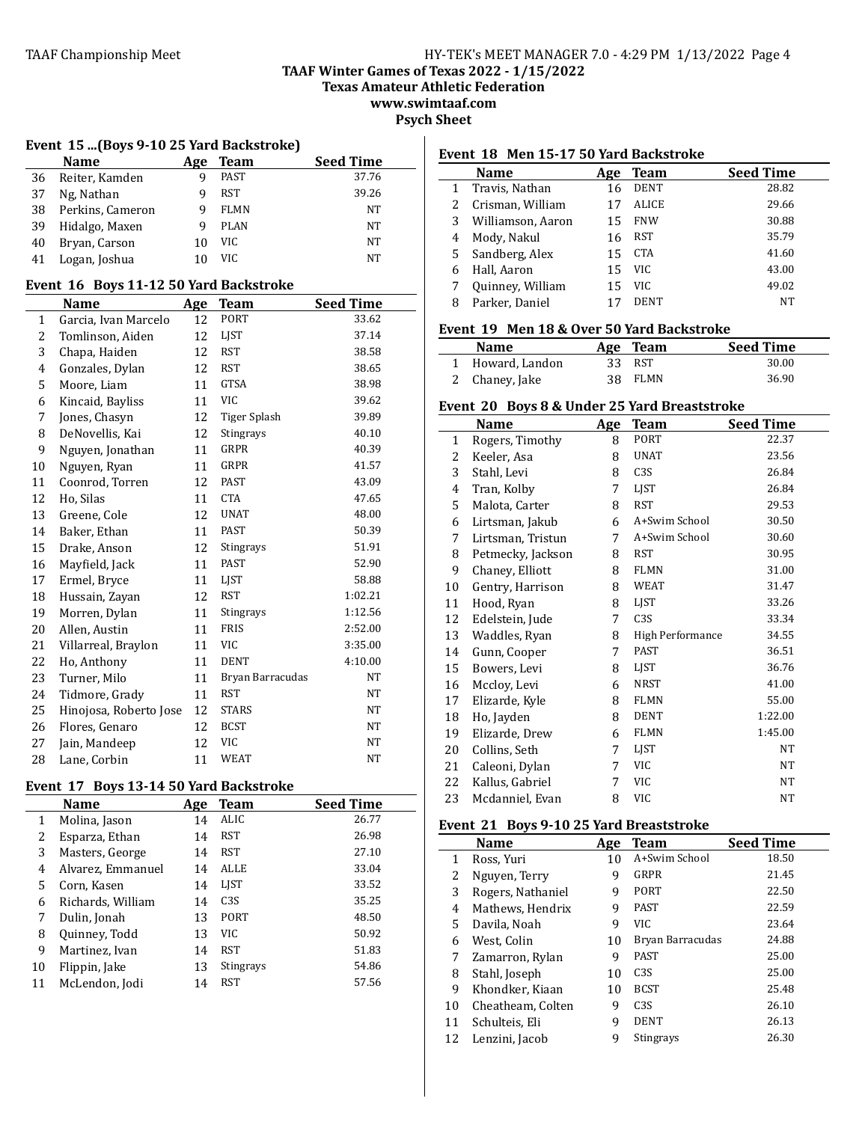**TAAF Winter Games of Texas 2022 - 1/15/2022**

**Texas Amateur Athletic Federation**

**www.swimtaaf.com Psych Sheet** 

# **Event 15 ...(Boys 9-10 25 Yard Backstroke)**

|    | Name             | Age | <b>Team</b> | <b>Seed Time</b> |
|----|------------------|-----|-------------|------------------|
| 36 | Reiter, Kamden   |     | PAST        | 37.76            |
| 37 | Ng, Nathan       |     | RST         | 39.26            |
| 38 | Perkins, Cameron | q   | <b>FLMN</b> | NT               |
| 39 | Hidalgo, Maxen   | q   | <b>PLAN</b> | NT               |
| 40 | Bryan, Carson    | 10  | VIC         | NT               |
| 41 | Logan, Joshua    |     | VIC.        | NT               |

#### Event 16 Boys 11-12 50 Yard Backstroke

|                | Name                   | Age | Team             | <b>Seed Time</b> |
|----------------|------------------------|-----|------------------|------------------|
| 1              | Garcia, Ivan Marcelo   | 12  | PORT             | 33.62            |
| 2              | Tomlinson, Aiden       | 12  | LIST             | 37.14            |
| 3              | Chapa, Haiden          | 12  | <b>RST</b>       | 38.58            |
| $\overline{4}$ | Gonzales, Dylan        | 12  | <b>RST</b>       | 38.65            |
| 5              | Moore, Liam            | 11  | <b>GTSA</b>      | 38.98            |
| 6              | Kincaid, Bayliss       | 11  | <b>VIC</b>       | 39.62            |
| 7              | Jones, Chasyn          | 12  | Tiger Splash     | 39.89            |
| 8              | DeNovellis, Kai        | 12  | Stingrays        | 40.10            |
| 9              | Nguyen, Jonathan       | 11  | GRPR             | 40.39            |
| 10             | Nguyen, Ryan           | 11  | GRPR             | 41.57            |
| 11             | Coonrod, Torren        | 12  | PAST             | 43.09            |
| 12             | Ho, Silas              | 11  | <b>CTA</b>       | 47.65            |
| 13             | Greene, Cole           | 12  | <b>UNAT</b>      | 48.00            |
| 14             | Baker, Ethan           | 11  | <b>PAST</b>      | 50.39            |
| 15             | Drake, Anson           | 12  | Stingrays        | 51.91            |
| 16             | Mayfield, Jack         | 11  | PAST             | 52.90            |
| 17             | Ermel, Bryce           | 11  | LJST             | 58.88            |
| 18             | Hussain, Zayan         | 12  | <b>RST</b>       | 1:02.21          |
| 19             | Morren, Dylan          | 11  | Stingrays        | 1:12.56          |
| 20             | Allen, Austin          | 11  | <b>FRIS</b>      | 2:52.00          |
| 21             | Villarreal, Braylon    | 11  | <b>VIC</b>       | 3:35.00          |
| 22             | Ho, Anthony            | 11  | <b>DENT</b>      | 4:10.00          |
| 23             | Turner, Milo           | 11  | Bryan Barracudas | NT               |
| 24             | Tidmore, Grady         | 11  | <b>RST</b>       | NT               |
| 25             | Hinojosa, Roberto Jose | 12  | <b>STARS</b>     | NT               |
| 26             | Flores, Genaro         | 12  | <b>BCST</b>      | NT               |
| 27             | Jain, Mandeep          | 12  | <b>VIC</b>       | NT               |
| 28             | Lane, Corbin           | 11  | WEAT             | NT               |

# Event 17 Boys 13-14 50 Yard Backstroke

|    | <b>Name</b>       | Age | <b>Team</b>     | <b>Seed Time</b> |
|----|-------------------|-----|-----------------|------------------|
| 1  | Molina, Jason     | 14  | ALIC            | 26.77            |
| 2  | Esparza, Ethan    | 14  | RST             | 26.98            |
| 3  | Masters, George   | 14  | RST             | 27.10            |
| 4  | Alvarez, Emmanuel | 14  | <b>ALLE</b>     | 33.04            |
| 5  | Corn, Kasen       | 14  | LIST            | 33.52            |
| 6  | Richards, William | 14  | C <sub>3S</sub> | 35.25            |
| 7  | Dulin, Jonah      | 13  | <b>PORT</b>     | 48.50            |
| 8  | Quinney, Todd     | 13  | VIC.            | 50.92            |
| 9  | Martinez, Ivan    | 14  | <b>RST</b>      | 51.83            |
| 10 | Flippin, Jake     | 13  | Stingrays       | 54.86            |
| 11 | McLendon, Jodi    | 14  | RST             | 57.56            |

#### Event 18 Men 15-17 50 Yard Backstroke

| Name              | Age | <b>Team</b> | <b>Seed Time</b> |
|-------------------|-----|-------------|------------------|
| Travis, Nathan    | 16  | <b>DENT</b> | 28.82            |
| Crisman, William  | 17  | ALICE       | 29.66            |
| Williamson, Aaron | 15  | <b>FNW</b>  | 30.88            |
| Mody, Nakul       | 16  | RST         | 35.79            |
| Sandberg, Alex    | 15  | CTA         | 41.60            |
| Hall, Aaron       | 15  | VIC.        | 43.00            |
| Quinney, William  | 15  | VIC         | 49.02            |
| Parker, Daniel    |     | <b>DENT</b> | NT               |
|                   |     |             |                  |

### Event 19 Men 18 & Over 50 Yard Backstroke

| <b>Name</b>      | Age Team | <b>Seed Time</b> |
|------------------|----------|------------------|
| 1 Howard, Landon | 33 RST   | 30.00            |
| 2 Chaney, Jake   | 38 FLMN  | 36.90            |

# Event 20 Boys 8 & Under 25 Yard Breaststroke

|              | Name              | Age | <b>Team</b>      | <b>Seed Time</b> |
|--------------|-------------------|-----|------------------|------------------|
| $\mathbf{1}$ | Rogers, Timothy   | 8   | PORT             | 22.37            |
| 2            | Keeler, Asa       | 8   | <b>UNAT</b>      | 23.56            |
| 3            | Stahl, Levi       | 8   | C <sub>3</sub> S | 26.84            |
| 4            | Tran, Kolby       | 7   | <b>LIST</b>      | 26.84            |
| 5            | Malota, Carter    | 8   | <b>RST</b>       | 29.53            |
| 6            | Lirtsman, Jakub   | 6   | A+Swim School    | 30.50            |
| 7            | Lirtsman, Tristun | 7   | A+Swim School    | 30.60            |
| 8            | Petmecky, Jackson | 8   | <b>RST</b>       | 30.95            |
| 9            | Chaney, Elliott   | 8   | <b>FLMN</b>      | 31.00            |
| 10           | Gentry, Harrison  | 8   | <b>WEAT</b>      | 31.47            |
| 11           | Hood, Ryan        | 8   | <b>LIST</b>      | 33.26            |
| 12           | Edelstein, Jude   | 7   | C <sub>3S</sub>  | 33.34            |
| 13           | Waddles, Ryan     | 8   | High Performance | 34.55            |
| 14           | Gunn, Cooper      | 7   | <b>PAST</b>      | 36.51            |
| 15           | Bowers, Levi      | 8   | LJST             | 36.76            |
| 16           | Mccloy, Levi      | 6   | <b>NRST</b>      | 41.00            |
| 17           | Elizarde, Kyle    | 8   | <b>FLMN</b>      | 55.00            |
| 18           | Ho, Jayden        | 8   | <b>DENT</b>      | 1:22.00          |
| 19           | Elizarde, Drew    | 6   | <b>FLMN</b>      | 1:45.00          |
| 20           | Collins, Seth     | 7   | LJST             | NT               |
| 21           | Caleoni, Dylan    | 7   | VIC              | NT               |
| 22           | Kallus, Gabriel   | 7   | <b>VIC</b>       | NT               |
| 23           | Mcdanniel, Evan   | 8   | <b>VIC</b>       | NT               |

# Event 21 Boys 9-10 25 Yard Breaststroke

|    | <b>Name</b>       | Age | <b>Team</b>      | <b>Seed Time</b> |
|----|-------------------|-----|------------------|------------------|
| 1  | Ross, Yuri        | 10  | A+Swim School    | 18.50            |
| 2  | Nguyen, Terry     | 9   | GRPR             | 21.45            |
| 3  | Rogers, Nathaniel | 9   | PORT             | 22.50            |
| 4  | Mathews, Hendrix  | 9   | <b>PAST</b>      | 22.59            |
| 5. | Davila, Noah      | 9   | VIC              | 23.64            |
| 6  | West, Colin       | 10  | Bryan Barracudas | 24.88            |
| 7  | Zamarron, Rylan   | 9   | <b>PAST</b>      | 25.00            |
| 8  | Stahl, Joseph     | 10  | C <sub>3</sub> S | 25.00            |
| 9  | Khondker, Kiaan   | 10  | <b>BCST</b>      | 25.48            |
| 10 | Cheatheam, Colten | 9   | C <sub>3</sub> S | 26.10            |
| 11 | Schulteis, Eli    | 9   | <b>DENT</b>      | 26.13            |
| 12 | Lenzini, Jacob    | 9   | Stingrays        | 26.30            |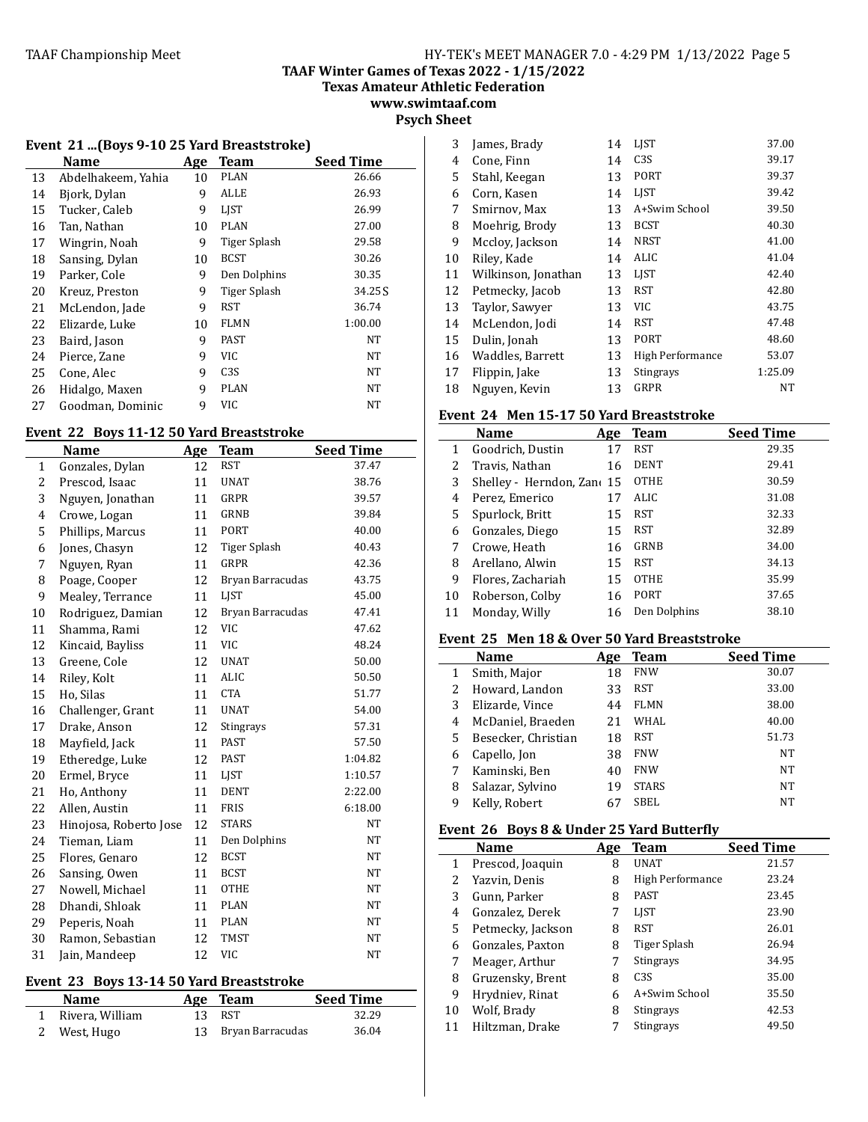**TAAF Winter Games of Texas 2022 - 1/15/2022**

**Texas Amateur Athletic Federation**

**www.swimtaaf.com**

**Psych Sheet**

# Event 21 ...(Boys 9-10 25 Yard Breaststroke)

|    | <b>Name</b>        | Age | <b>Team</b>  | <b>Seed Time</b> |
|----|--------------------|-----|--------------|------------------|
| 13 | Abdelhakeem, Yahia | 10  | <b>PLAN</b>  | 26.66            |
| 14 | Bjork, Dylan       | 9   | ALLE         | 26.93            |
| 15 | Tucker, Caleb      | 9   | LIST         | 26.99            |
| 16 | Tan, Nathan        | 10  | <b>PLAN</b>  | 27.00            |
| 17 | Wingrin, Noah      | 9   | Tiger Splash | 29.58            |
| 18 | Sansing, Dylan     | 10  | <b>BCST</b>  | 30.26            |
| 19 | Parker, Cole       | 9   | Den Dolphins | 30.35            |
| 20 | Kreuz, Preston     | 9   | Tiger Splash | 34.25S           |
| 21 | McLendon, Jade     | 9   | RST          | 36.74            |
| 22 | Elizarde, Luke     | 10  | <b>FLMN</b>  | 1:00.00          |
| 23 | Baird, Jason       | 9   | PAST         | NT               |
| 24 | Pierce, Zane       | 9   | VIC          | NT               |
| 25 | Cone, Alec         | 9   | C3S          | NT               |
| 26 | Hidalgo, Maxen     | 9   | <b>PLAN</b>  | NT               |
| 27 | Goodman, Dominic   | 9   | <b>VIC</b>   | NT               |

# Event 22 Boys 11-12 50 Yard Breaststroke

|              | Name                   | Age | <b>Team</b>      | <b>Seed Time</b> |
|--------------|------------------------|-----|------------------|------------------|
| $\mathbf{1}$ | Gonzales, Dylan        | 12  | <b>RST</b>       | 37.47            |
| 2            | Prescod, Isaac         | 11  | <b>UNAT</b>      | 38.76            |
| 3            | Nguyen, Jonathan       | 11  | <b>GRPR</b>      | 39.57            |
| 4            | Crowe, Logan           | 11  | <b>GRNB</b>      | 39.84            |
| 5            | Phillips, Marcus       | 11  | <b>PORT</b>      | 40.00            |
| 6            | Jones, Chasyn          | 12  | Tiger Splash     | 40.43            |
| 7            | Nguyen, Ryan           | 11  | <b>GRPR</b>      | 42.36            |
| 8            | Poage, Cooper          | 12  | Bryan Barracudas | 43.75            |
| 9            | Mealey, Terrance       | 11  | <b>LIST</b>      | 45.00            |
| 10           | Rodriguez, Damian      | 12  | Bryan Barracudas | 47.41            |
| 11           | Shamma, Rami           | 12  | <b>VIC</b>       | 47.62            |
| 12           | Kincaid, Bayliss       | 11  | <b>VIC</b>       | 48.24            |
| 13           | Greene, Cole           | 12  | <b>UNAT</b>      | 50.00            |
| 14           | Riley, Kolt            | 11  | <b>ALIC</b>      | 50.50            |
| 15           | Ho, Silas              | 11  | <b>CTA</b>       | 51.77            |
| 16           | Challenger, Grant      | 11  | <b>UNAT</b>      | 54.00            |
| 17           | Drake, Anson           | 12  | Stingrays        | 57.31            |
| 18           | Mayfield, Jack         | 11  | <b>PAST</b>      | 57.50            |
| 19           | Etheredge, Luke        | 12  | <b>PAST</b>      | 1:04.82          |
| 20           | Ermel, Bryce           | 11  | LJST             | 1:10.57          |
| 21           | Ho, Anthony            | 11  | <b>DENT</b>      | 2:22.00          |
| 22           | Allen, Austin          | 11  | <b>FRIS</b>      | 6:18.00          |
| 23           | Hinojosa, Roberto Jose | 12  | <b>STARS</b>     | <b>NT</b>        |
| 24           | Tieman, Liam           | 11  | Den Dolphins     | <b>NT</b>        |
| 25           | Flores, Genaro         | 12  | <b>BCST</b>      | <b>NT</b>        |
| 26           | Sansing, Owen          | 11  | <b>BCST</b>      | <b>NT</b>        |
| 27           | Nowell, Michael        | 11  | <b>OTHE</b>      | <b>NT</b>        |
| 28           | Dhandi, Shloak         | 11  | <b>PLAN</b>      | <b>NT</b>        |
| 29           | Peperis, Noah          | 11  | <b>PLAN</b>      | <b>NT</b>        |
| 30           | Ramon, Sebastian       | 12  | <b>TMST</b>      | <b>NT</b>        |
| 31           | Jain, Mandeep          | 12  | <b>VIC</b>       | <b>NT</b>        |

# Event 23 Boys 13-14 50 Yard Breaststroke

| <b>Name</b>       | Age Team            | <b>Seed Time</b> |
|-------------------|---------------------|------------------|
| 1 Rivera, William | 13 RST              | 32.29            |
| 2 West, Hugo      | 13 Bryan Barracudas | 36.04            |

| 3  | James, Brady        | 14 | <b>LIST</b>      | 37.00   |
|----|---------------------|----|------------------|---------|
| 4  | Cone, Finn          | 14 | C <sub>3</sub> S | 39.17   |
| 5  | Stahl, Keegan       | 13 | PORT             | 39.37   |
| 6  | Corn, Kasen         | 14 | <b>LIST</b>      | 39.42   |
| 7  | Smirnov, Max        | 13 | A+Swim School    | 39.50   |
| 8  | Moehrig, Brody      | 13 | <b>BCST</b>      | 40.30   |
| 9  | Mccloy, Jackson     | 14 | <b>NRST</b>      | 41.00   |
| 10 | Riley, Kade         | 14 | ALIC             | 41.04   |
| 11 | Wilkinson, Jonathan | 13 | <b>LIST</b>      | 42.40   |
| 12 | Petmecky, Jacob     | 13 | <b>RST</b>       | 42.80   |
| 13 | Taylor, Sawyer      | 13 | VIC              | 43.75   |
| 14 | McLendon, Jodi      | 14 | <b>RST</b>       | 47.48   |
| 15 | Dulin, Jonah        | 13 | PORT             | 48.60   |
| 16 | Waddles, Barrett    | 13 | High Performance | 53.07   |
| 17 | Flippin, Jake       | 13 | Stingrays        | 1:25.09 |
| 18 | Nguyen, Kevin       | 13 | <b>GRPR</b>      | NΤ      |

## Event 24 Men 15-17 50 Yard Breaststroke

|    | <b>Name</b>             | Age | Team         | <b>Seed Time</b> |
|----|-------------------------|-----|--------------|------------------|
| 1  | Goodrich, Dustin        | 17  | RST          | 29.35            |
| 2  | Travis, Nathan          | 16  | <b>DENT</b>  | 29.41            |
| 3  | Shelley - Herndon, Zano | 15  | <b>OTHE</b>  | 30.59            |
| 4  | Perez, Emerico          | 17  | ALIC         | 31.08            |
| 5  | Spurlock, Britt         | 15  | RST          | 32.33            |
| 6  | Gonzales, Diego         | 15  | RST          | 32.89            |
| 7  | Crowe, Heath            | 16  | GRNB         | 34.00            |
| 8  | Arellano, Alwin         | 15  | RST          | 34.13            |
| 9  | Flores, Zachariah       | 15  | <b>OTHE</b>  | 35.99            |
| 10 | Roberson, Colby         | 16  | <b>PORT</b>  | 37.65            |
| 11 | Monday, Willy           | 16  | Den Dolphins | 38.10            |

#### Event 25 Men 18 & Over 50 Yard Breaststroke

|   | <b>Name</b>         | Age | Team         | <b>Seed Time</b> |
|---|---------------------|-----|--------------|------------------|
| 1 | Smith, Major        | 18  | <b>FNW</b>   | 30.07            |
| 2 | Howard, Landon      | 33  | RST          | 33.00            |
| 3 | Elizarde, Vince     | 44  | FLMN         | 38.00            |
| 4 | McDaniel, Braeden   | 21  | WHAL         | 40.00            |
| 5 | Besecker, Christian | 18  | RST          | 51.73            |
| 6 | Capello, Jon        | 38  | <b>FNW</b>   | NT               |
| 7 | Kaminski, Ben       | 40  | <b>FNW</b>   | NT               |
| 8 | Salazar, Sylvino    | 19  | <b>STARS</b> | NT               |
| 9 | Kelly, Robert       | 6   | SBEL         | NT               |

# Event 26 Boys 8 & Under 25 Yard Butterfly

|    | <b>Name</b>       | Age | Team             | <b>Seed Time</b> |  |
|----|-------------------|-----|------------------|------------------|--|
| 1  | Prescod, Joaquin  | 8   | <b>UNAT</b>      | 21.57            |  |
| 2  | Yazvin, Denis     | 8   | High Performance | 23.24            |  |
| 3  | Gunn, Parker      | 8   | <b>PAST</b>      | 23.45            |  |
| 4  | Gonzalez, Derek   | 7   | <b>LIST</b>      | 23.90            |  |
| 5  | Petmecky, Jackson | 8   | <b>RST</b>       | 26.01            |  |
| 6  | Gonzales, Paxton  | 8   | Tiger Splash     | 26.94            |  |
| 7  | Meager, Arthur    | 7   | Stingrays        | 34.95            |  |
| 8  | Gruzensky, Brent  | 8   | C <sub>3S</sub>  | 35.00            |  |
| 9  | Hrydniev, Rinat   | 6   | A+Swim School    | 35.50            |  |
| 10 | Wolf, Brady       | 8   | <b>Stingrays</b> | 42.53            |  |
| 11 | Hiltzman, Drake   | 7   | <b>Stingrays</b> | 49.50            |  |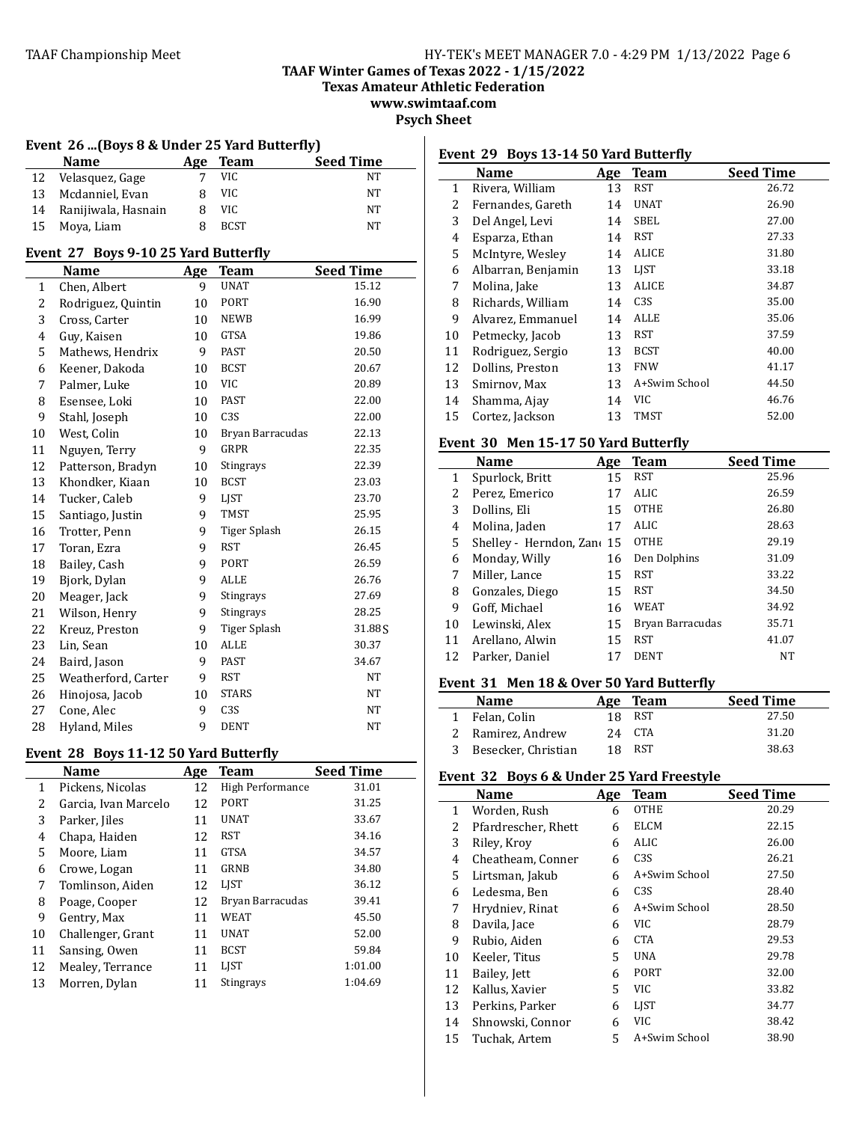**TAAF Winter Games of Texas 2022 - 1/15/2022**

**Texas Amateur Athletic Federation**

**www.swimtaaf.com Psych Sheet** 

# Event 26 ...(Boys 8 & Under 25 Yard Butterfly)

|    | <b>Name</b>         | Age | Team        | <b>Seed Time</b> |
|----|---------------------|-----|-------------|------------------|
| 12 | Velasquez, Gage     |     | VIC.        | NΤ               |
| 13 | Mcdanniel, Evan     |     | VIC.        | NT               |
| 14 | Ranijiwala, Hasnain |     | VIC.        | NT               |
|    | 15 Moya, Liam       |     | <b>BCST</b> | NT               |

#### Event 27 Boys 9-10 25 Yard Butterfly

|                         | $\frac{1}{2}$<br>boys 7 10 25 iai a batterily |     |                  |                  |  |  |  |
|-------------------------|-----------------------------------------------|-----|------------------|------------------|--|--|--|
|                         | Name                                          | Age | <b>Team</b>      | <b>Seed Time</b> |  |  |  |
| $\mathbf{1}$            | Chen, Albert                                  | 9   | UNAT             | 15.12            |  |  |  |
| 2                       | Rodriguez, Quintin                            | 10  | PORT             | 16.90            |  |  |  |
| 3                       | Cross, Carter                                 | 10  | <b>NEWB</b>      | 16.99            |  |  |  |
| $\overline{\mathbf{4}}$ | Guy, Kaisen                                   | 10  | <b>GTSA</b>      | 19.86            |  |  |  |
| 5                       | Mathews, Hendrix                              | 9   | <b>PAST</b>      | 20.50            |  |  |  |
| 6                       | Keener, Dakoda                                | 10  | <b>BCST</b>      | 20.67            |  |  |  |
| 7                       | Palmer, Luke                                  | 10  | <b>VIC</b>       | 20.89            |  |  |  |
| 8                       | Esensee, Loki                                 | 10  | <b>PAST</b>      | 22.00            |  |  |  |
| 9                       | Stahl, Joseph                                 | 10  | C3S              | 22.00            |  |  |  |
| 10                      | West, Colin                                   | 10  | Bryan Barracudas | 22.13            |  |  |  |
| 11                      | Nguyen, Terry                                 | 9   | GRPR             | 22.35            |  |  |  |
| 12                      | Patterson, Bradyn                             | 10  | Stingrays        | 22.39            |  |  |  |
| 13                      | Khondker, Kiaan                               | 10  | <b>BCST</b>      | 23.03            |  |  |  |
| 14                      | Tucker, Caleb                                 | 9   | LJST             | 23.70            |  |  |  |
| 15                      | Santiago, Justin                              | 9   | <b>TMST</b>      | 25.95            |  |  |  |
| 16                      | Trotter, Penn                                 | 9   | Tiger Splash     | 26.15            |  |  |  |
| 17                      | Toran, Ezra                                   | 9   | <b>RST</b>       | 26.45            |  |  |  |
| 18                      | Bailey, Cash                                  | 9   | PORT             | 26.59            |  |  |  |
| 19                      | Bjork, Dylan                                  | 9   | ALLE             | 26.76            |  |  |  |
| 20                      | Meager, Jack                                  | 9   | Stingrays        | 27.69            |  |  |  |
| 21                      | Wilson, Henry                                 | 9   | Stingrays        | 28.25            |  |  |  |
| 22                      | Kreuz, Preston                                | 9   | Tiger Splash     | 31.88S           |  |  |  |
| 23                      | Lin, Sean                                     | 10  | <b>ALLE</b>      | 30.37            |  |  |  |
| 24                      | Baird, Jason                                  | 9   | <b>PAST</b>      | 34.67            |  |  |  |
| 25                      | Weatherford, Carter                           | 9   | RST              | NT               |  |  |  |
| 26                      | Hinojosa, Jacob                               | 10  | <b>STARS</b>     | NT               |  |  |  |
| 27                      | Cone, Alec                                    | 9   | C3S              | NT               |  |  |  |
| 28                      | Hyland, Miles                                 | 9   | <b>DENT</b>      | <b>NT</b>        |  |  |  |

#### **Event 28 Boys 11-12 50 Yard Butterfly**

|    | Name                 | Age | <b>Team</b>      | <b>Seed Time</b> |
|----|----------------------|-----|------------------|------------------|
| 1  | Pickens, Nicolas     | 12  | High Performance | 31.01            |
| 2  | Garcia, Ivan Marcelo | 12  | PORT             | 31.25            |
| 3  | Parker, Jiles        | 11  | <b>UNAT</b>      | 33.67            |
| 4  | Chapa, Haiden        | 12  | RST              | 34.16            |
| 5  | Moore, Liam          | 11  | <b>GTSA</b>      | 34.57            |
| 6  | Crowe, Logan         | 11  | GRNB             | 34.80            |
| 7  | Tomlinson, Aiden     | 12  | <b>LIST</b>      | 36.12            |
| 8  | Poage, Cooper        | 12  | Bryan Barracudas | 39.41            |
| 9  | Gentry, Max          | 11  | <b>WEAT</b>      | 45.50            |
| 10 | Challenger, Grant    | 11  | <b>UNAT</b>      | 52.00            |
| 11 | Sansing, Owen        | 11  | <b>BCST</b>      | 59.84            |
| 12 | Mealey, Terrance     | 11  | LIST             | 1:01.00          |
| 13 | Morren, Dylan        | 11  | Stingrays        | 1:04.69          |

# **Event 29 Boys 13-14 50 Yard Butterfly**

|    | Name               | Age | <b>Team</b>      | <b>Seed Time</b> |
|----|--------------------|-----|------------------|------------------|
| 1  | Rivera, William    | 13  | <b>RST</b>       | 26.72            |
| 2  | Fernandes, Gareth  | 14  | <b>UNAT</b>      | 26.90            |
| 3  | Del Angel, Levi    | 14  | SBEL             | 27.00            |
| 4  | Esparza, Ethan     | 14  | RST              | 27.33            |
| 5  | McIntyre, Wesley   | 14  | ALICE            | 31.80            |
| 6  | Albarran, Benjamin | 13  | <b>LIST</b>      | 33.18            |
| 7  | Molina, Jake       | 13  | <b>ALICE</b>     | 34.87            |
| 8  | Richards, William  | 14  | C <sub>3</sub> S | 35.00            |
| 9  | Alvarez, Emmanuel  | 14  | ALLE             | 35.06            |
| 10 | Petmecky, Jacob    | 13  | RST              | 37.59            |
| 11 | Rodriguez, Sergio  | 13  | <b>BCST</b>      | 40.00            |
| 12 | Dollins, Preston   | 13  | <b>FNW</b>       | 41.17            |
| 13 | Smirnov, Max       | 13  | A+Swim School    | 44.50            |
| 14 | Shamma, Ajay       | 14  | <b>VIC</b>       | 46.76            |
| 15 | Cortez, Jackson    | 13  | TMST             | 52.00            |

#### Event 30 Men 15-17 50 Yard Butterfly

|    | Name                    | Age | Team             | <b>Seed Time</b> |
|----|-------------------------|-----|------------------|------------------|
| 1  | Spurlock, Britt         | 15  | RST              | 25.96            |
| 2  | Perez, Emerico          | 17  | ALIC             | 26.59            |
| 3  | Dollins, Eli            | 15  | <b>OTHE</b>      | 26.80            |
| 4  | Molina, Jaden           | 17  | ALIC             | 28.63            |
| 5. | Shelley - Herndon, Zano | 15  | <b>OTHE</b>      | 29.19            |
| 6  | Monday, Willy           | 16  | Den Dolphins     | 31.09            |
| 7  | Miller, Lance           | 15  | RST              | 33.22            |
| 8  | Gonzales, Diego         | 15  | RST              | 34.50            |
| 9  | Goff, Michael           | 16  | WEAT             | 34.92            |
| 10 | Lewinski, Alex          | 15  | Bryan Barracudas | 35.71            |
| 11 | Arellano, Alwin         | 15  | <b>RST</b>       | 41.07            |
| 12 | Parker, Daniel          |     | <b>DENT</b>      | <b>NT</b>        |

#### **Event 31 Men 18 & Over 50 Yard Butterfly**

| <b>Name</b>           |     | Age Team   | <b>Seed Time</b> |
|-----------------------|-----|------------|------------------|
| 1 Felan, Colin        |     | 18 RST     | 27.50            |
| 2 Ramirez, Andrew     |     | 24 CTA     | 31.20            |
| 3 Besecker, Christian | 18. | <b>RST</b> | 38.63            |

# Event 32 Boys 6 & Under 25 Yard Freestyle

|    | Name                | Age | <b>Team</b>      | <b>Seed Time</b> |
|----|---------------------|-----|------------------|------------------|
| 1  | Worden, Rush        | 6   | <b>OTHE</b>      | 20.29            |
| 2  | Pfardrescher, Rhett | 6   | ELCM             | 22.15            |
| 3  | Riley, Kroy         | 6   | ALIC             | 26.00            |
| 4  | Cheatheam, Conner   | 6   | C <sub>3</sub> S | 26.21            |
| 5  | Lirtsman, Jakub     | 6   | A+Swim School    | 27.50            |
| 6  | Ledesma, Ben        | 6   | C <sub>3</sub> S | 28.40            |
| 7  | Hrydniev, Rinat     | 6   | A+Swim School    | 28.50            |
| 8  | Davila, Jace        | 6   | VIC.             | 28.79            |
| 9  | Rubio, Aiden        | 6   | <b>CTA</b>       | 29.53            |
| 10 | Keeler, Titus       | 5   | UNA              | 29.78            |
| 11 | Bailey, Jett        | 6   | <b>PORT</b>      | 32.00            |
| 12 | Kallus, Xavier      | 5   | VIC.             | 33.82            |
| 13 | Perkins, Parker     | 6   | LJST             | 34.77            |
| 14 | Shnowski, Connor    | 6   | VIC.             | 38.42            |
| 15 | Tuchak, Artem       | 5   | A+Swim School    | 38.90            |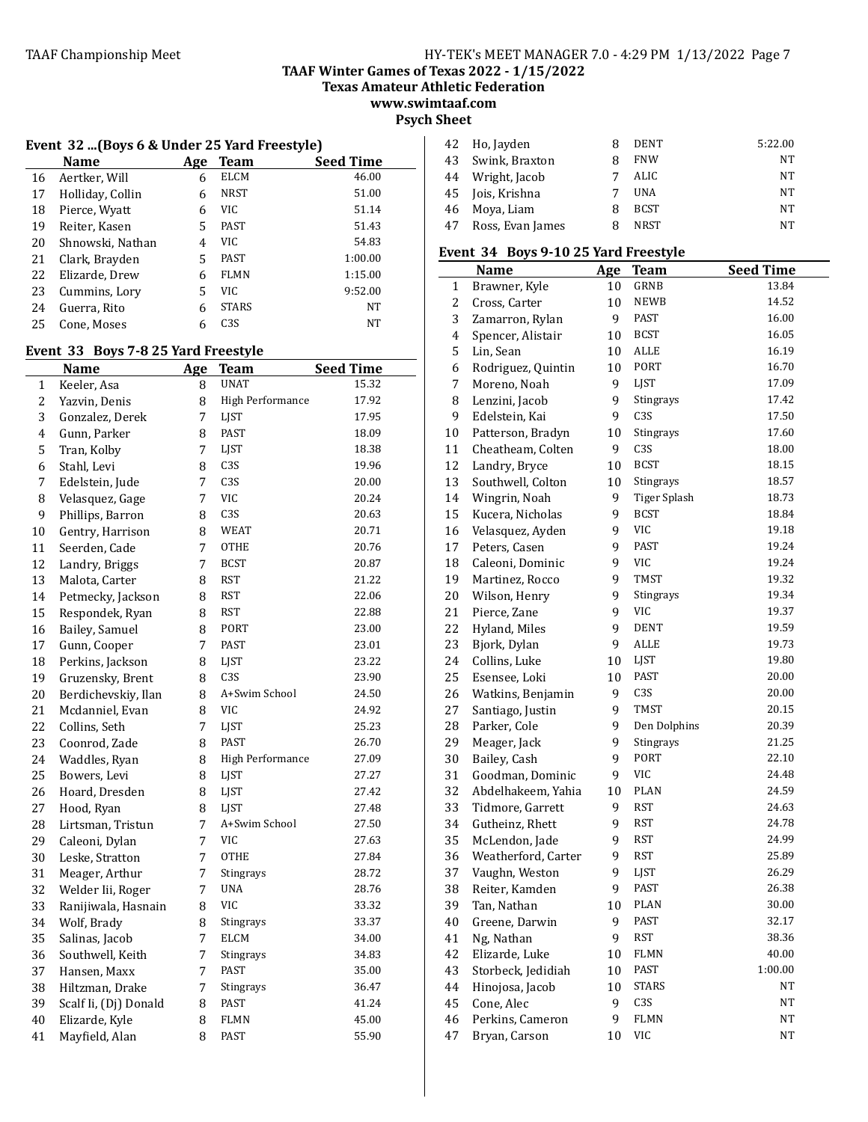**Texas Amateur Athletic Federation www.swimtaaf.com**

**Psych Sheet**

#### Event 32 ...(Boys 6 & Under 25 Yard Freestyle)

|    | <b>Name</b>      | Age | Team             | <b>Seed Time</b> |
|----|------------------|-----|------------------|------------------|
| 16 | Aertker, Will    | 6   | <b>ELCM</b>      | 46.00            |
| 17 | Holliday, Collin | 6   | <b>NRST</b>      | 51.00            |
| 18 | Pierce, Wyatt    | 6   | VIC              | 51.14            |
| 19 | Reiter, Kasen    | 5   | PAST             | 51.43            |
| 20 | Shnowski, Nathan | 4   | VIC              | 54.83            |
| 21 | Clark, Brayden   | 5   | <b>PAST</b>      | 1:00.00          |
| 22 | Elizarde, Drew   | 6   | <b>FLMN</b>      | 1:15.00          |
| 23 | Cummins, Lory    | 5   | VIC              | 9:52.00          |
| 24 | Guerra, Rito     | 6   | <b>STARS</b>     | <b>NT</b>        |
| 25 | Cone, Moses      | 6   | C <sub>3</sub> S | NT               |

#### Event 33 Boys 7-8 25 Yard Freestyle

|    | <b>Name</b>           | Age | <b>Team</b>             | <b>Seed Time</b> |
|----|-----------------------|-----|-------------------------|------------------|
| 1  | Keeler, Asa           | 8   | <b>UNAT</b>             | 15.32            |
| 2  | Yazvin, Denis         | 8   | High Performance        | 17.92            |
| 3  | Gonzalez, Derek       | 7   | <b>LIST</b>             | 17.95            |
| 4  | Gunn, Parker          | 8   | <b>PAST</b>             | 18.09            |
| 5  | Tran, Kolby           | 7   | LJST                    | 18.38            |
| 6  | Stahl, Levi           | 8   | C3S                     | 19.96            |
| 7  | Edelstein, Jude       | 7   | C <sub>3</sub> S        | 20.00            |
| 8  | Velasquez, Gage       | 7   | <b>VIC</b>              | 20.24            |
| 9  | Phillips, Barron      | 8   | C3S                     | 20.63            |
| 10 | Gentry, Harrison      | 8   | <b>WEAT</b>             | 20.71            |
| 11 | Seerden, Cade         | 7   | <b>OTHE</b>             | 20.76            |
| 12 | Landry, Briggs        | 7   | <b>BCST</b>             | 20.87            |
| 13 | Malota, Carter        | 8   | RST                     | 21.22            |
| 14 | Petmecky, Jackson     | 8   | <b>RST</b>              | 22.06            |
| 15 | Respondek, Ryan       | 8   | <b>RST</b>              | 22.88            |
| 16 | Bailey, Samuel        | 8   | PORT                    | 23.00            |
| 17 | Gunn, Cooper          | 7   | <b>PAST</b>             | 23.01            |
| 18 | Perkins, Jackson      | 8   | LJST                    | 23.22            |
| 19 | Gruzensky, Brent      | 8   | C3S                     | 23.90            |
| 20 | Berdichevskiy, Ilan   | 8   | A+Swim School           | 24.50            |
| 21 | Mcdanniel, Evan       | 8   | <b>VIC</b>              | 24.92            |
| 22 | Collins, Seth         | 7   | <b>LIST</b>             | 25.23            |
| 23 | Coonrod, Zade         | 8   | <b>PAST</b>             | 26.70            |
| 24 | Waddles, Ryan         | 8   | <b>High Performance</b> | 27.09            |
| 25 | Bowers, Levi          | 8   | LJST                    | 27.27            |
| 26 | Hoard, Dresden        | 8   | LJST                    | 27.42            |
| 27 | Hood, Ryan            | 8   | <b>LIST</b>             | 27.48            |
| 28 | Lirtsman, Tristun     | 7   | A+Swim School           | 27.50            |
| 29 | Caleoni, Dylan        | 7   | <b>VIC</b>              | 27.63            |
| 30 | Leske, Stratton       | 7   | OTHE                    | 27.84            |
| 31 | Meager, Arthur        | 7   | Stingrays               | 28.72            |
| 32 | Welder Iii, Roger     | 7   | <b>UNA</b>              | 28.76            |
| 33 | Ranijiwala, Hasnain   | 8   | <b>VIC</b>              | 33.32            |
| 34 | Wolf, Brady           | 8   | Stingrays               | 33.37            |
| 35 | Salinas, Jacob        | 7   | <b>ELCM</b>             | 34.00            |
| 36 | Southwell, Keith      | 7   | Stingrays               | 34.83            |
| 37 | Hansen, Maxx          | 7   | PAST                    | 35.00            |
| 38 | Hiltzman, Drake       | 7   | Stingrays               | 36.47            |
| 39 | Scalf Ii, (Dj) Donald | 8   | PAST                    | 41.24            |
| 40 | Elizarde, Kyle        | 8   | <b>FLMN</b>             | 45.00            |
| 41 | Mayfield, Alan        | 8   | PAST                    | 55.90            |

| 42 | Ho, Jayden       | я | DENT        | 5:22.00 |
|----|------------------|---|-------------|---------|
| 43 | Swink, Braxton   |   | <b>FNW</b>  | NT      |
| 44 | Wright, Jacob    |   | ALIC.       | NT      |
| 45 | Jois, Krishna    |   | <b>UNA</b>  | NT      |
| 46 | Moya, Liam       | я | <b>BCST</b> | NT      |
| 47 | Ross, Evan James | я | <b>NRST</b> | NT      |

#### Event 34 Boys 9-10 25 Yard Freestyle

|              | <b>Name</b>         | <u>Age</u> | <b>Team</b>         | <b>Seed Time</b> |
|--------------|---------------------|------------|---------------------|------------------|
| $\mathbf{1}$ | Brawner, Kyle       | 10         | GRNB                | 13.84            |
| 2            | Cross, Carter       | 10         | <b>NEWB</b>         | 14.52            |
| 3            | Zamarron, Rylan     | 9          | PAST                | 16.00            |
| 4            | Spencer, Alistair   | 10         | <b>BCST</b>         | 16.05            |
| 5            | Lin, Sean           | 10         | ALLE                | 16.19            |
| 6            | Rodriguez, Quintin  | 10         | PORT                | 16.70            |
| 7            | Moreno, Noah        | 9          | LJST                | 17.09            |
| 8            | Lenzini, Jacob      | 9          | Stingrays           | 17.42            |
| 9            | Edelstein, Kai      | 9          | C <sub>3</sub> S    | 17.50            |
| $10\,$       | Patterson, Bradyn   | 10         | Stingrays           | 17.60            |
| 11           | Cheatheam, Colten   | 9          | C <sub>3</sub> S    | 18.00            |
| 12           | Landry, Bryce       | 10         | <b>BCST</b>         | 18.15            |
| 13           | Southwell, Colton   | 10         | Stingrays           | 18.57            |
| 14           | Wingrin, Noah       | 9          | <b>Tiger Splash</b> | 18.73            |
| 15           | Kucera, Nicholas    | 9          | <b>BCST</b>         | 18.84            |
| 16           | Velasquez, Ayden    | 9          | <b>VIC</b>          | 19.18            |
| 17           | Peters, Casen       | 9          | <b>PAST</b>         | 19.24            |
| 18           | Caleoni, Dominic    | 9          | <b>VIC</b>          | 19.24            |
| 19           | Martinez, Rocco     | 9          | <b>TMST</b>         | 19.32            |
| $20\,$       | Wilson, Henry       | 9          | Stingrays           | 19.34            |
| 21           | Pierce, Zane        | 9          | VIC                 | 19.37            |
| 22           | Hyland, Miles       | 9          | <b>DENT</b>         | 19.59            |
| 23           | Bjork, Dylan        | 9          | <b>ALLE</b>         | 19.73            |
| 24           | Collins, Luke       | 10         | LJST                | 19.80            |
| 25           | Esensee, Loki       | 10         | <b>PAST</b>         | 20.00            |
| 26           | Watkins, Benjamin   | 9          | C <sub>3</sub> S    | 20.00            |
| 27           | Santiago, Justin    | 9          | <b>TMST</b>         | 20.15            |
| 28           | Parker, Cole        | 9          | Den Dolphins        | 20.39            |
| 29           | Meager, Jack        | 9          | Stingrays           | 21.25            |
| 30           | Bailey, Cash        | 9          | PORT                | 22.10            |
| 31           | Goodman, Dominic    | 9          | VIC                 | 24.48            |
| 32           | Abdelhakeem, Yahia  | 10         | <b>PLAN</b>         | 24.59            |
| 33           | Tidmore, Garrett    | 9          | <b>RST</b>          | 24.63            |
| 34           | Gutheinz, Rhett     | 9          | <b>RST</b>          | 24.78            |
| 35           | McLendon, Jade      | 9          | <b>RST</b>          | 24.99            |
| 36           | Weatherford, Carter | 9          | <b>RST</b>          | 25.89            |
| 37           | Vaughn, Weston      | 9          | LJST                | 26.29            |
| 38           | Reiter, Kamden      | 9          | PAST                | 26.38            |
| 39           | Tan, Nathan         | 10         | PLAN                | 30.00            |
| $40\,$       | Greene, Darwin      | 9          | PAST                | 32.17            |
| 41           | Ng, Nathan          | 9          | RST                 | 38.36            |
| 42           | Elizarde, Luke      | 10         | FLMN                | 40.00            |
| 43           | Storbeck, Jedidiah  | 10         | PAST                | 1:00.00          |
| 44           | Hinojosa, Jacob     | 10         | <b>STARS</b>        | NT               |
| 45           | Cone, Alec          | 9          | C3S                 | NT               |
| 46           | Perkins, Cameron    | 9          | FLMN                | NT               |
| 47           | Bryan, Carson       | 10         | VIC                 | NT               |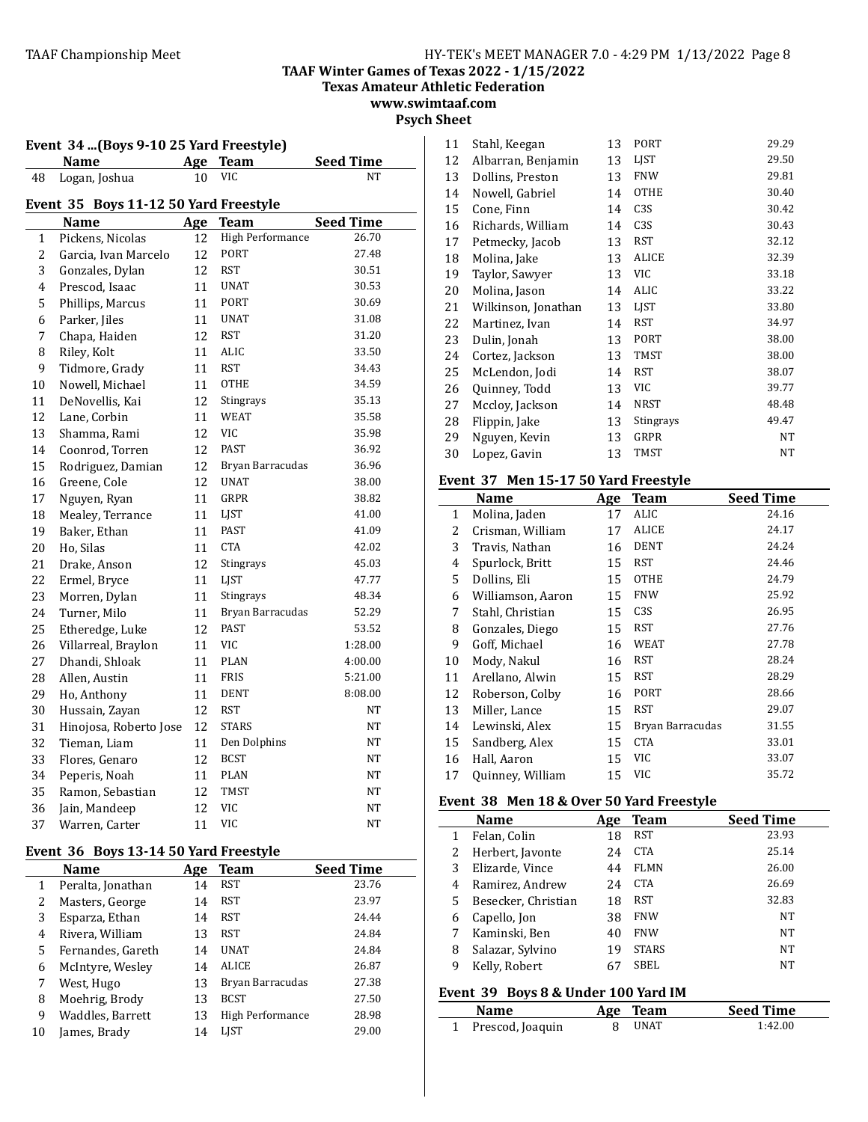**Texas Amateur Athletic Federation**

**www.swimtaaf.com Psych Sheet**

| rsych sneet |  |
|-------------|--|
|             |  |

| Event 34 (Boys 9-10 25 Yard Freestyle) |                                       |     |                  |                  |
|----------------------------------------|---------------------------------------|-----|------------------|------------------|
|                                        | Name                                  | Age | <b>Team</b>      | <b>Seed Time</b> |
| 48                                     | Logan, Joshua                         | 10  | VIC              | NΤ               |
|                                        | Event 35 Boys 11-12 50 Yard Freestyle |     |                  |                  |
|                                        | <b>Name</b>                           | Age | <b>Team</b>      | <b>Seed Time</b> |
| 1                                      | Pickens, Nicolas                      | 12  | High Performance | 26.70            |
| $\overline{c}$                         | Garcia, Ivan Marcelo                  | 12  | <b>PORT</b>      | 27.48            |
| 3                                      | Gonzales, Dylan                       | 12  | <b>RST</b>       | 30.51            |
| 4                                      | Prescod, Isaac                        | 11  | <b>UNAT</b>      | 30.53            |
| 5                                      | Phillips, Marcus                      | 11  | PORT             | 30.69            |
| 6                                      | Parker, Jiles                         | 11  | <b>UNAT</b>      | 31.08            |
| 7                                      | Chapa, Haiden                         | 12  | <b>RST</b>       | 31.20            |
| 8                                      | Riley, Kolt                           | 11  | ALIC             | 33.50            |
| 9                                      | Tidmore, Grady                        | 11  | <b>RST</b>       | 34.43            |
| 10                                     | Nowell, Michael                       | 11  | <b>OTHE</b>      | 34.59            |
| 11                                     | DeNovellis, Kai                       | 12  | Stingrays        | 35.13            |
| 12                                     | Lane, Corbin                          | 11  | <b>WEAT</b>      | 35.58            |
| 13                                     | Shamma, Rami                          | 12  | <b>VIC</b>       | 35.98            |
| 14                                     | Coonrod, Torren                       | 12  | <b>PAST</b>      | 36.92            |
| 15                                     | Rodriguez, Damian                     | 12  | Bryan Barracudas | 36.96            |
| 16                                     | Greene, Cole                          | 12  | <b>UNAT</b>      | 38.00            |
| 17                                     | Nguyen, Ryan                          | 11  | GRPR             | 38.82            |
| 18                                     | Mealey, Terrance                      | 11  | LJST             | 41.00            |
| 19                                     | Baker, Ethan                          | 11  | <b>PAST</b>      | 41.09            |
| 20                                     | Ho, Silas                             | 11  | <b>CTA</b>       | 42.02            |
| 21                                     | Drake, Anson                          | 12  | Stingrays        | 45.03            |
| 22                                     | Ermel, Bryce                          | 11  | <b>LIST</b>      | 47.77            |
| 23                                     | Morren, Dylan                         | 11  | Stingrays        | 48.34            |
| 24                                     | Turner, Milo                          | 11  | Bryan Barracudas | 52.29            |
| 25                                     | Etheredge, Luke                       | 12  | <b>PAST</b>      | 53.52            |
| 26                                     | Villarreal, Braylon                   | 11  | <b>VIC</b>       | 1:28.00          |
| 27                                     | Dhandi, Shloak                        | 11  | <b>PLAN</b>      | 4:00.00          |
| 28                                     | Allen, Austin                         | 11  | <b>FRIS</b>      | 5:21.00          |
| 29                                     | Ho, Anthony                           | 11  | <b>DENT</b>      | 8:08.00          |
| 30                                     | Hussain, Zayan                        | 12  | <b>RST</b>       | NT               |
| 31                                     | Hinojosa, Roberto Jose                | 12  | <b>STARS</b>     | NΤ               |
| 32                                     | Tieman, Liam                          | 11  | Den Dolphins     | <b>NT</b>        |
| 33                                     | Flores, Genaro                        | 12  | <b>BCST</b>      | NT               |
| 34                                     | Peperis, Noah                         | 11  | PLAN             | <b>NT</b>        |
| 35                                     | Ramon, Sebastian                      | 12  | <b>TMST</b>      | NT               |
| 36                                     | Jain, Mandeep                         | 12  | <b>VIC</b>       | <b>NT</b>        |
| 37                                     | Warren, Carter                        | 11  | <b>VIC</b>       | <b>NT</b>        |

# Event 36 Boys 13-14 50 Yard Freestyle

|              | <b>Name</b>       | Age | Team             | <b>Seed Time</b> |
|--------------|-------------------|-----|------------------|------------------|
| $\mathbf{1}$ | Peralta, Jonathan | 14  | <b>RST</b>       | 23.76            |
| 2            | Masters, George   | 14  | <b>RST</b>       | 23.97            |
| 3            | Esparza, Ethan    | 14  | <b>RST</b>       | 24.44            |
| 4            | Rivera, William   | 13  | <b>RST</b>       | 24.84            |
| 5            | Fernandes, Gareth | 14  | <b>UNAT</b>      | 24.84            |
| 6            | McIntyre, Wesley  | 14  | <b>ALICE</b>     | 26.87            |
| 7            | West, Hugo        | 13  | Bryan Barracudas | 27.38            |
| 8            | Moehrig, Brody    | 13  | <b>BCST</b>      | 27.50            |
| 9            | Waddles, Barrett  | 13  | High Performance | 28.98            |
| 10           | James, Brady      | 14  | LIST             | 29.00            |

| 11 | Stahl, Keegan       | 13 | PORT             | 29.29 |
|----|---------------------|----|------------------|-------|
| 12 | Albarran, Benjamin  | 13 | LIST             | 29.50 |
| 13 | Dollins, Preston    | 13 | <b>FNW</b>       | 29.81 |
| 14 | Nowell, Gabriel     | 14 | <b>OTHE</b>      | 30.40 |
| 15 | Cone, Finn          | 14 | C <sub>3</sub> S | 30.42 |
| 16 | Richards, William   | 14 | C <sub>3</sub> S | 30.43 |
| 17 | Petmecky, Jacob     | 13 | <b>RST</b>       | 32.12 |
| 18 | Molina, Jake        | 13 | <b>ALICE</b>     | 32.39 |
| 19 | Taylor, Sawyer      | 13 | VIC              | 33.18 |
| 20 | Molina, Jason       | 14 | ALIC             | 33.22 |
| 21 | Wilkinson, Jonathan | 13 | <b>LIST</b>      | 33.80 |
| 22 | Martinez, Ivan      | 14 | <b>RST</b>       | 34.97 |
| 23 | Dulin, Jonah        | 13 | PORT             | 38.00 |
| 24 | Cortez, Jackson     | 13 | TMST             | 38.00 |
| 25 | McLendon, Jodi      | 14 | <b>RST</b>       | 38.07 |
| 26 | Quinney, Todd       | 13 | VIC              | 39.77 |
| 27 | Mccloy, Jackson     | 14 | <b>NRST</b>      | 48.48 |
| 28 | Flippin, Jake       | 13 | Stingrays        | 49.47 |
| 29 | Nguyen, Kevin       | 13 | GRPR             | NT    |
| 30 | Lopez, Gavin        | 13 | <b>TMST</b>      | NT    |

# **Event 37 Men 15-17 50 Yard Freestyle**

|    | Name              | Age | <b>Team</b>      | <b>Seed Time</b> |
|----|-------------------|-----|------------------|------------------|
| 1  | Molina, Jaden     | 17  | ALIC             | 24.16            |
| 2  | Crisman, William  | 17  | ALICE            | 24.17            |
| 3  | Travis, Nathan    | 16  | <b>DENT</b>      | 24.24            |
| 4  | Spurlock, Britt   | 15  | RST              | 24.46            |
| 5  | Dollins, Eli      | 15  | <b>OTHE</b>      | 24.79            |
| 6  | Williamson, Aaron | 15  | <b>FNW</b>       | 25.92            |
| 7  | Stahl, Christian  | 15  | C <sub>3</sub> S | 26.95            |
| 8  | Gonzales, Diego   | 15  | RST              | 27.76            |
| 9  | Goff, Michael     | 16  | <b>WEAT</b>      | 27.78            |
| 10 | Mody, Nakul       | 16  | <b>RST</b>       | 28.24            |
| 11 | Arellano, Alwin   | 15  | RST              | 28.29            |
| 12 | Roberson, Colby   | 16  | <b>PORT</b>      | 28.66            |
| 13 | Miller, Lance     | 15  | <b>RST</b>       | 29.07            |
| 14 | Lewinski, Alex    | 15  | Bryan Barracudas | 31.55            |
| 15 | Sandberg, Alex    | 15  | <b>CTA</b>       | 33.01            |
| 16 | Hall, Aaron       | 15  | VIC              | 33.07            |
| 17 | Quinney, William  | 15  | <b>VIC</b>       | 35.72            |

# Event 38 Men 18 & Over 50 Yard Freestyle

|   | <b>Name</b>         | Age | <b>Team</b>  | <b>Seed Time</b> |
|---|---------------------|-----|--------------|------------------|
| 1 | Felan, Colin        | 18  | <b>RST</b>   | 23.93            |
| 2 | Herbert, Javonte    | 24  | <b>CTA</b>   | 25.14            |
| 3 | Elizarde, Vince     | 44  | <b>FLMN</b>  | 26.00            |
| 4 | Ramirez, Andrew     | 24  | <b>CTA</b>   | 26.69            |
| 5 | Besecker, Christian | 18  | RST          | 32.83            |
| 6 | Capello, Jon        | 38  | <b>FNW</b>   | <b>NT</b>        |
|   | Kaminski, Ben       | 40  | <b>FNW</b>   | <b>NT</b>        |
| 8 | Salazar, Sylvino    | 19  | <b>STARS</b> | NT               |
| 9 | Kelly, Robert       | 67  | SBEL         | <b>NT</b>        |

# Event 39 Boys 8 & Under 100 Yard IM

| Name               | Age Team    | <b>Seed Time</b> |
|--------------------|-------------|------------------|
| 1 Prescod, Joaquin | <b>UNAT</b> | 1:42.00          |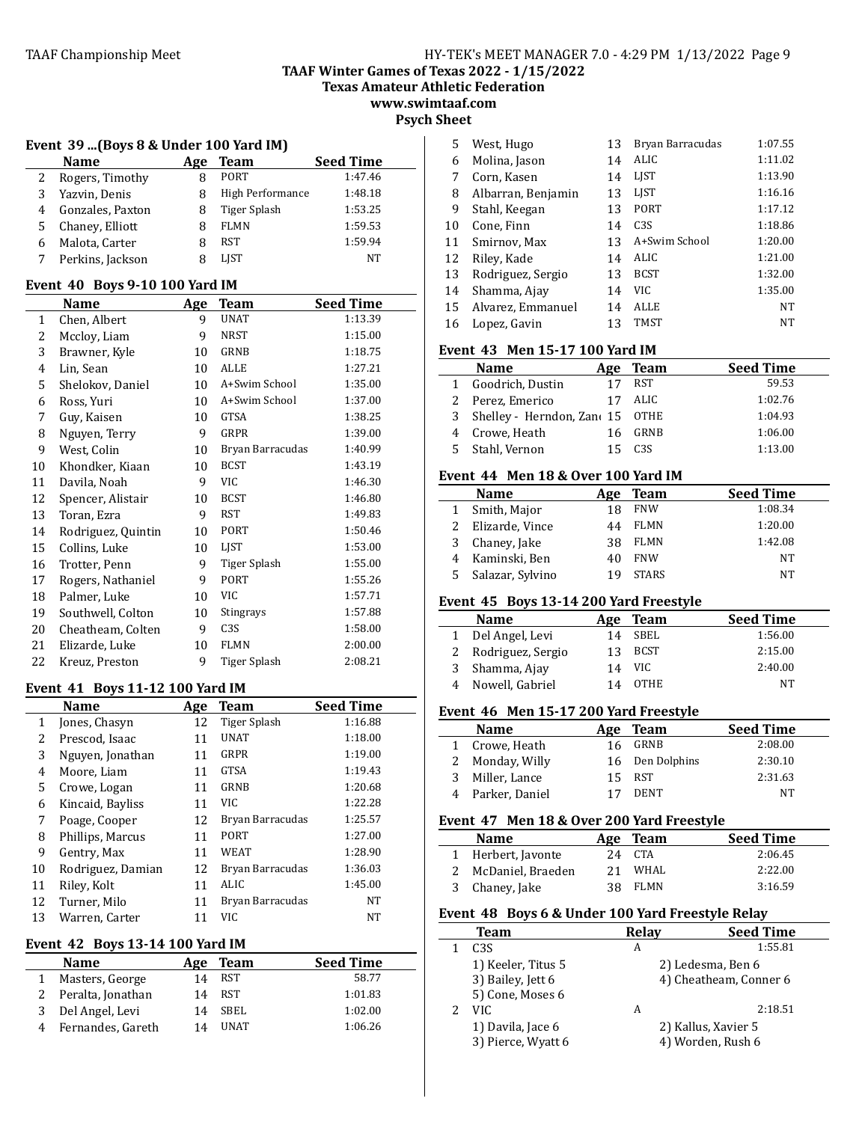**TAAF Winter Games of Texas 2022 - 1/15/2022**

**Texas Amateur Athletic Federation**

**www.swimtaaf.com Psych Sheet**

#### **Event 39 ...(Boys 8 & Under 100 Yard IM)**

|   | <b>Name</b>      | Age | Team             | <b>Seed Time</b> |
|---|------------------|-----|------------------|------------------|
|   | Rogers, Timothy  |     | <b>PORT</b>      | 1:47.46          |
| 3 | Yazvin, Denis    |     | High Performance | 1:48.18          |
| 4 | Gonzales, Paxton |     | Tiger Splash     | 1:53.25          |
| 5 | Chaney, Elliott  | 8   | <b>FLMN</b>      | 1:59.53          |
| 6 | Malota, Carter   |     | RST              | 1:59.94          |
|   | Perkins, Jackson | 8   | <b>LIST</b>      | NT               |

#### **Event 40 Boys 9-10 100 Yard IM**

|              | Name               | Age | <b>Team</b>      | Seed Time |
|--------------|--------------------|-----|------------------|-----------|
| $\mathbf{1}$ | Chen, Albert       | 9   | <b>UNAT</b>      | 1:13.39   |
| 2            | Mccloy, Liam       | 9   | NRST             | 1:15.00   |
| 3            | Brawner, Kyle      | 10  | GRNB             | 1:18.75   |
| 4            | Lin, Sean          | 10  | <b>ALLE</b>      | 1:27.21   |
| 5            | Shelokov, Daniel   | 10  | A+Swim School    | 1:35.00   |
| 6            | Ross, Yuri         | 10  | A+Swim School    | 1:37.00   |
| 7            | Guy, Kaisen        | 10  | GTSA             | 1:38.25   |
| 8            | Nguyen, Terry      | 9   | GRPR             | 1:39.00   |
| 9            | West, Colin        | 10  | Bryan Barracudas | 1:40.99   |
| 10           | Khondker, Kiaan    | 10  | <b>BCST</b>      | 1:43.19   |
| 11           | Davila, Noah       | 9   | VIC              | 1:46.30   |
| 12           | Spencer, Alistair  | 10  | <b>BCST</b>      | 1:46.80   |
| 13           | Toran, Ezra        | 9   | <b>RST</b>       | 1:49.83   |
| 14           | Rodriguez, Quintin | 10  | PORT             | 1:50.46   |
| 15           | Collins, Luke      | 10  | LIST             | 1:53.00   |
| 16           | Trotter, Penn      | 9   | Tiger Splash     | 1:55.00   |
| 17           | Rogers, Nathaniel  | 9   | PORT             | 1:55.26   |
| 18           | Palmer, Luke       | 10  | VIC              | 1:57.71   |
| 19           | Southwell, Colton  | 10  | Stingrays        | 1:57.88   |
| 20           | Cheatheam, Colten  | 9   | C <sub>3</sub> S | 1:58.00   |
| 21           | Elizarde, Luke     | 10  | <b>FLMN</b>      | 2:00.00   |
| 22           | Kreuz, Preston     | 9   | Tiger Splash     | 2:08.21   |

#### **Event 41 Boys 11-12 100 Yard IM**

|    | <b>Name</b>       | Age | Team             | <b>Seed Time</b> |
|----|-------------------|-----|------------------|------------------|
| 1  | Jones, Chasyn     | 12  | Tiger Splash     | 1:16.88          |
| 2  | Prescod, Isaac    | 11  | <b>UNAT</b>      | 1:18.00          |
| 3  | Nguyen, Jonathan  | 11  | GRPR             | 1:19.00          |
| 4  | Moore, Liam       | 11  | <b>GTSA</b>      | 1:19.43          |
| 5  | Crowe, Logan      | 11  | GRNB             | 1:20.68          |
| 6  | Kincaid, Bayliss  | 11  | VIC              | 1:22.28          |
| 7  | Poage, Cooper     | 12  | Bryan Barracudas | 1:25.57          |
| 8  | Phillips, Marcus  | 11  | PORT             | 1:27.00          |
| 9  | Gentry, Max       | 11  | WEAT             | 1:28.90          |
| 10 | Rodriguez, Damian | 12  | Bryan Barracudas | 1:36.03          |
| 11 | Riley, Kolt       | 11  | ALIC             | 1:45.00          |
| 12 | Turner, Milo      | 11  | Bryan Barracudas | NT               |
| 13 | Warren. Carter    | 11  | VIC.             | NT               |

# **Event 42 Boys 13-14 100 Yard IM**

| <b>Name</b>       | Age | Team         | <b>Seed Time</b> |
|-------------------|-----|--------------|------------------|
| Masters, George   | 14  | RST          | 58.77            |
| Peralta, Jonathan | 14  | <b>RST</b>   | 1:01.83          |
| 3 Del Angel, Levi | 14  | SBEL         | 1:02.00          |
| Fernandes, Gareth | 14  | <b>IINAT</b> | 1:06.26          |
|                   |     |              |                  |

| 5  | West, Hugo         | 13 | Bryan Barracudas | 1:07.55   |
|----|--------------------|----|------------------|-----------|
| 6  | Molina, Jason      | 14 | ALIC             | 1:11.02   |
| 7  | Corn, Kasen        | 14 | <b>LIST</b>      | 1:13.90   |
| 8  | Albarran, Benjamin | 13 | <b>LIST</b>      | 1:16.16   |
| 9  | Stahl, Keegan      | 13 | PORT             | 1:17.12   |
| 10 | Cone, Finn         | 14 | C <sub>3S</sub>  | 1:18.86   |
| 11 | Smirnov, Max       | 13 | A+Swim School    | 1:20.00   |
| 12 | Riley, Kade        | 14 | ALIC             | 1:21.00   |
| 13 | Rodriguez, Sergio  | 13 | <b>BCST</b>      | 1:32.00   |
| 14 | Shamma, Ajay       | 14 | VIC.             | 1:35.00   |
| 15 | Alvarez, Emmanuel  | 14 | <b>ALLE</b>      | <b>NT</b> |
| 16 | Lopez, Gavin       | 13 | <b>TMST</b>      | NT        |

# Event 43 Men 15-17 100 Yard IM

| <b>Name</b>                       |    | Age Team | <b>Seed Time</b> |
|-----------------------------------|----|----------|------------------|
| 1 Goodrich, Dustin                |    | RST      | 59.53            |
| 2 Perez, Emerico                  | 17 | ALIC.    | 1:02.76          |
| 3 Shelley - Herndon, Zano 15 OTHE |    |          | 1:04.93          |
| 4 Crowe, Heath                    |    | GRNB     | 1:06.00          |
| 5 Stahl, Vernon                   |    | C3S      | 1:13.00          |

# **Event 44 Men 18 & Over 100 Yard IM**

|   | <b>Name</b>      | Age | <b>Team</b>  | <b>Seed Time</b> |
|---|------------------|-----|--------------|------------------|
|   | Smith, Major     | 18  | <b>FNW</b>   | 1:08.34          |
|   | Elizarde, Vince  | 44  | <b>FLMN</b>  | 1:20.00          |
|   | Chaney, Jake     | 38  | <b>FLMN</b>  | 1:42.08          |
| 4 | Kaminski, Ben    | 40  | <b>FNW</b>   | NT               |
|   | Salazar, Sylvino | 19  | <b>STARS</b> | NT               |

# Event 45 Boys 13-14 200 Yard Freestyle

|   | <b>Name</b>         | Age | Team        | <b>Seed Time</b> |
|---|---------------------|-----|-------------|------------------|
|   | 1 Del Angel, Levi   | 14  | SBEL        | 1:56.00          |
|   | 2 Rodriguez, Sergio | 13  | <b>BCST</b> | 2:15.00          |
| 3 | Shamma, Ajay        | 14  | VIC.        | 2:40.00          |
| 4 | Nowell, Gabriel     | 14  | <b>OTHE</b> | NT               |

# Event 46 Men 15-17 200 Yard Freestyle

| <b>Name</b>      |    | Age Team        | <b>Seed Time</b> |
|------------------|----|-----------------|------------------|
| 1 Crowe, Heath   | 16 | GRNB            | 2:08.00          |
| 2 Monday, Willy  |    | 16 Den Dolphins | 2:30.10          |
| Miller, Lance    | 15 | RST             | 2:31.63          |
| 4 Parker, Daniel |    | DENT            | NT               |

# Event 47 Men 18 & Over 200 Yard Freestyle

|  | <b>Name</b>         |    | Age Team | <b>Seed Time</b> |
|--|---------------------|----|----------|------------------|
|  | 1 Herbert, Javonte  | 24 | CTA      | 2:06.45          |
|  | 2 McDaniel, Braeden | 21 | WHAL     | 2:22.00          |
|  | 3 Chaney, Jake      | 38 | FLMN     | 3:16.59          |
|  |                     |    |          |                  |

# Event 48 Boys 6 & Under 100 Yard Freestyle Relay

| <b>Team</b>        | <b>Relav</b> | <b>Seed Time</b>       |
|--------------------|--------------|------------------------|
| C <sub>3S</sub>    | А            | 1:55.81                |
| 1) Keeler, Titus 5 |              | 2) Ledesma, Ben 6      |
| 3) Bailey, Jett 6  |              | 4) Cheatheam, Conner 6 |
| 5) Cone, Moses 6   |              |                        |
| VIC.               | А            | 2:18.51                |
| 1) Davila, Jace 6  |              | 2) Kallus, Xavier 5    |
| 3) Pierce, Wyatt 6 |              | 4) Worden, Rush 6      |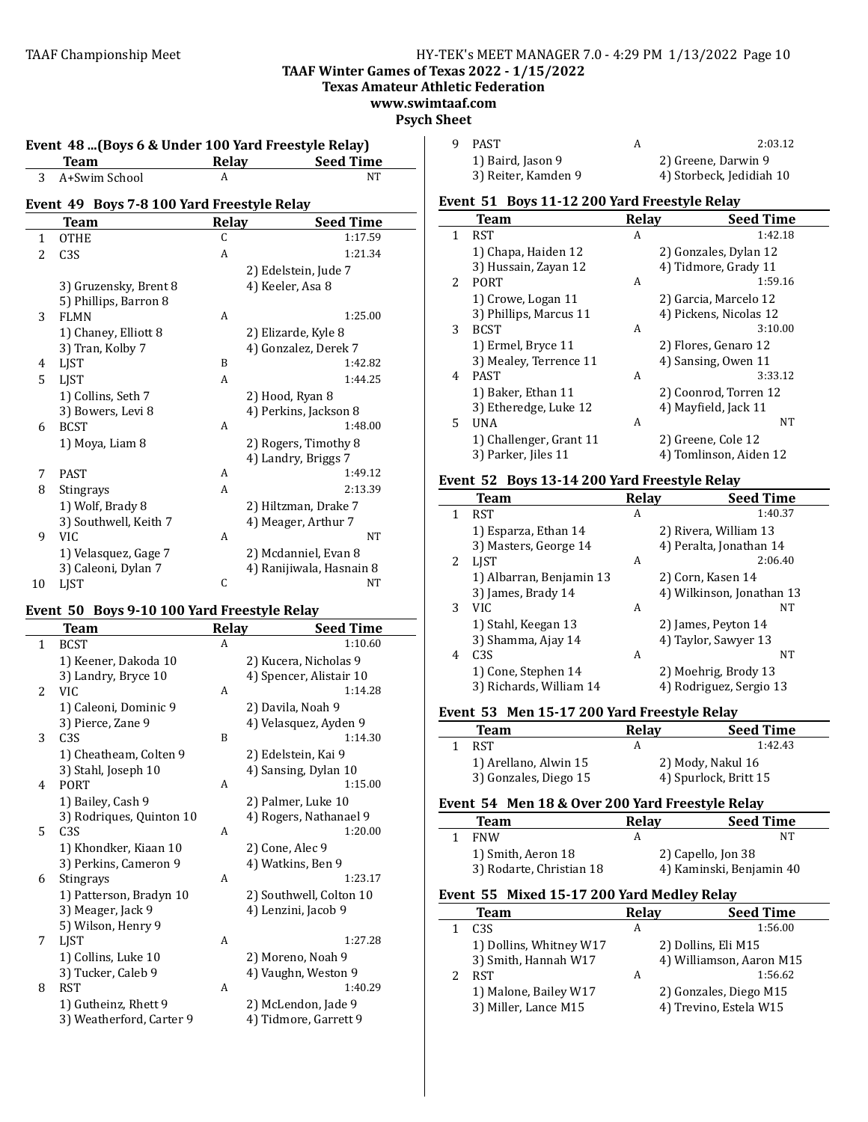## TAAF Championship Meet HY-TEK's MEET MANAGER 7.0 - 4:29 PM 1/13/2022 Page 10 **TAAF Winter Games of Texas 2022 - 1/15/2022**

**Texas Amateur Athletic Federation**

**www.swimtaaf.com**

# **Psych Sheet**

|                                            | <b>Team</b>           | <b>Relay</b> | <b>Seed Time</b>         |  |  |
|--------------------------------------------|-----------------------|--------------|--------------------------|--|--|
| 3                                          | A+Swim School         | A            | <b>NT</b>                |  |  |
| Event 49 Boys 7-8 100 Yard Freestyle Relay |                       |              |                          |  |  |
|                                            | <b>Team</b>           | <b>Relay</b> | <b>Seed Time</b>         |  |  |
| 1                                          | <b>OTHE</b>           | C            | 1:17.59                  |  |  |
| $\overline{2}$                             | C <sub>3S</sub>       | A            | 1:21.34                  |  |  |
|                                            |                       |              | 2) Edelstein, Jude 7     |  |  |
|                                            | 3) Gruzensky, Brent 8 |              | 4) Keeler, Asa 8         |  |  |
|                                            | 5) Phillips, Barron 8 |              |                          |  |  |
| 3                                          | <b>FLMN</b>           | A            | 1:25.00                  |  |  |
|                                            | 1) Chaney, Elliott 8  |              | 2) Elizarde, Kyle 8      |  |  |
|                                            | 3) Tran, Kolby 7      |              | 4) Gonzalez, Derek 7     |  |  |
| 4                                          | <b>LIST</b>           | B            | 1:42.82                  |  |  |
| 5.                                         | <b>LIST</b>           | A            | 1:44.25                  |  |  |
|                                            | 1) Collins, Seth 7    |              | 2) Hood, Ryan 8          |  |  |
|                                            | 3) Bowers, Levi 8     |              | 4) Perkins, Jackson 8    |  |  |
| 6                                          | <b>BCST</b>           | A            | 1:48.00                  |  |  |
|                                            | 1) Moya, Liam 8       |              | 2) Rogers, Timothy 8     |  |  |
|                                            |                       |              | 4) Landry, Briggs 7      |  |  |
| 7                                          | <b>PAST</b>           | A            | 1:49.12                  |  |  |
| 8                                          | <b>Stingrays</b>      | A            | 2:13.39                  |  |  |
|                                            | 1) Wolf, Brady 8      |              | 2) Hiltzman, Drake 7     |  |  |
|                                            | 3) Southwell, Keith 7 |              | 4) Meager, Arthur 7      |  |  |
| 9                                          | VIC.                  | A            | <b>NT</b>                |  |  |
|                                            | 1) Velasquez, Gage 7  |              | 2) Mcdanniel, Evan 8     |  |  |
|                                            | 3) Caleoni, Dylan 7   |              | 4) Ranijiwala, Hasnain 8 |  |  |
| 10                                         | <b>LIST</b>           | C            | NT                       |  |  |

# Event 50 Boys 9-10 100 Yard Freestyle Relay

 $\overline{\phantom{a}}$ 

|                | Team                     | <b>Relay</b> | Seed Time               |
|----------------|--------------------------|--------------|-------------------------|
| $\mathbf{1}$   | <b>BCST</b>              | A            | 1:10.60                 |
|                | 1) Keener, Dakoda 10     |              | 2) Kucera, Nicholas 9   |
|                | 3) Landry, Bryce 10      |              | 4) Spencer, Alistair 10 |
| $\overline{2}$ | <b>VIC</b>               | A            | 1:14.28                 |
|                | 1) Caleoni, Dominic 9    |              | 2) Davila, Noah 9       |
|                | 3) Pierce, Zane 9        |              | 4) Velasquez, Ayden 9   |
| 3              | C <sub>3</sub> S         | B            | 1:14.30                 |
|                | 1) Cheatheam, Colten 9   |              | 2) Edelstein, Kai 9     |
|                | 3) Stahl, Joseph 10      |              | 4) Sansing, Dylan 10    |
| 4              | <b>PORT</b>              | A            | 1:15.00                 |
|                | 1) Bailey, Cash 9        |              | 2) Palmer, Luke 10      |
|                | 3) Rodriques, Quinton 10 |              | 4) Rogers, Nathanael 9  |
| 5              | C <sub>3S</sub>          | A            | 1:20.00                 |
|                | 1) Khondker, Kiaan 10    |              | 2) Cone, Alec 9         |
|                | 3) Perkins, Cameron 9    |              | 4) Watkins, Ben 9       |
| 6              | Stingrays                | A            | 1:23.17                 |
|                | 1) Patterson, Bradyn 10  |              | 2) Southwell, Colton 10 |
|                | 3) Meager, Jack 9        |              | 4) Lenzini, Jacob 9     |
|                | 5) Wilson, Henry 9       |              |                         |
| 7              | LJST                     | A            | 1:27.28                 |
|                | 1) Collins, Luke 10      |              | 2) Moreno, Noah 9       |
|                | 3) Tucker, Caleb 9       |              | 4) Vaughn, Weston 9     |
| 8              | <b>RST</b>               | A            | 1:40.29                 |
|                | 1) Gutheinz, Rhett 9     |              | 2) McLendon, Jade 9     |
|                | 3) Weatherford, Carter 9 |              | 4) Tidmore, Garrett 9   |

| PAST                | 2:03.12                  |
|---------------------|--------------------------|
| 1) Baird, Jason 9   | 2) Greene, Darwin 9      |
| 3) Reiter, Kamden 9 | 4) Storbeck, Jedidiah 10 |

#### Event 51 Boys 11-12 200 Yard Freestyle Relay

|    | <b>Team</b>             | Relay | <b>Seed Time</b>       |
|----|-------------------------|-------|------------------------|
| 1  | <b>RST</b>              | A     | 1:42.18                |
|    | 1) Chapa, Haiden 12     |       | 2) Gonzales, Dylan 12  |
|    | 3) Hussain, Zayan 12    |       | 4) Tidmore, Grady 11   |
| 2. | <b>PORT</b>             | A     | 1:59.16                |
|    | 1) Crowe, Logan 11      |       | 2) Garcia, Marcelo 12  |
|    | 3) Phillips, Marcus 11  |       | 4) Pickens, Nicolas 12 |
| 3  | <b>BCST</b>             | A     | 3:10.00                |
|    | 1) Ermel, Bryce 11      |       | 2) Flores, Genaro 12   |
|    | 3) Mealey, Terrence 11  |       | 4) Sansing, Owen 11    |
| 4  | <b>PAST</b>             | A     | 3:33.12                |
|    | 1) Baker, Ethan 11      |       | 2) Coonrod, Torren 12  |
|    | 3) Etheredge, Luke 12   |       | 4) Mayfield, Jack 11   |
| 5. | UNA                     | A     | NT                     |
|    | 1) Challenger, Grant 11 |       | 2) Greene, Cole 12     |
|    | 3) Parker, Jiles 11     |       | 4) Tomlinson, Aiden 12 |

# **Event 52 Boys 13-14 200 Yard Freestyle Relay**

|   | <b>Team</b>              | Relay | <b>Seed Time</b>          |
|---|--------------------------|-------|---------------------------|
| 1 | <b>RST</b>               | A     | 1:40.37                   |
|   | 1) Esparza, Ethan 14     |       | 2) Rivera, William 13     |
|   | 3) Masters, George 14    |       | 4) Peralta, Jonathan 14   |
| 2 | <b>LIST</b>              | A     | 2:06.40                   |
|   | 1) Albarran, Benjamin 13 |       | 2) Corn, Kasen 14         |
|   | 3) James, Brady 14       |       | 4) Wilkinson, Jonathan 13 |
| 3 | VIC.                     | A     | NT                        |
|   | 1) Stahl, Keegan 13      |       | 2) James, Peyton 14       |
|   | 3) Shamma, Ajay 14       |       | 4) Taylor, Sawyer 13      |
| 4 | C <sub>3</sub> S         | A     | NT                        |
|   | 1) Cone, Stephen 14      |       | 2) Moehrig, Brody 13      |
|   | 3) Richards, William 14  |       | 4) Rodriguez, Sergio 13   |

# Event 53 Men 15-17 200 Yard Freestyle Relay

|  | <b>Team</b>           | <b>Relav</b> | <b>Seed Time</b>      |
|--|-----------------------|--------------|-----------------------|
|  | <b>RST</b>            | A            | 1:42.43               |
|  | 1) Arellano, Alwin 15 |              | 2) Mody, Nakul 16     |
|  | 3) Gonzales, Diego 15 |              | 4) Spurlock, Britt 15 |

# Event 54 Men 18 & Over 200 Yard Freestyle Relay

| Team                     | <b>Relav</b> | <b>Seed Time</b>         |
|--------------------------|--------------|--------------------------|
| <b>FNW</b>               | А            | NΤ                       |
| 1) Smith, Aeron 18       |              | 2) Capello, Jon 38       |
| 3) Rodarte, Christian 18 |              | 4) Kaminski, Benjamin 40 |

#### Event 55 Mixed 15-17 200 Yard Medley Relay

| Team                    | Relay | <b>Seed Time</b>         |
|-------------------------|-------|--------------------------|
| C <sub>3S</sub>         | А     | 1:56.00                  |
| 1) Dollins, Whitney W17 |       | 2) Dollins, Eli M15      |
| 3) Smith, Hannah W17    |       | 4) Williamson, Aaron M15 |
| <b>RST</b>              | А     | 1:56.62                  |
| 1) Malone, Bailey W17   |       | 2) Gonzales, Diego M15   |
| 3) Miller, Lance M15    |       | 4) Trevino, Estela W15   |
|                         |       |                          |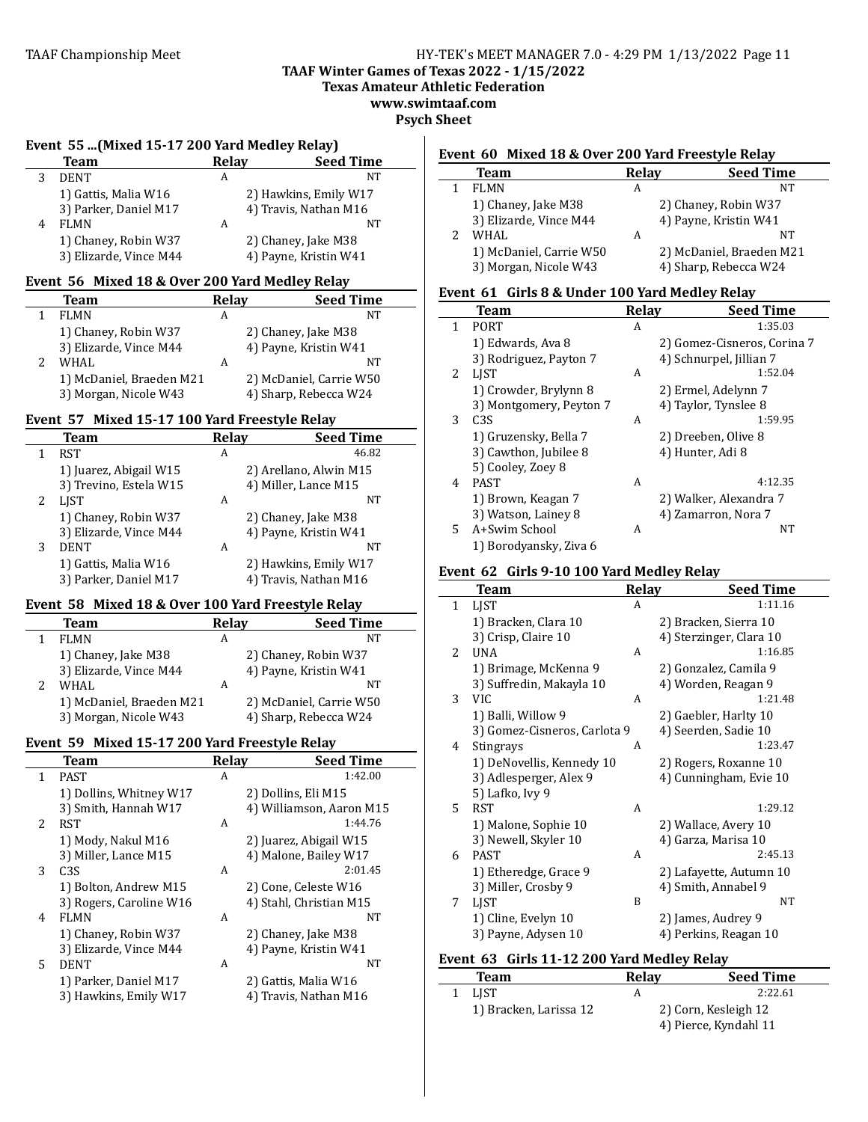**TAAF Winter Games of Texas 2022 - 1/15/2022**

**Texas Amateur Athletic Federation**

**www.swimtaaf.com**

**Psych Sheet**

|   | Event 55 (Mixed 15-17 200 Yard Medley Relay) |       |                       |  |  |
|---|----------------------------------------------|-------|-----------------------|--|--|
|   | <b>Team</b>                                  | Relay | <b>Seed Time</b>      |  |  |
|   | <b>DENT</b>                                  | A     | NT                    |  |  |
|   | 1) Gattis, Malia W16                         |       | 2) Hawkins, Emily W17 |  |  |
|   | 3) Parker, Daniel M17                        |       | 4) Travis, Nathan M16 |  |  |
| 4 | FLMN                                         | A     | NT                    |  |  |
|   | 1) Chaney, Robin W37                         |       | 2) Chaney, Jake M38   |  |  |
|   | 3) Elizarde, Vince M44                       |       | 4) Payne, Kristin W41 |  |  |

#### Event 56 Mixed 18 & Over 200 Yard Medley Relay

| 210.000 PM CH TO WOTCH 200 RM CP CHUI ROM |   |                         |  |
|-------------------------------------------|---|-------------------------|--|
| <b>Team</b>                               |   | <b>Seed Time</b>        |  |
| FLMN                                      | А | <b>NT</b>               |  |
| 1) Chaney, Robin W37                      |   | 2) Chaney, Jake M38     |  |
| 3) Elizarde, Vince M44                    |   | 4) Payne, Kristin W41   |  |
| WHAL.                                     | А | NT                      |  |
| 1) McDaniel, Braeden M21                  |   | 2) McDaniel, Carrie W50 |  |
| 3) Morgan, Nicole W43                     |   | 4) Sharp, Rebecca W24   |  |
|                                           |   | <b>Relay</b>            |  |

# **Event 57 Mixed 15-17 100 Yard Freestyle Relay**

|   | Team                   | <b>Relav</b> | <b>Seed Time</b>       |
|---|------------------------|--------------|------------------------|
| 1 | RST                    | A            | 46.82                  |
|   | 1) Juarez, Abigail W15 |              | 2) Arellano, Alwin M15 |
|   | 3) Trevino, Estela W15 |              | 4) Miller, Lance M15   |
| 2 | <b>LIST</b>            | A            | NT                     |
|   | 1) Chaney, Robin W37   |              | 2) Chaney, Jake M38    |
|   | 3) Elizarde, Vince M44 |              | 4) Payne, Kristin W41  |
| 3 | <b>DENT</b>            | A            | NT                     |
|   | 1) Gattis, Malia W16   |              | 2) Hawkins, Emily W17  |
|   | 3) Parker, Daniel M17  |              | 4) Travis, Nathan M16  |

#### Event 58 Mixed 18 & Over 100 Yard Freestyle Relay

 $\overline{a}$ 

| went yo "maca to a over too fara rrecouvic nelay |                          |       |                         |  |
|--------------------------------------------------|--------------------------|-------|-------------------------|--|
|                                                  | <b>Team</b>              | Relay | <b>Seed Time</b>        |  |
|                                                  | <b>FLMN</b>              | A     | NT                      |  |
|                                                  | 1) Chaney, Jake M38      |       | 2) Chaney, Robin W37    |  |
|                                                  | 3) Elizarde, Vince M44   |       | 4) Payne, Kristin W41   |  |
|                                                  | WHAL.                    | A     | NT                      |  |
|                                                  | 1) McDaniel, Braeden M21 |       | 2) McDaniel, Carrie W50 |  |
|                                                  | 3) Morgan, Nicole W43    |       | 4) Sharp, Rebecca W24   |  |

# Event 59 Mixed 15-17 200 Yard Freestyle Relay

|                | Team                    | <b>Relay</b> | <b>Seed Time</b>         |
|----------------|-------------------------|--------------|--------------------------|
| 1              | <b>PAST</b>             | A            | 1:42.00                  |
|                | 1) Dollins, Whitney W17 |              | 2) Dollins, Eli M15      |
|                | 3) Smith, Hannah W17    |              | 4) Williamson, Aaron M15 |
| $\overline{2}$ | RST                     | A            | 1:44.76                  |
|                | 1) Mody, Nakul M16      |              | 2) Juarez, Abigail W15   |
|                | 3) Miller, Lance M15    |              | 4) Malone, Bailey W17    |
| 3              | C <sub>3</sub> S        | A            | 2:01.45                  |
|                | 1) Bolton, Andrew M15   |              | 2) Cone, Celeste W16     |
|                | 3) Rogers, Caroline W16 |              | 4) Stahl, Christian M15  |
| 4              | <b>FLMN</b>             | A            | NT                       |
|                | 1) Chaney, Robin W37    |              | 2) Chaney, Jake M38      |
|                | 3) Elizarde, Vince M44  |              | 4) Payne, Kristin W41    |
| 5.             | <b>DENT</b>             | A            | NT                       |
|                | 1) Parker, Daniel M17   |              | 2) Gattis, Malia W16     |
|                | 3) Hawkins, Emily W17   |              | 4) Travis, Nathan M16    |
|                |                         |              |                          |

# Event 60 Mixed 18 & Over 200 Yard Freestyle Relay

|  | <b>Team</b>             | Relay | <b>Seed Time</b>         |
|--|-------------------------|-------|--------------------------|
|  | FLMN                    | А     | NT                       |
|  | 1) Chaney, Jake M38     |       | 2) Chaney, Robin W37     |
|  | 3) Elizarde, Vince M44  |       | 4) Payne, Kristin W41    |
|  | WHAI.                   | А     | NT                       |
|  | 1) McDaniel, Carrie W50 |       | 2) McDaniel, Braeden M21 |
|  | 3) Morgan, Nicole W43   |       | 4) Sharp, Rebecca W24    |
|  |                         |       |                          |

#### Event 61 Girls 8 & Under 100 Yard Medley Relay

|                       | <b>Team</b>             | Relav | <b>Seed Time</b>            |
|-----------------------|-------------------------|-------|-----------------------------|
| 1                     | <b>PORT</b>             | A     | 1:35.03                     |
|                       | 1) Edwards, Ava 8       |       | 2) Gomez-Cisneros, Corina 7 |
|                       | 3) Rodriguez, Payton 7  |       | 4) Schnurpel, Jillian 7     |
| $\mathbf{2}^{\prime}$ | <b>LIST</b>             | A     | 1:52.04                     |
|                       | 1) Crowder, Brylynn 8   |       | 2) Ermel, Adelynn 7         |
|                       | 3) Montgomery, Peyton 7 |       | 4) Taylor, Tynslee 8        |
| 3                     | C <sub>3</sub> S        | A     | 1:59.95                     |
|                       | 1) Gruzensky, Bella 7   |       | 2) Dreeben, Olive 8         |
|                       | 3) Cawthon, Jubilee 8   |       | 4) Hunter, Adi 8            |
|                       | 5) Cooley, Zoey 8       |       |                             |
| 4                     | <b>PAST</b>             | A     | 4:12.35                     |
|                       | 1) Brown, Keagan 7      |       | 2) Walker, Alexandra 7      |
|                       | 3) Watson, Lainey 8     |       | 4) Zamarron, Nora 7         |
| 5.                    | A+Swim School           | A     | NΤ                          |
|                       | 1) Borodyansky, Ziya 6  |       |                             |

#### Event 62 Girls 9-10 100 Yard Medley Relay

|               | <b>Team</b>                  | Relay | <b>Seed Time</b>        |
|---------------|------------------------------|-------|-------------------------|
| $\mathbf{1}$  | LIST                         | A     | 1:11.16                 |
|               | 1) Bracken, Clara 10         |       | 2) Bracken, Sierra 10   |
|               | 3) Crisp, Claire 10          |       | 4) Sterzinger, Clara 10 |
| $\mathcal{L}$ | UNA                          | A     | 1:16.85                 |
|               | 1) Brimage, McKenna 9        |       | 2) Gonzalez, Camila 9   |
|               | 3) Suffredin, Makayla 10     |       | 4) Worden, Reagan 9     |
| 3             | <b>VIC</b>                   | A     | 1:21.48                 |
|               | 1) Balli, Willow 9           |       | 2) Gaebler, Harlty 10   |
|               | 3) Gomez-Cisneros, Carlota 9 |       | 4) Seerden, Sadie 10    |
| 4             | Stingrays                    | A     | 1:23.47                 |
|               | 1) DeNovellis, Kennedy 10    |       | 2) Rogers, Roxanne 10   |
|               | 3) Adlesperger, Alex 9       |       | 4) Cunningham, Evie 10  |
|               | 5) Lafko, Ivy 9              |       |                         |
| 5.            | <b>RST</b>                   | A     | 1:29.12                 |
|               | 1) Malone, Sophie 10         |       | 2) Wallace, Avery 10    |
|               | 3) Newell, Skyler 10         |       | 4) Garza, Marisa 10     |
| 6             | <b>PAST</b>                  | A     | 2:45.13                 |
|               | 1) Etheredge, Grace 9        |       | 2) Lafayette, Autumn 10 |
|               | 3) Miller, Crosby 9          |       | 4) Smith, Annabel 9     |
| 7             | LIST                         | B     | <b>NT</b>               |
|               | 1) Cline, Evelyn 10          |       | 2) James, Audrey 9      |
|               | 3) Payne, Adysen 10          |       | 4) Perkins, Reagan 10   |
|               |                              |       |                         |

# Event 63 Girls 11-12 200 Yard Medley Relay

| <b>Team</b>            | Relav | <b>Seed Time</b>      |
|------------------------|-------|-----------------------|
| LIST                   |       | 2:22.61               |
| 1) Bracken, Larissa 12 |       | 2) Corn, Kesleigh 12  |
|                        |       | 4) Pierce, Kyndahl 11 |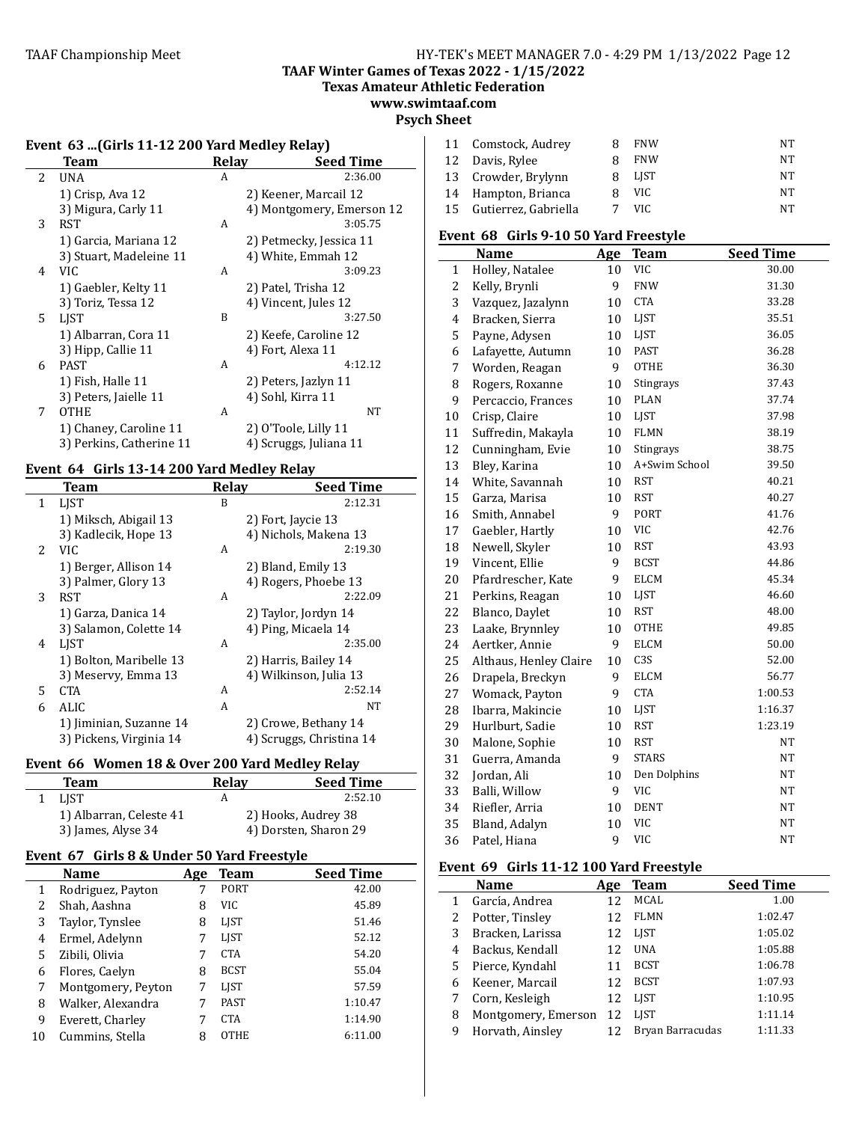**TAAF Winter Games of Texas 2022 - 1/15/2022**

**Texas Amateur Athletic Federation**

#### **www.swimtaaf.com Psych Sheet**

# Event 63 ...(Girls 11-12 200 Yard Medley Relay)

|    | Team                     | Relay | <b>Seed Time</b>          |
|----|--------------------------|-------|---------------------------|
| 2  | UNA                      | A     | 2:36.00                   |
|    | 1) Crisp, Ava 12         |       | 2) Keener, Marcail 12     |
|    | 3) Migura, Carly 11      |       | 4) Montgomery, Emerson 12 |
| 3  | <b>RST</b>               | A     | 3:05.75                   |
|    | 1) Garcia, Mariana 12    |       | 2) Petmecky, Jessica 11   |
|    | 3) Stuart, Madeleine 11  |       | 4) White, Emmah 12        |
| 4  | VIC.                     | A     | 3:09.23                   |
|    | 1) Gaebler, Kelty 11     |       | 2) Patel, Trisha 12       |
|    | 3) Toriz, Tessa 12       |       | 4) Vincent, Jules 12      |
| 5. | <b>LIST</b>              | B     | 3:27.50                   |
|    | 1) Albarran, Cora 11     |       | 2) Keefe, Caroline 12     |
|    | 3) Hipp, Callie 11       |       | 4) Fort, Alexa 11         |
| 6  | <b>PAST</b>              | A     | 4:12.12                   |
|    | 1) Fish, Halle 11        |       | 2) Peters, Jazlyn 11      |
|    | 3) Peters, Jaielle 11    |       | 4) Sohl, Kirra 11         |
| 7  | <b>OTHE</b>              | A     | NT                        |
|    | 1) Chaney, Caroline 11   |       | 2) O'Toole, Lilly 11      |
|    | 3) Perkins, Catherine 11 |       | 4) Scruggs, Juliana 11    |

## Event 64 Girls 13-14 200 Yard Medley Relay

|              | Team                    | Relay | <b>Seed Time</b>         |
|--------------|-------------------------|-------|--------------------------|
| $\mathbf{1}$ | <b>LIST</b>             | B     | 2:12.31                  |
|              | 1) Miksch, Abigail 13   |       | 2) Fort, Jaycie 13       |
|              | 3) Kadlecik, Hope 13    |       | 4) Nichols, Makena 13    |
| 2            | VIC.                    | A     | 2:19.30                  |
|              | 1) Berger, Allison 14   |       | 2) Bland, Emily 13       |
|              | 3) Palmer, Glory 13     |       | 4) Rogers, Phoebe 13     |
| 3            | RST                     | A     | 2:22.09                  |
|              | 1) Garza, Danica 14     |       | 2) Taylor, Jordyn 14     |
|              | 3) Salamon, Colette 14  |       | 4) Ping, Micaela 14      |
| 4            | LIST                    | A     | 2:35.00                  |
|              | 1) Bolton, Maribelle 13 |       | 2) Harris, Bailey 14     |
|              | 3) Meservy, Emma 13     |       | 4) Wilkinson, Julia 13   |
| 5            | CTA                     | A     | 2:52.14                  |
| 6            | ALIC                    | A     | <b>NT</b>                |
|              | 1) Jiminian, Suzanne 14 |       | 2) Crowe, Bethany 14     |
|              | 3) Pickens, Virginia 14 |       | 4) Scruggs, Christina 14 |

# Event 66 Women 18 & Over 200 Yard Medley Relay

| 2008 - 2008 - 2008 - 2014 - 2014 - 2014 - 2014 - 2014 - 2014 - 2014 - 2014 - 2014 - 2014 - 2014 - 20 |       |                       |  |  |
|------------------------------------------------------------------------------------------------------|-------|-----------------------|--|--|
| <b>Team</b>                                                                                          | Relav | <b>Seed Time</b>      |  |  |
| <b>LIST</b>                                                                                          |       | 2:52.10               |  |  |
| 1) Albarran, Celeste 41                                                                              |       | 2) Hooks, Audrey 38   |  |  |
| 3) James, Alyse 34                                                                                   |       | 4) Dorsten, Sharon 29 |  |  |

# **Event 67 Girls 8 & Under 50 Yard Freestyle**

|    | <b>Name</b>        | Age | Team        | <b>Seed Time</b> |
|----|--------------------|-----|-------------|------------------|
| 1  | Rodriguez, Payton  | 7   | <b>PORT</b> | 42.00            |
| 2  | Shah, Aashna       | 8   | <b>VIC</b>  | 45.89            |
| 3  | Taylor, Tynslee    | 8   | LJST        | 51.46            |
| 4  | Ermel, Adelynn     | 7   | LJST        | 52.12            |
| 5  | Zibili, Olivia     | 7   | <b>CTA</b>  | 54.20            |
| 6  | Flores, Caelyn     | 8   | <b>BCST</b> | 55.04            |
| 7  | Montgomery, Peyton | 7   | LIST        | 57.59            |
| 8  | Walker, Alexandra  | 7   | <b>PAST</b> | 1:10.47          |
| 9  | Everett, Charley   | 7   | CTA         | 1:14.90          |
| 10 | Cummins, Stella    | 8   | <b>OTHE</b> | 6:11.00          |

|    | 11 Comstock, Audrey  |   | <b>FNW</b>  | NT |
|----|----------------------|---|-------------|----|
| 12 | Davis, Rylee         |   | <b>FNW</b>  | NT |
|    | 13 Crowder, Brylynn  | я | <b>LIST</b> | NT |
| 14 | Hampton, Brianca     | я | VIC.        | NT |
| 15 | Gutierrez, Gabriella |   | VIC.        | NT |

# Event 68 Girls 9-10 50 Yard Freestyle

|              | <b>Name</b>            | Age | <b>Team</b>   | <b>Seed Time</b> |
|--------------|------------------------|-----|---------------|------------------|
| $\mathbf{1}$ | Holley, Natalee        | 10  | <b>VIC</b>    | 30.00            |
| 2            | Kelly, Brynli          | 9   | <b>FNW</b>    | 31.30            |
| 3            | Vazquez, Jazalynn      | 10  | <b>CTA</b>    | 33.28            |
| 4            | Bracken, Sierra        | 10  | LJST          | 35.51            |
| 5            | Payne, Adysen          | 10  | LJST          | 36.05            |
| 6            | Lafayette, Autumn      | 10  | <b>PAST</b>   | 36.28            |
| 7            | Worden, Reagan         | 9   | <b>OTHE</b>   | 36.30            |
| 8            | Rogers, Roxanne        | 10  | Stingrays     | 37.43            |
| 9            | Percaccio, Frances     | 10  | <b>PLAN</b>   | 37.74            |
| 10           | Crisp, Claire          | 10  | LJST          | 37.98            |
| 11           | Suffredin, Makayla     | 10  | <b>FLMN</b>   | 38.19            |
| 12           | Cunningham, Evie       | 10  | Stingrays     | 38.75            |
| 13           | Bley, Karina           | 10  | A+Swim School | 39.50            |
| 14           | White, Savannah        | 10  | <b>RST</b>    | 40.21            |
| 15           | Garza, Marisa          | 10  | <b>RST</b>    | 40.27            |
| 16           | Smith, Annabel         | 9   | <b>PORT</b>   | 41.76            |
| 17           | Gaebler, Hartly        | 10  | VIC           | 42.76            |
| 18           | Newell, Skyler         | 10  | <b>RST</b>    | 43.93            |
| 19           | Vincent, Ellie         | 9   | <b>BCST</b>   | 44.86            |
| 20           | Pfardrescher, Kate     | 9   | <b>ELCM</b>   | 45.34            |
| 21           | Perkins, Reagan        | 10  | LJST          | 46.60            |
| 22           | Blanco, Daylet         | 10  | <b>RST</b>    | 48.00            |
| 23           | Laake, Brynnley        | 10  | OTHE          | 49.85            |
| 24           | Aertker, Annie         | 9   | <b>ELCM</b>   | 50.00            |
| 25           | Althaus, Henley Claire | 10  | C3S           | 52.00            |
| 26           | Drapela, Breckyn       | 9   | <b>ELCM</b>   | 56.77            |
| 27           | Womack, Payton         | 9   | <b>CTA</b>    | 1:00.53          |
| 28           | Ibarra, Makincie       | 10  | LJST          | 1:16.37          |
| 29           | Hurlburt, Sadie        | 10  | <b>RST</b>    | 1:23.19          |
| 30           | Malone, Sophie         | 10  | <b>RST</b>    | NT               |
| 31           | Guerra, Amanda         | 9   | <b>STARS</b>  | NT               |
| 32           | Jordan, Ali            | 10  | Den Dolphins  | NT               |
| 33           | Balli, Willow          | 9   | VIC           | NT               |
| 34           | Riefler, Arria         | 10  | <b>DENT</b>   | <b>NT</b>        |
| 35           | Bland, Adalyn          | 10  | <b>VIC</b>    | NT               |
| 36           | Patel, Hiana           | 9   | <b>VIC</b>    | NT               |

#### Event 69 Girls 11-12 100 Yard Freestyle

|   | Name                | Age | <b>Team</b>      | <b>Seed Time</b> |
|---|---------------------|-----|------------------|------------------|
| 1 | García, Andrea      | 12  | MCAL             | 1.00             |
|   | Potter, Tinsley     | 12  | <b>FLMN</b>      | 1:02.47          |
| 3 | Bracken, Larissa    | 12  | LIST             | 1:05.02          |
| 4 | Backus, Kendall     | 12  | <b>UNA</b>       | 1:05.88          |
| 5 | Pierce, Kyndahl     | 11  | <b>BCST</b>      | 1:06.78          |
| 6 | Keener, Marcail     | 12  | <b>BCST</b>      | 1:07.93          |
| 7 | Corn, Kesleigh      | 12  | <b>LIST</b>      | 1:10.95          |
| 8 | Montgomery, Emerson | 12  | <b>LIST</b>      | 1:11.14          |
| 9 | Horvath, Ainsley    | 12  | Bryan Barracudas | 1:11.33          |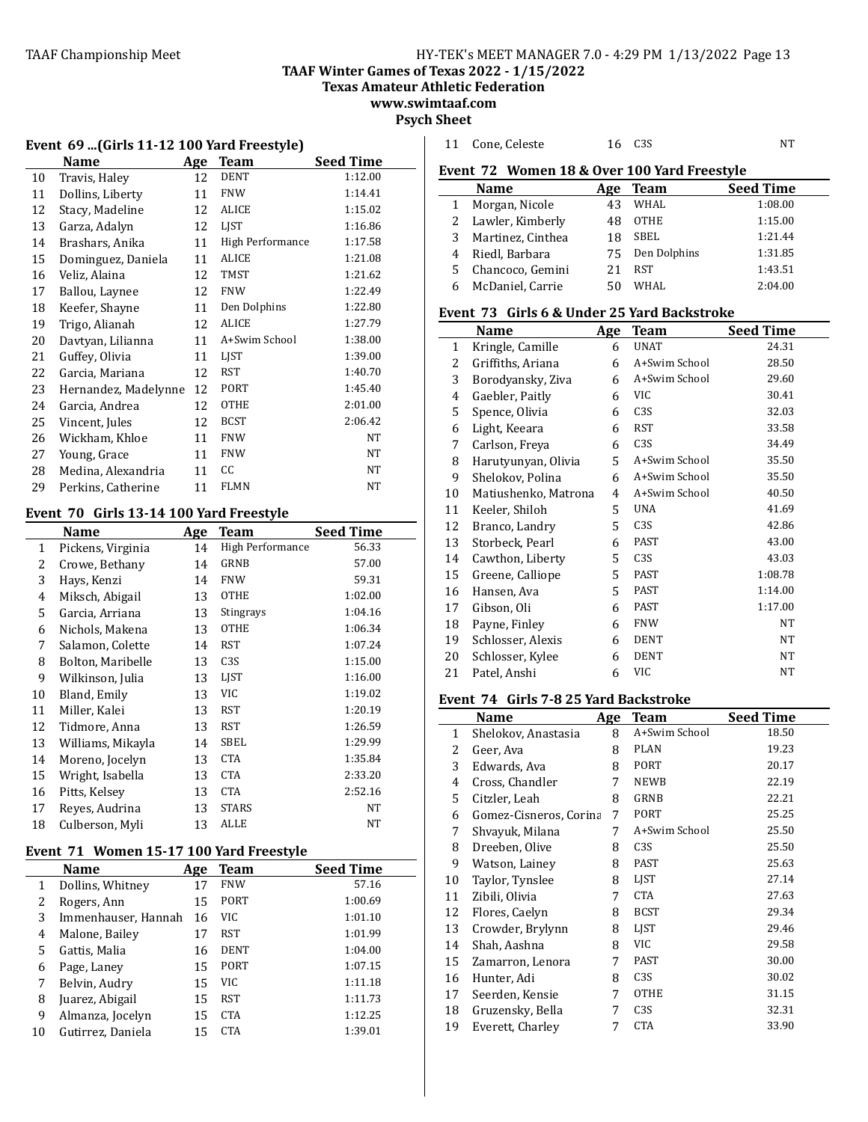**TAAF Winter Games of Texas 2022 - 1/15/2022**

**Texas Amateur Athletic Federation www.swimtaaf.com**

**Psych Sheet**

|  |  |  |  |  |  | Event  69 (Girls 11-12 100 Yard Freestyle) |
|--|--|--|--|--|--|--------------------------------------------|
|--|--|--|--|--|--|--------------------------------------------|

|    | Name                 | <u>Age</u> | Team             | <b>Seed Time</b> |
|----|----------------------|------------|------------------|------------------|
| 10 | Travis, Haley        | 12         | DENT             | 1:12.00          |
| 11 | Dollins, Liberty     | 11         | <b>FNW</b>       | 1:14.41          |
| 12 | Stacy, Madeline      | 12         | ALICE            | 1:15.02          |
| 13 | Garza, Adalyn        | 12         | LIST             | 1:16.86          |
| 14 | Brashars, Anika      | 11         | High Performance | 1:17.58          |
| 15 | Dominguez, Daniela   | 11         | <b>ALICE</b>     | 1:21.08          |
| 16 | Veliz, Alaina        | 12         | TMST             | 1:21.62          |
| 17 | Ballou, Laynee       | 12         | <b>FNW</b>       | 1:22.49          |
| 18 | Keefer, Shayne       | 11         | Den Dolphins     | 1:22.80          |
| 19 | Trigo, Alianah       | 12         | ALICE            | 1:27.79          |
| 20 | Davtyan, Lilianna    | 11         | A+Swim School    | 1:38.00          |
| 21 | Guffey, Olivia       | 11         | LJST             | 1:39.00          |
| 22 | Garcia, Mariana      | 12         | RST              | 1:40.70          |
| 23 | Hernandez, Madelynne | 12         | PORT             | 1:45.40          |
| 24 | Garcia, Andrea       | 12         | <b>OTHE</b>      | 2:01.00          |
| 25 | Vincent, Jules       | 12         | <b>BCST</b>      | 2:06.42          |
| 26 | Wickham, Khloe       | 11         | <b>FNW</b>       | NT               |
| 27 | Young, Grace         | 11         | <b>FNW</b>       | NT               |
| 28 | Medina, Alexandria   | 11         | СC               | NT               |
| 29 | Perkins, Catherine   | 11         | <b>FLMN</b>      | NT               |

# Event 70 Girls 13-14 100 Yard Freestyle

| $\frac{1}{2}$ |                   |            |                         |                  |  |  |
|---------------|-------------------|------------|-------------------------|------------------|--|--|
|               | Name              | <b>Age</b> | <b>Team</b>             | <b>Seed Time</b> |  |  |
| 1             | Pickens, Virginia | 14         | <b>High Performance</b> | 56.33            |  |  |
| 2             | Crowe, Bethany    | 14         | GRNB                    | 57.00            |  |  |
| 3             | Hays, Kenzi       | 14         | <b>FNW</b>              | 59.31            |  |  |
| 4             | Miksch, Abigail   | 13         | OTHE                    | 1:02.00          |  |  |
| 5             | Garcia, Arriana   | 13         | Stingrays               | 1:04.16          |  |  |
| 6             | Nichols, Makena   | 13         | <b>OTHE</b>             | 1:06.34          |  |  |
| 7             | Salamon, Colette  | 14         | <b>RST</b>              | 1:07.24          |  |  |
| 8             | Bolton, Maribelle | 13         | C <sub>3</sub> S        | 1:15.00          |  |  |
| 9             | Wilkinson, Julia  | 13         | <b>LIST</b>             | 1:16.00          |  |  |
| 10            | Bland, Emily      | 13         | VIC                     | 1:19.02          |  |  |
| 11            | Miller, Kalei     | 13         | RST                     | 1:20.19          |  |  |
| 12            | Tidmore, Anna     | 13         | <b>RST</b>              | 1:26.59          |  |  |
| 13            | Williams, Mikayla | 14         | SBEL                    | 1:29.99          |  |  |
| 14            | Moreno, Jocelyn   | 13         | <b>CTA</b>              | 1:35.84          |  |  |
| 15            | Wright, Isabella  | 13         | <b>CTA</b>              | 2:33.20          |  |  |
| 16            | Pitts, Kelsev     | 13         | <b>CTA</b>              | 2:52.16          |  |  |
| 17            | Reyes, Audrina    | 13         | <b>STARS</b>            | NT               |  |  |
| 18            | Culberson, Myli   | 13         | ALLE                    | NT               |  |  |

# Event 71 Women 15-17 100 Yard Freestyle

|    | Name                | Age | Team        | <b>Seed Time</b> |
|----|---------------------|-----|-------------|------------------|
| 1  | Dollins, Whitney    | 17  | <b>FNW</b>  | 57.16            |
| 2  | Rogers, Ann         | 15  | <b>PORT</b> | 1:00.69          |
| 3  | Immenhauser, Hannah | 16  | VIC.        | 1:01.10          |
| 4  | Malone, Bailey      | 17  | RST         | 1:01.99          |
| 5  | Gattis, Malia       | 16  | <b>DENT</b> | 1:04.00          |
| 6  | Page, Laney         | 15  | <b>PORT</b> | 1:07.15          |
| 7  | Belvin, Audry       | 15  | VIC         | 1:11.18          |
| 8  | Juarez, Abigail     | 15  | RST         | 1:11.73          |
| 9  | Almanza, Jocelyn    | 15  | <b>CTA</b>  | 1:12.25          |
| 10 | Gutirrez, Daniela   | 15  | CTA         | 1:39.01          |

| 11                                          | Cone, Celeste                               | 16  | C <sub>3</sub> S | <b>NT</b>        |  |  |
|---------------------------------------------|---------------------------------------------|-----|------------------|------------------|--|--|
| Event 72 Women 18 & Over 100 Yard Freestyle |                                             |     |                  |                  |  |  |
|                                             | Name                                        | Age | <b>Team</b>      | <b>Seed Time</b> |  |  |
| $\mathbf{1}$                                | Morgan, Nicole                              | 43  | <b>WHAL</b>      | 1:08.00          |  |  |
| 2                                           | Lawler, Kimberly                            | 48  | <b>OTHE</b>      | 1:15.00          |  |  |
| 3                                           | Martinez, Cinthea                           | 18  | SBEL             | 1:21.44          |  |  |
| $\overline{4}$                              | Riedl, Barbara                              | 75  | Den Dolphins     | 1:31.85          |  |  |
| 5                                           | Chancoco, Gemini                            | 21  | <b>RST</b>       | 1:43.51          |  |  |
| 6                                           | McDaniel, Carrie                            | 50  | <b>WHAL</b>      | 2:04.00          |  |  |
|                                             | Event 73 Girls 6 & Under 25 Yard Backstroke |     |                  |                  |  |  |
|                                             | <b>Name</b>                                 | Age | <b>Team</b>      | <b>Seed Time</b> |  |  |
| 1                                           | Kringle, Camille                            | 6   | <b>UNAT</b>      | 24.31            |  |  |
| 2                                           | Griffiths, Ariana                           | 6   | A+Swim School    | 28.50            |  |  |
| 3                                           | Borodyansky, Ziva                           | 6   | A+Swim School    | 29.60            |  |  |
| 4                                           | Gaebler, Paitly                             | 6   | <b>VIC</b>       | 30.41            |  |  |
| 5                                           | Spence, Olivia                              | 6   | C <sub>3</sub> S | 32.03            |  |  |
| 6                                           | Light, Keeara                               | 6   | <b>RST</b>       | 33.58            |  |  |
| 7                                           | Carlson, Freya                              | 6   | C <sub>3</sub> S | 34.49            |  |  |
| 8                                           | Harutyunyan, Olivia                         | 5   | A+Swim School    | 35.50            |  |  |
| 9                                           | Shelokov, Polina                            | 6   | A+Swim School    | 35.50            |  |  |
| 10                                          | Matiushenko, Matrona                        | 4   | A+Swim School    | 40.50            |  |  |
| 11                                          | Keeler, Shiloh                              | 5   | <b>UNA</b>       | 41.69            |  |  |
| 12                                          | Branco, Landry                              | 5   | C <sub>3</sub> S | 42.86            |  |  |
| 13                                          | Storbeck, Pearl                             | 6   | <b>PAST</b>      | 43.00            |  |  |
| 14                                          | Cawthon, Liberty                            | 5   | C <sub>3</sub> S | 43.03            |  |  |
| 15                                          | Greene, Calliope                            | 5   | <b>PAST</b>      | 1:08.78          |  |  |
| 16                                          | Hansen, Ava                                 | 5   | <b>PAST</b>      | 1:14.00          |  |  |
| 17                                          | Gibson, Oli                                 | 6   | <b>PAST</b>      | 1:17.00          |  |  |
| 18                                          | Payne, Finley                               | 6   | <b>FNW</b>       | <b>NT</b>        |  |  |
| 19                                          | Schlosser, Alexis                           | 6   | <b>DENT</b>      | NT               |  |  |
| 20                                          | Schlosser, Kylee                            | 6   | <b>DENT</b>      | NT               |  |  |
| 21                                          | Patel, Anshi                                | 6   | <b>VIC</b>       | <b>NT</b>        |  |  |

#### **Event 74 Girls 7-8 25 Yard Backstroke**

|    | Name                   | Age | <b>Team</b>      | Seed Time |
|----|------------------------|-----|------------------|-----------|
| 1  | Shelokov, Anastasia    | 8   | A+Swim School    | 18.50     |
| 2  | Geer, Ava              | 8   | PLAN             | 19.23     |
| 3  | Edwards, Ava           | 8   | PORT             | 20.17     |
| 4  | Cross, Chandler        | 7   | <b>NEWB</b>      | 22.19     |
| 5  | Citzler, Leah          | 8   | GRNB             | 22.21     |
| 6  | Gomez-Cisneros, Corina | 7   | PORT             | 25.25     |
| 7  | Shvayuk, Milana        | 7   | A+Swim School    | 25.50     |
| 8  | Dreeben, Olive         | 8   | C3S              | 25.50     |
| 9  | Watson, Lainey         | 8   | PAST             | 25.63     |
| 10 | Taylor, Tynslee        | 8   | LJST             | 27.14     |
| 11 | Zibili, Olivia         | 7   | <b>CTA</b>       | 27.63     |
| 12 | Flores, Caelyn         | 8   | <b>BCST</b>      | 29.34     |
| 13 | Crowder, Brylynn       | 8   | <b>LIST</b>      | 29.46     |
| 14 | Shah, Aashna           | 8   | VIC              | 29.58     |
| 15 | Zamarron, Lenora       | 7   | PAST             | 30.00     |
| 16 | Hunter, Adi            | 8   | C <sub>3</sub> S | 30.02     |
| 17 | Seerden, Kensie        | 7   | <b>OTHE</b>      | 31.15     |
| 18 | Gruzensky, Bella       | 7   | C <sub>3</sub> S | 32.31     |
| 19 | Everett, Charley       | 7   | <b>CTA</b>       | 33.90     |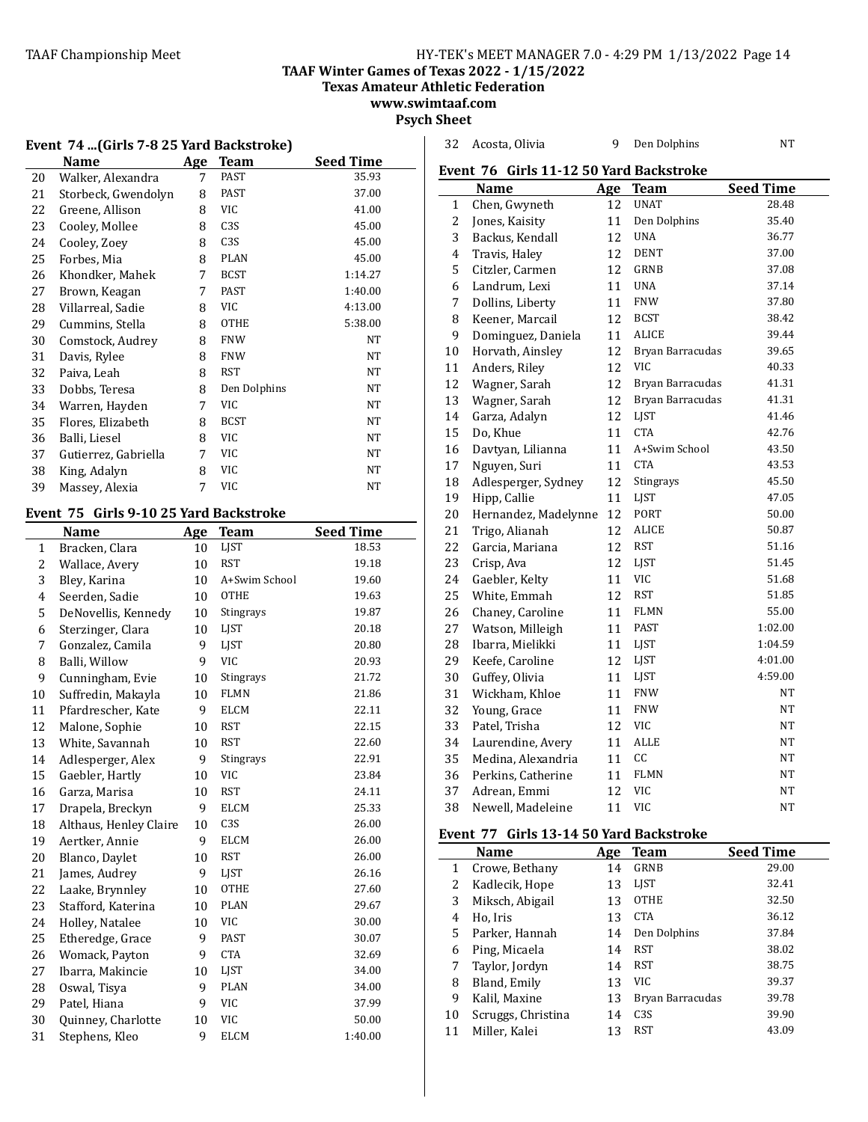32 Acosta, Olivia 9 Den Dolphins NT

**TAAF Winter Games of Texas 2022 - 1/15/2022**

**Texas Amateur Athletic Federation**

**www.swimtaaf.com**

**Psych Sheet**

| Event 74  (Girls 7-8 25 Yard Backstroke) |                                        |     |                  |                  |  |
|------------------------------------------|----------------------------------------|-----|------------------|------------------|--|
|                                          | <b>Name</b>                            |     | Age Team         | <b>Seed Time</b> |  |
| 20                                       | Walker, Alexandra                      | 7   | <b>PAST</b>      | 35.93            |  |
| 21                                       | Storbeck, Gwendolyn                    | 8   | <b>PAST</b>      | 37.00            |  |
| 22                                       | Greene, Allison                        | 8   | <b>VIC</b>       | 41.00            |  |
| 23                                       | Cooley, Mollee                         | 8   | C <sub>3</sub> S | 45.00            |  |
| 24                                       | Cooley, Zoey                           | 8   | C3S              | 45.00            |  |
| 25                                       | Forbes, Mia                            | 8   | <b>PLAN</b>      | 45.00            |  |
| 26                                       | Khondker, Mahek                        | 7   | <b>BCST</b>      | 1:14.27          |  |
| 27                                       | Brown, Keagan                          | 7   | PAST             | 1:40.00          |  |
| 28                                       | Villarreal, Sadie                      | 8   | VIC              | 4:13.00          |  |
| 29                                       | Cummins, Stella                        | 8   | <b>OTHE</b>      | 5:38.00          |  |
| 30                                       | Comstock, Audrey                       | 8   | <b>FNW</b>       | NT               |  |
| 31                                       | Davis, Rylee                           | 8   | <b>FNW</b>       | NT               |  |
| 32                                       | Paiva, Leah                            | 8   | <b>RST</b>       | NΤ               |  |
| 33                                       | Dobbs, Teresa                          | 8   | Den Dolphins     | NT               |  |
| 34                                       | Warren, Hayden                         | 7   | <b>VIC</b>       | NT               |  |
| 35                                       | Flores, Elizabeth                      | 8   | <b>BCST</b>      | NT               |  |
| 36                                       | Balli, Liesel                          | 8   | VIC              | NT               |  |
| 37                                       | Gutierrez, Gabriella                   | 7   | VIC              | NT               |  |
| 38                                       | King, Adalyn                           | 8   | <b>VIC</b>       | NT               |  |
| 39                                       | Massey, Alexia                         | 7   | <b>VIC</b>       | NT               |  |
|                                          |                                        |     |                  |                  |  |
|                                          | Event 75 Girls 9-10 25 Yard Backstroke |     |                  |                  |  |
|                                          | <b>Name</b>                            | Age | <b>Team</b>      | <b>Seed Time</b> |  |
|                                          |                                        |     |                  |                  |  |
| $\mathbf{1}$                             | Bracken, Clara                         | 10  | LJST             | 18.53            |  |
| $\overline{c}$                           | Wallace, Avery                         | 10  | <b>RST</b>       | 19.18            |  |
| 3                                        | Bley, Karina                           | 10  | A+Swim School    | 19.60            |  |
| 4                                        | Seerden, Sadie                         | 10  | <b>OTHE</b>      | 19.63            |  |
| 5                                        | DeNovellis, Kennedy                    | 10  | Stingrays        | 19.87            |  |
| 6                                        | Sterzinger, Clara                      | 10  | LJST             | 20.18            |  |
| 7                                        | Gonzalez, Camila                       | 9   | <b>LIST</b>      | 20.80            |  |
| 8                                        | Balli, Willow                          | 9   | VIC              | 20.93            |  |
| 9                                        | Cunningham, Evie                       | 10  | Stingrays        | 21.72            |  |
| 10                                       | Suffredin, Makayla                     | 10  | <b>FLMN</b>      | 21.86            |  |
| 11                                       | Pfardrescher, Kate                     | 9   | <b>ELCM</b>      | 22.11            |  |
| 12                                       | Malone, Sophie                         | 10  | <b>RST</b>       | 22.15            |  |
| 13                                       | White, Savannah                        | 10  | <b>RST</b>       | 22.60            |  |
| 14                                       | Adlesperger, Alex                      | 9   | Stingrays        | 22.91            |  |
| 15                                       | Gaebler, Hartly                        | 10  | VIC              | 23.84            |  |
| 16                                       | Garza, Marisa                          | 10  | <b>RST</b>       | 24.11            |  |
| 17                                       | Drapela, Breckyn                       | 9   | <b>ELCM</b>      | 25.33            |  |
| 18                                       | Althaus, Henley Claire                 | 10  | C <sub>3</sub> S | 26.00            |  |
| 19                                       | Aertker, Annie                         | 9   | <b>ELCM</b>      | 26.00            |  |
| 20                                       | Blanco, Daylet                         | 10  | <b>RST</b>       | 26.00            |  |

21 James, Audrey 9 LJST 26.16<br>22 Laake, Brynnley 10 OTHE 27.60

23 Stafford, Katerina 10 PLAN 29.67<br>24 Holley, Natalee 10 VIC 30.00 24 Holley, Natalee 10 VIC 30.00 25 Etheredge, Grace 9 PAST 30.07 26 Womack, Payton 9 CTA 32.69 Ibarra, Makincie 10 LJST 34.00 28 Oswal, Tisya 9 PLAN 34.00 29 Patel, Hiana 9 VIC 37.99 30 Quinney, Charlotte 10 VIC 50.00 Stephens, Kleo 9 ELCM 1:40.00

22 Laake, Brynnley

| <b>Seed Time</b><br><b>Name</b><br>Age<br><b>Team</b><br><b>UNAT</b><br>$\mathbf{1}$<br>Chen, Gwyneth<br>12<br>Den Dolphins<br>2<br>Jones, Kaisity<br>11<br>3<br>Backus, Kendall<br><b>UNA</b><br>12<br>4<br>12<br><b>DENT</b><br>Travis, Haley<br>5<br>12<br><b>GRNB</b><br>Citzler, Carmen<br>6<br>Landrum, Lexi<br>11<br><b>UNA</b><br>7<br><b>FNW</b><br>Dollins, Liberty<br>11<br><b>BCST</b><br>8<br>Keener, Marcail<br>12<br>9<br><b>ALICE</b><br>Dominguez, Daniela<br>11<br>Horvath, Ainsley<br>12<br>Bryan Barracudas<br>10<br><b>VIC</b><br>12<br>11<br>Anders, Riley<br>12<br>12<br>Wagner, Sarah<br>Bryan Barracudas<br>13<br>12<br>Bryan Barracudas<br>Wagner, Sarah<br>Garza, Adalyn<br>12<br>LIST<br>14<br><b>CTA</b><br>15<br>Do, Khue<br>11<br>16<br>Davtyan, Lilianna<br>11<br>A+Swim School | Event 76 Girls 11-12 50 Yard Backstroke |  |  |  |  |  |  |
|-----------------------------------------------------------------------------------------------------------------------------------------------------------------------------------------------------------------------------------------------------------------------------------------------------------------------------------------------------------------------------------------------------------------------------------------------------------------------------------------------------------------------------------------------------------------------------------------------------------------------------------------------------------------------------------------------------------------------------------------------------------------------------------------------------------------|-----------------------------------------|--|--|--|--|--|--|
|                                                                                                                                                                                                                                                                                                                                                                                                                                                                                                                                                                                                                                                                                                                                                                                                                 |                                         |  |  |  |  |  |  |
|                                                                                                                                                                                                                                                                                                                                                                                                                                                                                                                                                                                                                                                                                                                                                                                                                 | 28.48                                   |  |  |  |  |  |  |
|                                                                                                                                                                                                                                                                                                                                                                                                                                                                                                                                                                                                                                                                                                                                                                                                                 | 35.40                                   |  |  |  |  |  |  |
|                                                                                                                                                                                                                                                                                                                                                                                                                                                                                                                                                                                                                                                                                                                                                                                                                 | 36.77                                   |  |  |  |  |  |  |
|                                                                                                                                                                                                                                                                                                                                                                                                                                                                                                                                                                                                                                                                                                                                                                                                                 | 37.00                                   |  |  |  |  |  |  |
|                                                                                                                                                                                                                                                                                                                                                                                                                                                                                                                                                                                                                                                                                                                                                                                                                 | 37.08                                   |  |  |  |  |  |  |
|                                                                                                                                                                                                                                                                                                                                                                                                                                                                                                                                                                                                                                                                                                                                                                                                                 | 37.14                                   |  |  |  |  |  |  |
|                                                                                                                                                                                                                                                                                                                                                                                                                                                                                                                                                                                                                                                                                                                                                                                                                 | 37.80                                   |  |  |  |  |  |  |
|                                                                                                                                                                                                                                                                                                                                                                                                                                                                                                                                                                                                                                                                                                                                                                                                                 | 38.42                                   |  |  |  |  |  |  |
|                                                                                                                                                                                                                                                                                                                                                                                                                                                                                                                                                                                                                                                                                                                                                                                                                 | 39.44                                   |  |  |  |  |  |  |
|                                                                                                                                                                                                                                                                                                                                                                                                                                                                                                                                                                                                                                                                                                                                                                                                                 | 39.65                                   |  |  |  |  |  |  |
|                                                                                                                                                                                                                                                                                                                                                                                                                                                                                                                                                                                                                                                                                                                                                                                                                 | 40.33                                   |  |  |  |  |  |  |
|                                                                                                                                                                                                                                                                                                                                                                                                                                                                                                                                                                                                                                                                                                                                                                                                                 | 41.31                                   |  |  |  |  |  |  |
|                                                                                                                                                                                                                                                                                                                                                                                                                                                                                                                                                                                                                                                                                                                                                                                                                 | 41.31                                   |  |  |  |  |  |  |
|                                                                                                                                                                                                                                                                                                                                                                                                                                                                                                                                                                                                                                                                                                                                                                                                                 | 41.46                                   |  |  |  |  |  |  |
|                                                                                                                                                                                                                                                                                                                                                                                                                                                                                                                                                                                                                                                                                                                                                                                                                 | 42.76                                   |  |  |  |  |  |  |
|                                                                                                                                                                                                                                                                                                                                                                                                                                                                                                                                                                                                                                                                                                                                                                                                                 | 43.50                                   |  |  |  |  |  |  |
| <b>CTA</b><br>17<br>Nguyen, Suri<br>11                                                                                                                                                                                                                                                                                                                                                                                                                                                                                                                                                                                                                                                                                                                                                                          | 43.53                                   |  |  |  |  |  |  |
| Adlesperger, Sydney<br>12<br>Stingrays<br>18                                                                                                                                                                                                                                                                                                                                                                                                                                                                                                                                                                                                                                                                                                                                                                    | 45.50                                   |  |  |  |  |  |  |
| LJST<br>19<br>Hipp, Callie<br>11                                                                                                                                                                                                                                                                                                                                                                                                                                                                                                                                                                                                                                                                                                                                                                                | 47.05                                   |  |  |  |  |  |  |
| PORT<br>20<br>12<br>Hernandez, Madelynne                                                                                                                                                                                                                                                                                                                                                                                                                                                                                                                                                                                                                                                                                                                                                                        | 50.00                                   |  |  |  |  |  |  |
| 21<br>12<br>ALICE<br>Trigo, Alianah                                                                                                                                                                                                                                                                                                                                                                                                                                                                                                                                                                                                                                                                                                                                                                             | 50.87                                   |  |  |  |  |  |  |
| 22<br>12<br><b>RST</b><br>Garcia, Mariana                                                                                                                                                                                                                                                                                                                                                                                                                                                                                                                                                                                                                                                                                                                                                                       | 51.16                                   |  |  |  |  |  |  |
| 23<br>12<br>LJST<br>Crisp, Ava                                                                                                                                                                                                                                                                                                                                                                                                                                                                                                                                                                                                                                                                                                                                                                                  | 51.45                                   |  |  |  |  |  |  |
| <b>VIC</b><br>24<br>Gaebler, Kelty<br>11                                                                                                                                                                                                                                                                                                                                                                                                                                                                                                                                                                                                                                                                                                                                                                        | 51.68                                   |  |  |  |  |  |  |
| 25<br>White, Emmah<br>12<br><b>RST</b>                                                                                                                                                                                                                                                                                                                                                                                                                                                                                                                                                                                                                                                                                                                                                                          | 51.85                                   |  |  |  |  |  |  |
| <b>FLMN</b><br>Chaney, Caroline<br>26<br>11                                                                                                                                                                                                                                                                                                                                                                                                                                                                                                                                                                                                                                                                                                                                                                     | 55.00                                   |  |  |  |  |  |  |
| <b>PAST</b><br>27<br>Watson, Milleigh<br>11                                                                                                                                                                                                                                                                                                                                                                                                                                                                                                                                                                                                                                                                                                                                                                     | 1:02.00                                 |  |  |  |  |  |  |
| 28<br>Ibarra, Mielikki<br>11<br><b>LIST</b>                                                                                                                                                                                                                                                                                                                                                                                                                                                                                                                                                                                                                                                                                                                                                                     | 1:04.59                                 |  |  |  |  |  |  |
| 29<br>12<br><b>LIST</b><br>Keefe, Caroline                                                                                                                                                                                                                                                                                                                                                                                                                                                                                                                                                                                                                                                                                                                                                                      | 4:01.00                                 |  |  |  |  |  |  |
| 30<br>LJST<br>Guffey, Olivia<br>11                                                                                                                                                                                                                                                                                                                                                                                                                                                                                                                                                                                                                                                                                                                                                                              | 4:59.00                                 |  |  |  |  |  |  |
| 31<br><b>FNW</b><br>Wickham, Khloe<br>11                                                                                                                                                                                                                                                                                                                                                                                                                                                                                                                                                                                                                                                                                                                                                                        | NT                                      |  |  |  |  |  |  |
| <b>FNW</b><br>32<br>Young, Grace<br>11                                                                                                                                                                                                                                                                                                                                                                                                                                                                                                                                                                                                                                                                                                                                                                          | NT                                      |  |  |  |  |  |  |
| 33<br>Patel, Trisha<br>12<br>VIC                                                                                                                                                                                                                                                                                                                                                                                                                                                                                                                                                                                                                                                                                                                                                                                | <b>NT</b>                               |  |  |  |  |  |  |
| 34<br>ALLE<br>Laurendine, Avery<br>11                                                                                                                                                                                                                                                                                                                                                                                                                                                                                                                                                                                                                                                                                                                                                                           | NΤ                                      |  |  |  |  |  |  |
| cc<br>35<br>Medina, Alexandria<br>11                                                                                                                                                                                                                                                                                                                                                                                                                                                                                                                                                                                                                                                                                                                                                                            | $_{\rm NT}$                             |  |  |  |  |  |  |
| <b>FLMN</b><br>36<br>Perkins, Catherine<br>11                                                                                                                                                                                                                                                                                                                                                                                                                                                                                                                                                                                                                                                                                                                                                                   | NT                                      |  |  |  |  |  |  |
| 37<br>Adrean, Emmi<br>12<br>VIC                                                                                                                                                                                                                                                                                                                                                                                                                                                                                                                                                                                                                                                                                                                                                                                 | NΤ                                      |  |  |  |  |  |  |
| VIC<br>38<br>Newell, Madeleine<br>11                                                                                                                                                                                                                                                                                                                                                                                                                                                                                                                                                                                                                                                                                                                                                                            | NΤ                                      |  |  |  |  |  |  |

# **Event 77 Girls 13-14 50 Yard Backstroke**

|    | Name               | Age | <b>Team</b>      | <b>Seed Time</b> |
|----|--------------------|-----|------------------|------------------|
| 1  | Crowe, Bethany     | 14  | GRNB             | 29.00            |
| 2  | Kadlecik, Hope     | 13  | LIST             | 32.41            |
| 3  | Miksch, Abigail    | 13  | <b>OTHE</b>      | 32.50            |
| 4  | Ho, Iris           | 13  | <b>CTA</b>       | 36.12            |
| 5  | Parker, Hannah     | 14  | Den Dolphins     | 37.84            |
| 6  | Ping, Micaela      | 14  | <b>RST</b>       | 38.02            |
| 7  | Taylor, Jordyn     | 14  | <b>RST</b>       | 38.75            |
| 8  | Bland, Emily       | 13  | <b>VIC</b>       | 39.37            |
| 9  | Kalil, Maxine      | 13  | Bryan Barracudas | 39.78            |
| 10 | Scruggs, Christina | 14  | C <sub>3</sub> S | 39.90            |
| 11 | Miller, Kalei      | 13  | <b>RST</b>       | 43.09            |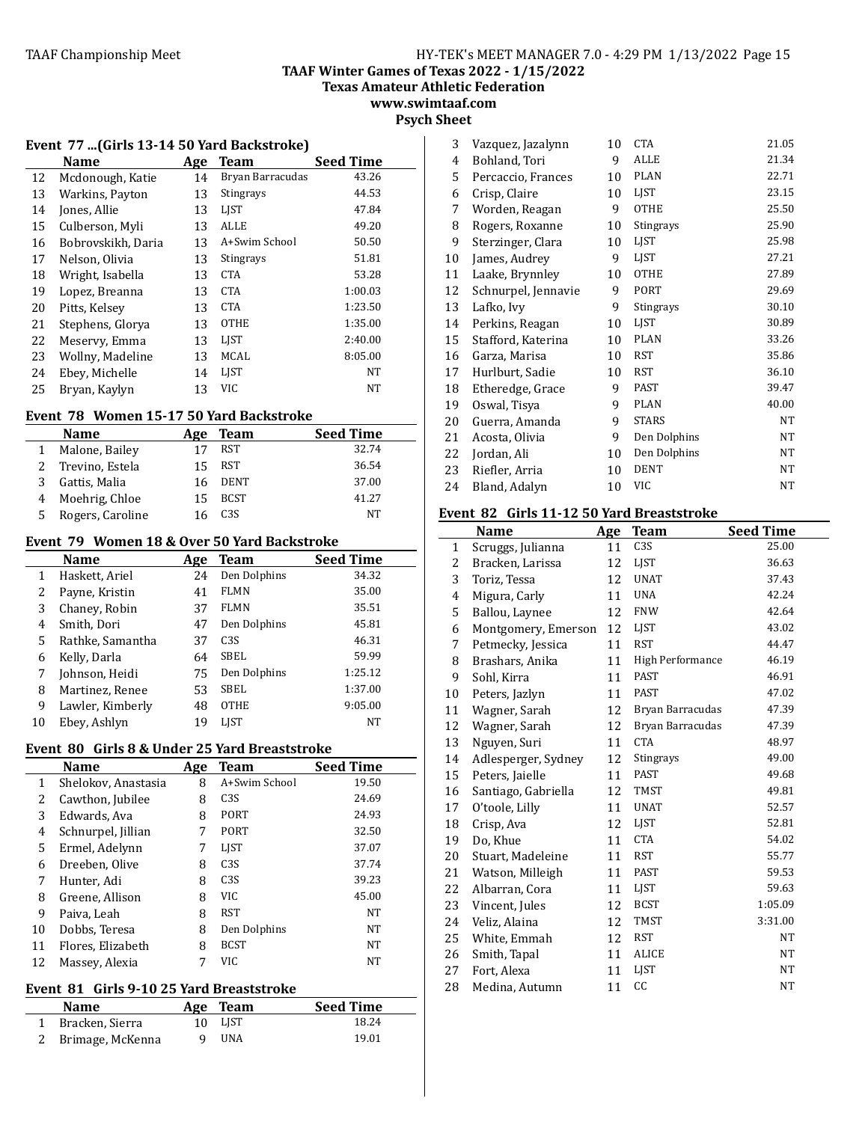**TAAF Winter Games of Texas 2022 - 1/15/2022**

**Texas Amateur Athletic Federation**

**www.swimtaaf.com**

# **Psych Sheet**

## Event 77 ...(Girls 13-14 50 Yard Backstroke)

|    | Name               | Age | <b>Team</b>      | <b>Seed Time</b> |
|----|--------------------|-----|------------------|------------------|
| 12 | Mcdonough, Katie   | 14  | Bryan Barracudas | 43.26            |
| 13 | Warkins, Payton    | 13  | Stingrays        | 44.53            |
| 14 | Jones, Allie       | 13  | <b>LIST</b>      | 47.84            |
| 15 | Culberson, Myli    | 13  | <b>ALLE</b>      | 49.20            |
| 16 | Bobrovskikh, Daria | 13  | A+Swim School    | 50.50            |
| 17 | Nelson, Olivia     | 13  | Stingrays        | 51.81            |
| 18 | Wright, Isabella   | 13  | <b>CTA</b>       | 53.28            |
| 19 | Lopez, Breanna     | 13  | <b>CTA</b>       | 1:00.03          |
| 20 | Pitts, Kelsev      | 13  | <b>CTA</b>       | 1:23.50          |
| 21 | Stephens, Glorya   | 13  | <b>OTHE</b>      | 1:35.00          |
| 22 | Meservy, Emma      | 13  | LIST             | 2:40.00          |
| 23 | Wollny, Madeline   | 13  | <b>MCAL</b>      | 8:05.00          |
| 24 | Ebey, Michelle     | 14  | LIST             | NT               |
| 25 | Bryan, Kaylyn      | 13  | VIC              | NT               |

#### Event 78 Women 15-17 50 Yard Backstroke

|   | <b>Name</b>       | Age | <b>Team</b>      | <b>Seed Time</b> |
|---|-------------------|-----|------------------|------------------|
|   | Malone, Bailey    |     | RST              | 32.74            |
|   | 2 Trevino, Estela | 15  | <b>RST</b>       | 36.54            |
|   | Gattis, Malia     |     | DENT             | 37.00            |
|   | Moehrig, Chloe    | 15  | <b>BCST</b>      | 41.27            |
| 5 | Rogers, Caroline  |     | C <sub>3</sub> S | NT               |

#### Event 79 Women 18 & Over 50 Yard Backstroke

|    | Name             | Age | Team             | Seed Time |
|----|------------------|-----|------------------|-----------|
| 1  | Haskett, Ariel   | 24  | Den Dolphins     | 34.32     |
| 2  | Payne, Kristin   | 41  | <b>FLMN</b>      | 35.00     |
| 3  | Chaney, Robin    | 37  | <b>FLMN</b>      | 35.51     |
| 4  | Smith, Dori      | 47  | Den Dolphins     | 45.81     |
| 5  | Rathke, Samantha | 37  | C <sub>3</sub> S | 46.31     |
| 6  | Kelly, Darla     | 64  | SBEL             | 59.99     |
|    | Johnson, Heidi   | 75  | Den Dolphins     | 1:25.12   |
| 8  | Martinez, Renee  | 53  | SBEL             | 1:37.00   |
| 9  | Lawler, Kimberly | 48  | <b>OTHE</b>      | 9:05.00   |
| 10 | Ebey, Ashlyn     | 19  | <b>LIST</b>      | NT        |

#### Event 80 Girls 8 & Under 25 Yard Breaststroke

|    | <b>Name</b>         | Age | <b>Team</b>     | <b>Seed Time</b> |
|----|---------------------|-----|-----------------|------------------|
| 1  | Shelokov, Anastasia | 8   | A+Swim School   | 19.50            |
| 2  | Cawthon, Jubilee    | 8   | C <sub>3S</sub> | 24.69            |
| 3  | Edwards, Ava        | 8   | <b>PORT</b>     | 24.93            |
| 4  | Schnurpel, Jillian  | 7   | <b>PORT</b>     | 32.50            |
| 5  | Ermel, Adelynn      | 7   | <b>LIST</b>     | 37.07            |
| 6  | Dreeben, Olive      | 8   | C <sub>3S</sub> | 37.74            |
| 7  | Hunter, Adi         | 8   | C <sub>3S</sub> | 39.23            |
| 8  | Greene, Allison     | 8   | <b>VIC</b>      | 45.00            |
| 9  | Paiva. Leah         | 8   | RST             | <b>NT</b>        |
| 10 | Dobbs, Teresa       | 8   | Den Dolphins    | <b>NT</b>        |
| 11 | Flores, Elizabeth   | 8   | <b>BCST</b>     | NT               |
| 12 | Massey, Alexia      |     | VIC             | <b>NT</b>        |

# Event 81 Girls 9-10 25 Yard Breaststroke

| <b>Name</b>        |   | Age Team | <b>Seed Time</b> |
|--------------------|---|----------|------------------|
| 1 Bracken, Sierra  |   | 10 LIST  | 18.24            |
| 2 Brimage, McKenna | q | UNA      | 19.01            |

| 3  | Vazquez, Jazalynn   | 10 | <b>CTA</b>   | 21.05     |
|----|---------------------|----|--------------|-----------|
| 4  | Bohland, Tori       | 9  | ALLE         | 21.34     |
| 5  | Percaccio, Frances  | 10 | <b>PLAN</b>  | 22.71     |
| 6  | Crisp, Claire       | 10 | <b>LIST</b>  | 23.15     |
| 7  | Worden, Reagan      | 9  | <b>OTHE</b>  | 25.50     |
| 8  | Rogers, Roxanne     | 10 | Stingrays    | 25.90     |
| 9  | Sterzinger, Clara   | 10 | LIST         | 25.98     |
| 10 | James, Audrey       | 9  | LJST         | 27.21     |
| 11 | Laake, Brynnley     | 10 | <b>OTHE</b>  | 27.89     |
| 12 | Schnurpel, Jennavie | 9  | PORT         | 29.69     |
| 13 | Lafko, Ivy          | 9  | Stingrays    | 30.10     |
| 14 | Perkins, Reagan     | 10 | LJST         | 30.89     |
| 15 | Stafford, Katerina  | 10 | <b>PLAN</b>  | 33.26     |
| 16 | Garza, Marisa       | 10 | <b>RST</b>   | 35.86     |
| 17 | Hurlburt, Sadie     | 10 | <b>RST</b>   | 36.10     |
| 18 | Etheredge, Grace    | 9  | PAST         | 39.47     |
| 19 | Oswal, Tisya        | 9  | <b>PLAN</b>  | 40.00     |
| 20 | Guerra, Amanda      | 9  | <b>STARS</b> | NT        |
| 21 | Acosta, Olivia      | 9  | Den Dolphins | <b>NT</b> |
| 22 | Jordan, Ali         | 10 | Den Dolphins | NT        |
| 23 | Riefler, Arria      | 10 | <b>DENT</b>  | NT        |
| 24 | Bland, Adalyn       | 10 | <b>VIC</b>   | NΤ        |

#### Event 82 Girls 11-12 50 Yard Breaststroke

|    | <b>Name</b>         | Age | <b>Team</b>      | <b>Seed Time</b> |
|----|---------------------|-----|------------------|------------------|
| 1  | Scruggs, Julianna   | 11  | C <sub>3</sub> S | 25.00            |
| 2  | Bracken, Larissa    | 12  | LJST             | 36.63            |
| 3  | Toriz, Tessa        | 12  | <b>UNAT</b>      | 37.43            |
| 4  | Migura, Carly       | 11  | <b>UNA</b>       | 42.24            |
| 5  | Ballou, Laynee      | 12  | <b>FNW</b>       | 42.64            |
| 6  | Montgomery, Emerson | 12  | <b>LIST</b>      | 43.02            |
| 7  | Petmecky, Jessica   | 11  | <b>RST</b>       | 44.47            |
| 8  | Brashars, Anika     | 11  | High Performance | 46.19            |
| 9  | Sohl, Kirra         | 11  | <b>PAST</b>      | 46.91            |
| 10 | Peters, Jazlyn      | 11  | <b>PAST</b>      | 47.02            |
| 11 | Wagner, Sarah       | 12  | Bryan Barracudas | 47.39            |
| 12 | Wagner, Sarah       | 12  | Bryan Barracudas | 47.39            |
| 13 | Nguyen, Suri        | 11  | <b>CTA</b>       | 48.97            |
| 14 | Adlesperger, Sydney | 12  | Stingrays        | 49.00            |
| 15 | Peters, Jaielle     | 11  | <b>PAST</b>      | 49.68            |
| 16 | Santiago, Gabriella | 12  | TMST             | 49.81            |
| 17 | O'toole, Lilly      | 11  | <b>UNAT</b>      | 52.57            |
| 18 | Crisp, Ava          | 12  | LIST             | 52.81            |
| 19 | Do, Khue            | 11  | <b>CTA</b>       | 54.02            |
| 20 | Stuart, Madeleine   | 11  | <b>RST</b>       | 55.77            |
| 21 | Watson, Milleigh    | 11  | <b>PAST</b>      | 59.53            |
| 22 | Albarran, Cora      | 11  | LJST             | 59.63            |
| 23 | Vincent, Jules      | 12  | <b>BCST</b>      | 1:05.09          |
| 24 | Veliz, Alaina       | 12  | <b>TMST</b>      | 3:31.00          |
| 25 | White, Emmah        | 12  | <b>RST</b>       | NT               |
| 26 | Smith, Tapal        | 11  | <b>ALICE</b>     | NT               |
| 27 | Fort, Alexa         | 11  | LJST             | NT               |
| 28 | Medina, Autumn      | 11  | cc               | NT               |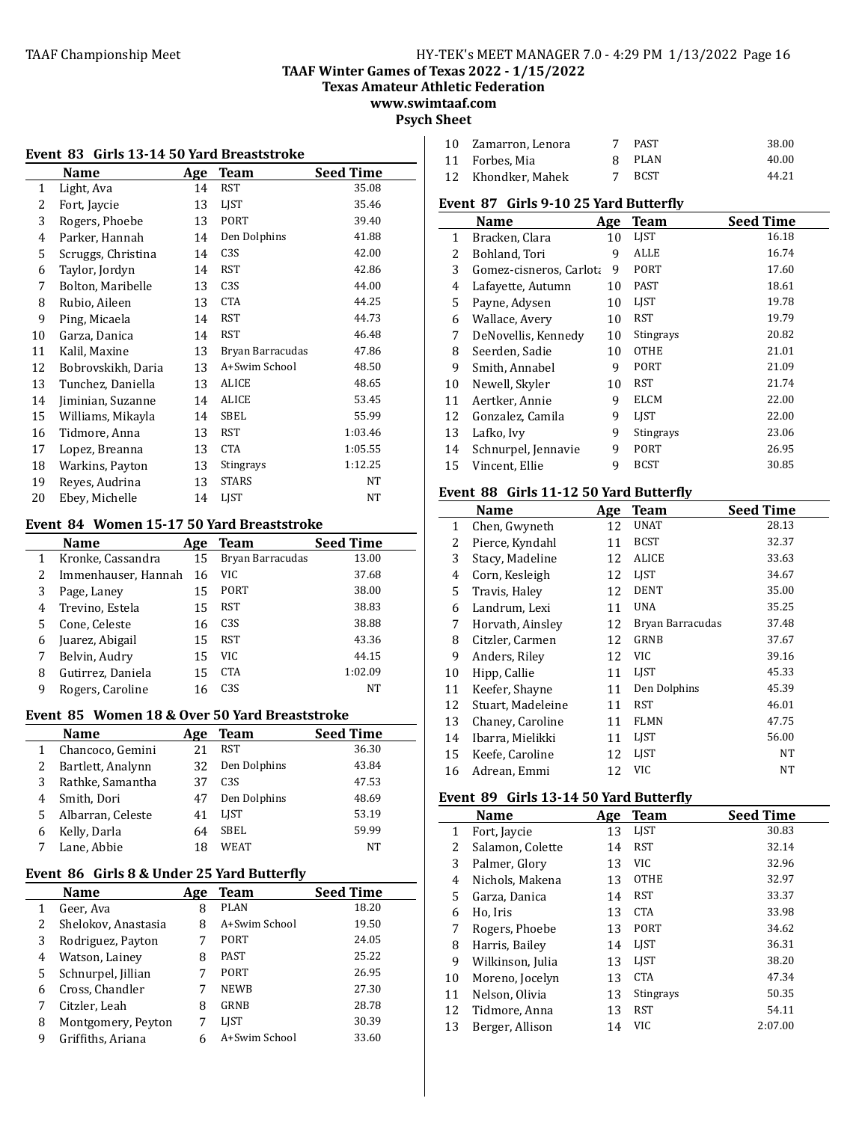**TAAF Winter Games of Texas 2022 - 1/15/2022** 

**Texas Amateur Athletic Federation**

**www.swimtaaf.com Psych Sheet**

| Event 83 Girls 13-14 50 Yard Breaststroke |                    |     |                  |                  |
|-------------------------------------------|--------------------|-----|------------------|------------------|
|                                           | Name               | Age | <b>Team</b>      | <b>Seed Time</b> |
| 1                                         | Light, Ava         | 14  | RST              | 35.08            |
| 2                                         | Fort, Jaycie       | 13  | LIST             | 35.46            |
| 3                                         | Rogers, Phoebe     | 13  | PORT             | 39.40            |
| 4                                         | Parker, Hannah     | 14  | Den Dolphins     | 41.88            |
| 5                                         | Scruggs, Christina | 14  | C <sub>3</sub> S | 42.00            |
| 6                                         | Taylor, Jordyn     | 14  | <b>RST</b>       | 42.86            |
| 7                                         | Bolton, Maribelle  | 13  | C3S              | 44.00            |
| 8                                         | Rubio, Aileen      | 13  | <b>CTA</b>       | 44.25            |
| 9                                         | Ping, Micaela      | 14  | <b>RST</b>       | 44.73            |
| 10                                        | Garza, Danica      | 14  | <b>RST</b>       | 46.48            |
| 11                                        | Kalil, Maxine      | 13  | Bryan Barracudas | 47.86            |
| 12                                        | Bobrovskikh, Daria | 13  | A+Swim School    | 48.50            |
| 13                                        | Tunchez, Daniella  | 13  | ALICE            | 48.65            |
| 14                                        | Jiminian, Suzanne  | 14  | ALICE            | 53.45            |
| 15                                        | Williams, Mikayla  | 14  | SBEL             | 55.99            |
| 16                                        | Tidmore, Anna      | 13  | <b>RST</b>       | 1:03.46          |
| 17                                        | Lopez, Breanna     | 13  | <b>CTA</b>       | 1:05.55          |
| 18                                        | Warkins, Payton    | 13  | Stingrays        | 1:12.25          |
| 19                                        | Reyes, Audrina     | 13  | <b>STARS</b>     | NT               |
| 20                                        | Ebey, Michelle     | 14  | <b>LIST</b>      | NT               |

# Event 84 Women 15-17 50 Yard Breaststroke

|   | <b>Name</b>         | Age | <b>Team</b>      | <b>Seed Time</b> |
|---|---------------------|-----|------------------|------------------|
|   | Kronke, Cassandra   | 15  | Bryan Barracudas | 13.00            |
| 2 | Immenhauser, Hannah | 16  | VIC              | 37.68            |
| 3 | Page, Laney         | 15  | PORT             | 38.00            |
| 4 | Trevino, Estela     | 15  | RST              | 38.83            |
| 5 | Cone, Celeste       | 16  | C <sub>3S</sub>  | 38.88            |
| 6 | Juarez, Abigail     | 15  | <b>RST</b>       | 43.36            |
|   | Belvin, Audry       | 15  | VIC              | 44.15            |
| 8 | Gutirrez, Daniela   | 15  | <b>CTA</b>       | 1:02.09          |
| 9 | Rogers, Caroline    | 16  | C <sub>3</sub> S | NT               |

## Event 85 Women 18 & Over 50 Yard Breaststroke

|   | <b>Name</b>       | Age | <b>Team</b>      | <b>Seed Time</b> |
|---|-------------------|-----|------------------|------------------|
|   | Chancoco, Gemini  |     | RST              | 36.30            |
|   | Bartlett, Analynn | 32  | Den Dolphins     | 43.84            |
|   | Rathke, Samantha  | 37  | C <sub>3</sub> S | 47.53            |
| 4 | Smith, Dori       | 47  | Den Dolphins     | 48.69            |
| 5 | Albarran, Celeste | 41  | <b>LIST</b>      | 53.19            |
| 6 | Kelly, Darla      | 64  | SBEL             | 59.99            |
|   | Lane, Abbie       | 18  | WEAT             | NT               |
|   |                   |     |                  |                  |

### **Event 86 Girls 8 & Under 25 Yard Butterfly**

|   | Name                | Age | Team          | <b>Seed Time</b> |
|---|---------------------|-----|---------------|------------------|
|   | Geer, Ava           | 8   | PLAN          | 18.20            |
| 2 | Shelokov, Anastasia | 8   | A+Swim School | 19.50            |
| 3 | Rodriguez, Payton   |     | PORT          | 24.05            |
| 4 | Watson, Lainey      | 8   | PAST          | 25.22            |
| 5 | Schnurpel, Jillian  |     | <b>PORT</b>   | 26.95            |
| 6 | Cross, Chandler     |     | <b>NEWB</b>   | 27.30            |
| 7 | Citzler, Leah       | 8   | GRNB          | 28.78            |
| 8 | Montgomery, Peyton  |     | <b>LIST</b>   | 30.39            |
| 9 | Griffiths, Ariana   |     | A+Swim School | 33.60            |

| 10 Zamarron, Lenora | PAST   | 38.00 |
|---------------------|--------|-------|
| 11 Forbes. Mia      | 8 PLAN | 40.00 |
| 12 Khondker, Mahek  | 7 BCST | 44.21 |

#### Event 87 Girls 9-10 25 Yard Butterfly

|              | Name                    | Age | <b>Team</b> | <b>Seed Time</b> |
|--------------|-------------------------|-----|-------------|------------------|
| $\mathbf{1}$ | Bracken, Clara          | 10  | <b>LIST</b> | 16.18            |
| 2            | Bohland, Tori           | 9   | <b>ALLE</b> | 16.74            |
| 3            | Gomez-cisneros, Carlota | 9   | PORT        | 17.60            |
| 4            | Lafayette, Autumn       | 10  | PAST        | 18.61            |
| 5            | Payne, Adysen           | 10  | <b>LIST</b> | 19.78            |
| 6            | Wallace, Avery          | 10  | RST         | 19.79            |
| 7            | DeNovellis, Kennedy     | 10  | Stingrays   | 20.82            |
| 8            | Seerden, Sadie          | 10  | <b>OTHE</b> | 21.01            |
| 9            | Smith, Annabel          | 9   | PORT        | 21.09            |
| 10           | Newell, Skyler          | 10  | RST         | 21.74            |
| 11           | Aertker, Annie          | 9   | <b>ELCM</b> | 22.00            |
| 12           | Gonzalez, Camila        | 9   | <b>LIST</b> | 22.00            |
| 13           | Lafko, Ivy              | 9   | Stingrays   | 23.06            |
| 14           | Schnurpel, Jennavie     | 9   | PORT        | 26.95            |
| 15           | Vincent. Ellie          | 9   | <b>BCST</b> | 30.85            |

# Event 88 Girls 11-12 50 Yard Butterfly

|    | Name              | Age | <b>Team</b>      | <b>Seed Time</b> |
|----|-------------------|-----|------------------|------------------|
| 1  | Chen, Gwyneth     | 12  | <b>UNAT</b>      | 28.13            |
| 2  | Pierce, Kyndahl   | 11  | <b>BCST</b>      | 32.37            |
| 3  | Stacy, Madeline   | 12  | ALICE            | 33.63            |
| 4  | Corn, Kesleigh    | 12  | LJST             | 34.67            |
| 5  | Travis, Haley     | 12  | <b>DENT</b>      | 35.00            |
| 6  | Landrum, Lexi     | 11  | UNA              | 35.25            |
| 7  | Horvath, Ainsley  | 12  | Bryan Barracudas | 37.48            |
| 8  | Citzler, Carmen   | 12  | GRNB             | 37.67            |
| 9  | Anders, Riley     | 12  | VIC              | 39.16            |
| 10 | Hipp, Callie      | 11  | <b>LIST</b>      | 45.33            |
| 11 | Keefer, Shayne    | 11  | Den Dolphins     | 45.39            |
| 12 | Stuart, Madeleine | 11  | RST              | 46.01            |
| 13 | Chaney, Caroline  | 11  | <b>FLMN</b>      | 47.75            |
| 14 | Ibarra, Mielikki  | 11  | LIST             | 56.00            |
| 15 | Keefe, Caroline   | 12  | LJST             | NT               |
| 16 | Adrean, Emmi      | 12  | VIC              | NΤ               |

# **Event 89 Girls 13-14 50 Yard Butterfly**

|    | Name             | Age | <b>Team</b> | <b>Seed Time</b> |
|----|------------------|-----|-------------|------------------|
| 1  | Fort, Jaycie     | 13  | <b>LIST</b> | 30.83            |
| 2  | Salamon, Colette | 14  | <b>RST</b>  | 32.14            |
| 3  | Palmer, Glory    | 13  | VIC.        | 32.96            |
| 4  | Nichols, Makena  | 13  | <b>OTHE</b> | 32.97            |
| 5  | Garza, Danica    | 14  | <b>RST</b>  | 33.37            |
| 6  | Ho, Iris         | 13  | <b>CTA</b>  | 33.98            |
| 7  | Rogers, Phoebe   | 13  | <b>PORT</b> | 34.62            |
| 8  | Harris, Bailey   | 14  | LIST        | 36.31            |
| 9  | Wilkinson, Julia | 13  | <b>LIST</b> | 38.20            |
| 10 | Moreno, Jocelyn  | 13  | <b>CTA</b>  | 47.34            |
| 11 | Nelson, Olivia   | 13  | Stingrays   | 50.35            |
| 12 | Tidmore, Anna    | 13  | <b>RST</b>  | 54.11            |
| 13 | Berger, Allison  | 14  | VIC         | 2:07.00          |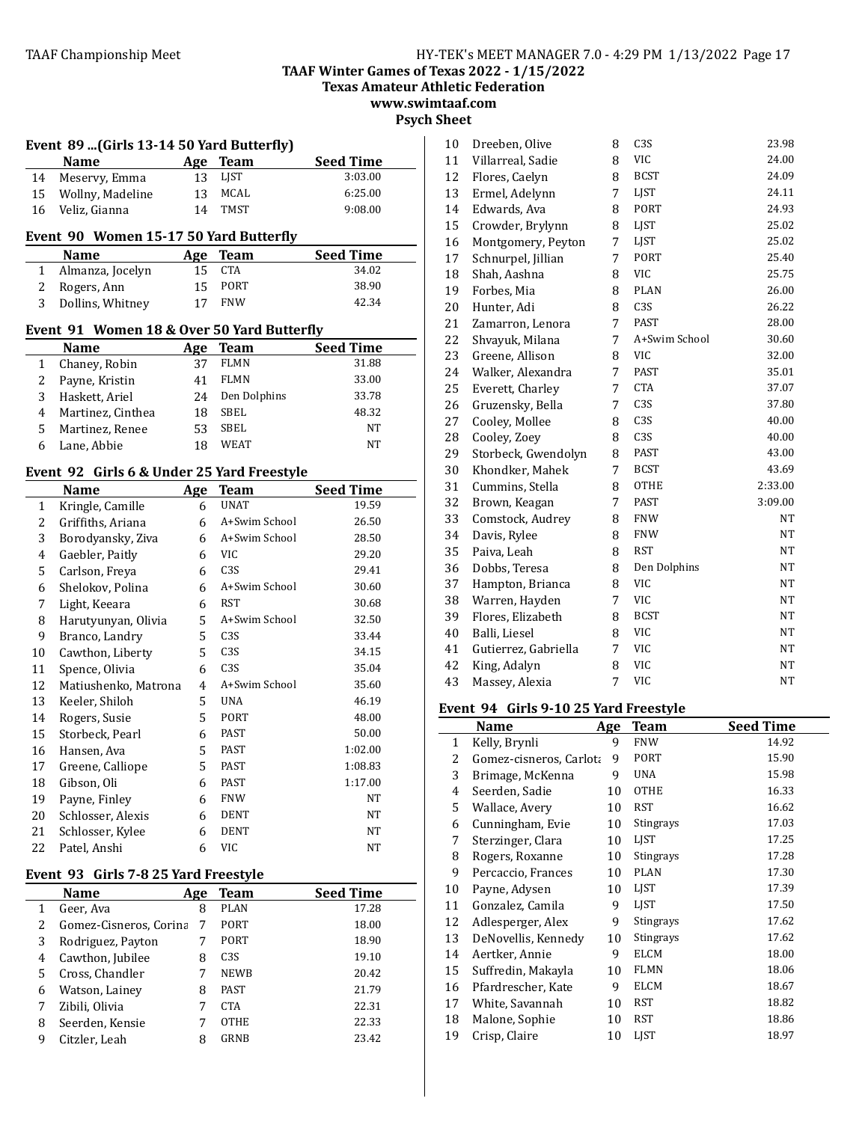**Texas Amateur Athletic Federation**

**www.swimtaaf.com Psych Sheet**

| Event 89  (Girls 13-14 50 Yard Butterfly) |                                            |     |                  |                  |  |  |  |
|-------------------------------------------|--------------------------------------------|-----|------------------|------------------|--|--|--|
|                                           | Name                                       | Age | <b>Team</b>      | <b>Seed Time</b> |  |  |  |
| 14                                        | Meservy, Emma                              | 13  | LJST             | 3:03.00          |  |  |  |
| 15                                        | Wollny, Madeline                           | 13  | <b>MCAL</b>      | 6:25.00          |  |  |  |
| 16                                        | Veliz, Gianna                              | 14  | <b>TMST</b>      | 9:08.00          |  |  |  |
| Event 90 Women 15-17 50 Yard Butterfly    |                                            |     |                  |                  |  |  |  |
|                                           | Name                                       | Age | <b>Team</b>      | <b>Seed Time</b> |  |  |  |
| 1                                         | Almanza, Jocelyn                           | 15  | <b>CTA</b>       | 34.02            |  |  |  |
| 2                                         | Rogers, Ann                                | 15  | <b>PORT</b>      | 38.90            |  |  |  |
| 3                                         | Dollins, Whitney                           | 17  | <b>FNW</b>       | 42.34            |  |  |  |
|                                           | Event 91 Women 18 & Over 50 Yard Butterfly |     |                  |                  |  |  |  |
|                                           | Name                                       | Age | <b>Team</b>      | <b>Seed Time</b> |  |  |  |
| 1                                         | Chaney, Robin                              | 37  | <b>FLMN</b>      | 31.88            |  |  |  |
| $\overline{c}$                            | Payne, Kristin                             | 41  | <b>FLMN</b>      | 33.00            |  |  |  |
| 3                                         | Haskett, Ariel                             | 24  | Den Dolphins     | 33.78            |  |  |  |
| 4                                         | Martinez, Cinthea                          | 18  | SBEL             | 48.32            |  |  |  |
| 5                                         | Martinez, Renee                            | 53  | <b>SBEL</b>      | <b>NT</b>        |  |  |  |
| 6                                         | Lane, Abbie                                | 18  | WEAT             | NT               |  |  |  |
|                                           | Event 92 Girls 6 & Under 25 Yard Freestyle |     |                  |                  |  |  |  |
|                                           | <b>Name</b>                                | Age | <b>Team</b>      | <b>Seed Time</b> |  |  |  |
| 1                                         | Kringle, Camille                           | 6   | <b>UNAT</b>      | 19.59            |  |  |  |
| 2                                         | Griffiths, Ariana                          | 6   | A+Swim School    | 26.50            |  |  |  |
| 3                                         | Borodyansky, Ziva                          | 6   | A+Swim School    | 28.50            |  |  |  |
| 4                                         | Gaebler, Paitly                            | 6   | VIC              | 29.20            |  |  |  |
| 5                                         | Carlson, Freya                             | 6   | C <sub>3</sub> S | 29.41            |  |  |  |
| 6                                         | Shelokov, Polina                           | 6   | A+Swim School    | 30.60            |  |  |  |
| 7                                         | Light, Keeara                              | 6   | <b>RST</b>       | 30.68            |  |  |  |
| 8                                         | Harutyunyan, Olivia                        | 5   | A+Swim School    | 32.50            |  |  |  |
| 9                                         | Branco, Landry                             | 5   | C <sub>3</sub> S | 33.44            |  |  |  |
| $10\,$                                    | Cawthon, Liberty                           | 5   | C <sub>3</sub> S | 34.15            |  |  |  |
| 11                                        | Spence, Olivia                             | 6   | C <sub>3</sub> S | 35.04            |  |  |  |
| 12                                        | Matiushenko, Matrona                       | 4   | A+Swim School    | 35.60            |  |  |  |
| 13                                        | Keeler, Shiloh                             | 5   | <b>UNA</b>       | 46.19            |  |  |  |
| 14                                        | Rogers, Susie                              | 5   | PORT             | 48.00            |  |  |  |
| 15                                        | Storbeck, Pearl                            | 6   | PAST             | 50.00            |  |  |  |
| 16                                        | Hansen, Ava                                | 5   | <b>PAST</b>      | 1:02.00          |  |  |  |
| 17                                        | Greene, Calliope                           | 5   | PAST             | 1:08.83          |  |  |  |
| 18                                        | Gibson, Oli                                | 6   | PAST             | 1:17.00          |  |  |  |
| 19                                        | Payne, Finley                              | 6   | <b>FNW</b>       | <b>NT</b>        |  |  |  |
| 20                                        | Schlosser, Alexis                          | 6   | <b>DENT</b>      | NT               |  |  |  |
| 21                                        | Schlosser, Kylee                           | 6   | <b>DENT</b>      | NT               |  |  |  |
| 22                                        | Patel, Anshi                               | 6   | <b>VIC</b>       | <b>NT</b>        |  |  |  |

# Event 93 Girls 7-8 25 Yard Freestyle

|   | <b>Name</b>            | Age | Team             | <b>Seed Time</b> |
|---|------------------------|-----|------------------|------------------|
|   | Geer, Ava              | 8   | PLAN             | 17.28            |
| 2 | Gomez-Cisneros, Corina | 7   | <b>PORT</b>      | 18.00            |
| 3 | Rodriguez, Payton      |     | <b>PORT</b>      | 18.90            |
| 4 | Cawthon, Jubilee       | 8   | C <sub>3</sub> S | 19.10            |
| 5 | Cross, Chandler        |     | <b>NEWB</b>      | 20.42            |
| 6 | Watson, Lainey         | 8   | <b>PAST</b>      | 21.79            |
|   | Zibili, Olivia         |     | <b>CTA</b>       | 22.31            |
| 8 | Seerden, Kensie        |     | <b>OTHE</b>      | 22.33            |
| 9 | Citzler, Leah          |     | GRNB             | 23.42            |

| 10 | Dreeben, Olive       | 8 | C <sub>3</sub> S | 23.98   |
|----|----------------------|---|------------------|---------|
| 11 | Villarreal, Sadie    | 8 | <b>VIC</b>       | 24.00   |
| 12 | Flores, Caelyn       | 8 | <b>BCST</b>      | 24.09   |
| 13 | Ermel, Adelynn       | 7 | LJST             | 24.11   |
| 14 | Edwards, Ava         | 8 | <b>PORT</b>      | 24.93   |
| 15 | Crowder, Brylynn     | 8 | LJST             | 25.02   |
| 16 | Montgomery, Peyton   | 7 | LJST             | 25.02   |
| 17 | Schnurpel, Jillian   | 7 | PORT             | 25.40   |
| 18 | Shah, Aashna         | 8 | <b>VIC</b>       | 25.75   |
| 19 | Forbes, Mia          | 8 | <b>PLAN</b>      | 26.00   |
| 20 | Hunter, Adi          | 8 | C <sub>3</sub> S | 26.22   |
| 21 | Zamarron, Lenora     | 7 | <b>PAST</b>      | 28.00   |
| 22 | Shvayuk, Milana      | 7 | A+Swim School    | 30.60   |
| 23 | Greene, Allison      | 8 | <b>VIC</b>       | 32.00   |
| 24 | Walker, Alexandra    | 7 | <b>PAST</b>      | 35.01   |
| 25 | Everett, Charley     | 7 | <b>CTA</b>       | 37.07   |
| 26 | Gruzensky, Bella     | 7 | C <sub>3</sub> S | 37.80   |
| 27 | Cooley, Mollee       | 8 | C3S              | 40.00   |
| 28 | Cooley, Zoey         | 8 | C <sub>3</sub> S | 40.00   |
| 29 | Storbeck, Gwendolyn  | 8 | <b>PAST</b>      | 43.00   |
| 30 | Khondker, Mahek      | 7 | <b>BCST</b>      | 43.69   |
| 31 | Cummins, Stella      | 8 | <b>OTHE</b>      | 2:33.00 |
| 32 | Brown, Keagan        | 7 | <b>PAST</b>      | 3:09.00 |
| 33 | Comstock, Audrey     | 8 | <b>FNW</b>       | NT      |
| 34 | Davis, Rylee         | 8 | <b>FNW</b>       | NΤ      |
| 35 | Paiva, Leah          | 8 | <b>RST</b>       | NT      |
| 36 | Dobbs, Teresa        | 8 | Den Dolphins     | NT      |
| 37 | Hampton, Brianca     | 8 | <b>VIC</b>       | NT      |
| 38 | Warren, Hayden       | 7 | <b>VIC</b>       | NT      |
| 39 | Flores, Elizabeth    | 8 | <b>BCST</b>      | NT      |
| 40 | Balli, Liesel        | 8 | <b>VIC</b>       | NT      |
| 41 | Gutierrez, Gabriella | 7 | <b>VIC</b>       | NT      |
| 42 | King, Adalyn         | 8 | <b>VIC</b>       | NT      |
| 43 | Massey, Alexia       | 7 | <b>VIC</b>       | NT      |

# Event 94 Girls 9-10 25 Yard Freestyle

|              | Name                    | <u>Age</u> | <b>Team</b> | Seed Time |
|--------------|-------------------------|------------|-------------|-----------|
| $\mathbf{1}$ | Kelly, Brynli           | 9          | <b>FNW</b>  | 14.92     |
| 2            | Gomez-cisneros, Carlota | 9          | PORT        | 15.90     |
| 3            | Brimage, McKenna        | 9          | UNA         | 15.98     |
| 4            | Seerden, Sadie          | 10         | <b>OTHE</b> | 16.33     |
| 5            | Wallace, Avery          | 10         | <b>RST</b>  | 16.62     |
| 6            | Cunningham, Evie        | 10         | Stingrays   | 17.03     |
| 7            | Sterzinger, Clara       | 10         | LJST        | 17.25     |
| 8            | Rogers, Roxanne         | 10         | Stingrays   | 17.28     |
| 9            | Percaccio, Frances      | 10         | <b>PLAN</b> | 17.30     |
| 10           | Payne, Adysen           | 10         | <b>LIST</b> | 17.39     |
| 11           | Gonzalez, Camila        | 9          | LIST        | 17.50     |
| 12           | Adlesperger, Alex       | 9          | Stingrays   | 17.62     |
| 13           | DeNovellis, Kennedy     | 10         | Stingrays   | 17.62     |
| 14           | Aertker, Annie          | 9          | ELCM        | 18.00     |
| 15           | Suffredin, Makayla      | 10         | <b>FLMN</b> | 18.06     |
| 16           | Pfardrescher, Kate      | 9          | ELCM        | 18.67     |
| 17           | White, Savannah         | 10         | <b>RST</b>  | 18.82     |
| 18           | Malone, Sophie          | 10         | <b>RST</b>  | 18.86     |
| 19           | Crisp, Claire           | 10         | LIST        | 18.97     |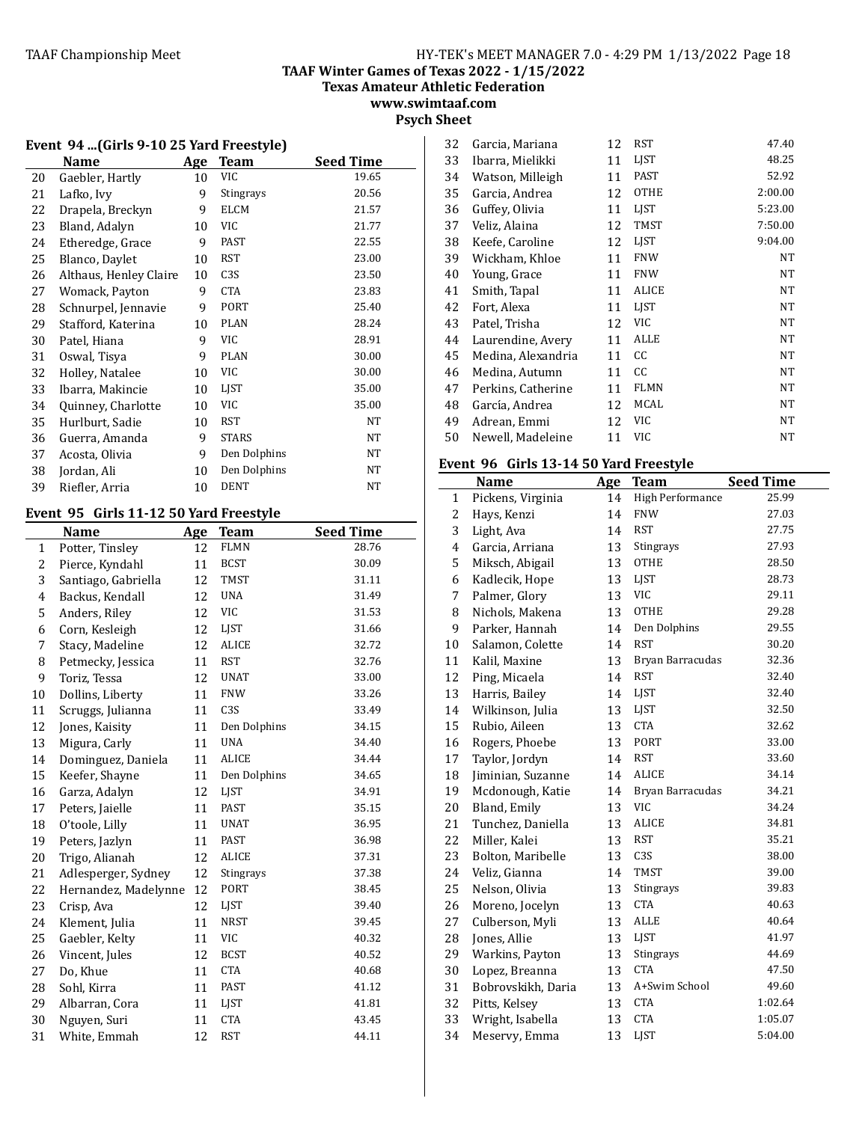**TAAF Winter Games of Texas 2022 - 1/15/2022**

**Texas Amateur Athletic Federation**

**www.swimtaaf.com Psych Sheet**

## **Event 94 ...(Girls 9-10 25 Yard Freestyle)**

|    | Name                   | Age | <b>Team</b>      | <b>Seed Time</b> |
|----|------------------------|-----|------------------|------------------|
| 20 | Gaebler, Hartly        | 10  | VIC              | 19.65            |
| 21 | Lafko, Ivy             | 9   | Stingrays        | 20.56            |
| 22 | Drapela, Breckyn       | 9   | ELCM             | 21.57            |
| 23 | Bland, Adalyn          | 10  | VIC              | 21.77            |
| 24 | Etheredge, Grace       | 9   | <b>PAST</b>      | 22.55            |
| 25 | Blanco, Daylet         | 10  | RST              | 23.00            |
| 26 | Althaus, Henley Claire | 10  | C <sub>3</sub> S | 23.50            |
| 27 | Womack, Payton         | 9   | <b>CTA</b>       | 23.83            |
| 28 | Schnurpel, Jennavie    | 9   | PORT             | 25.40            |
| 29 | Stafford, Katerina     | 10  | <b>PLAN</b>      | 28.24            |
| 30 | Patel, Hiana           | 9   | VIC              | 28.91            |
| 31 | Oswal, Tisya           | 9   | <b>PLAN</b>      | 30.00            |
| 32 | Holley, Natalee        | 10  | VIC              | 30.00            |
| 33 | Ibarra, Makincie       | 10  | LJST             | 35.00            |
| 34 | Quinney, Charlotte     | 10  | VIC              | 35.00            |
| 35 | Hurlburt, Sadie        | 10  | <b>RST</b>       | NT               |
| 36 | Guerra, Amanda         | 9   | <b>STARS</b>     | NT               |
| 37 | Acosta, Olivia         | 9   | Den Dolphins     | NT               |
| 38 | Jordan, Ali            | 10  | Den Dolphins     | NT               |
| 39 | Riefler, Arria         | 10  | <b>DENT</b>      | NT               |

# Event 95 Girls 11-12 50 Yard Freestyle

|    | <b>Name</b>          | Age | <b>Team</b>  | <b>Seed Time</b> |
|----|----------------------|-----|--------------|------------------|
| 1  | Potter, Tinsley      | 12  | <b>FLMN</b>  | 28.76            |
| 2  | Pierce, Kyndahl      | 11  | <b>BCST</b>  | 30.09            |
| 3  | Santiago, Gabriella  | 12  | <b>TMST</b>  | 31.11            |
| 4  | Backus, Kendall      | 12  | <b>UNA</b>   | 31.49            |
| 5  | Anders, Riley        | 12  | <b>VIC</b>   | 31.53            |
| 6  | Corn, Kesleigh       | 12  | LJST         | 31.66            |
| 7  | Stacy, Madeline      | 12  | ALICE        | 32.72            |
| 8  | Petmecky, Jessica    | 11  | <b>RST</b>   | 32.76            |
| 9  | Toriz, Tessa         | 12  | <b>UNAT</b>  | 33.00            |
| 10 | Dollins, Liberty     | 11  | <b>FNW</b>   | 33.26            |
| 11 | Scruggs, Julianna    | 11  | C3S          | 33.49            |
| 12 | Jones, Kaisity       | 11  | Den Dolphins | 34.15            |
| 13 | Migura, Carly        | 11  | <b>UNA</b>   | 34.40            |
| 14 | Dominguez, Daniela   | 11  | ALICE        | 34.44            |
| 15 | Keefer, Shayne       | 11  | Den Dolphins | 34.65            |
| 16 | Garza, Adalyn        | 12  | <b>LIST</b>  | 34.91            |
| 17 | Peters, Jaielle      | 11  | <b>PAST</b>  | 35.15            |
| 18 | O'toole, Lilly       | 11  | <b>UNAT</b>  | 36.95            |
| 19 | Peters, Jazlyn       | 11  | <b>PAST</b>  | 36.98            |
| 20 | Trigo, Alianah       | 12  | ALICE        | 37.31            |
| 21 | Adlesperger, Sydney  | 12  | Stingrays    | 37.38            |
| 22 | Hernandez, Madelynne | 12  | <b>PORT</b>  | 38.45            |
| 23 | Crisp, Ava           | 12  | <b>LIST</b>  | 39.40            |
| 24 | Klement, Julia       | 11  | <b>NRST</b>  | 39.45            |
| 25 | Gaebler, Kelty       | 11  | <b>VIC</b>   | 40.32            |
| 26 | Vincent, Jules       | 12  | <b>BCST</b>  | 40.52            |
| 27 | Do, Khue             | 11  | <b>CTA</b>   | 40.68            |
| 28 | Sohl, Kirra          | 11  | <b>PAST</b>  | 41.12            |
| 29 | Albarran, Cora       | 11  | LJST         | 41.81            |
| 30 | Nguyen, Suri         | 11  | <b>CTA</b>   | 43.45            |
| 31 | White, Emmah         | 12  | <b>RST</b>   | 44.11            |
|    |                      |     |              |                  |

| 32 | Garcia, Mariana    | 12 | <b>RST</b>  | 47.40   |
|----|--------------------|----|-------------|---------|
| 33 | Ibarra, Mielikki   | 11 | LIST        | 48.25   |
| 34 | Watson, Milleigh   | 11 | PAST        | 52.92   |
| 35 | Garcia, Andrea     | 12 | <b>OTHE</b> | 2:00.00 |
| 36 | Guffey, Olivia     | 11 | LIST        | 5:23.00 |
| 37 | Veliz, Alaina      | 12 | TMST        | 7:50.00 |
| 38 | Keefe, Caroline    | 12 | LIST        | 9:04.00 |
| 39 | Wickham, Khloe     | 11 | <b>FNW</b>  | NT      |
| 40 | Young, Grace       | 11 | <b>FNW</b>  | NT      |
| 41 | Smith, Tapal       | 11 | ALICE       | NT      |
| 42 | Fort, Alexa        | 11 | LIST        | NT      |
| 43 | Patel, Trisha      | 12 | VIC         | NT      |
| 44 | Laurendine, Avery  | 11 | ALLE        | NT      |
| 45 | Medina, Alexandria | 11 | CC          | NT      |
| 46 | Medina, Autumn     | 11 | СC          | NT      |
| 47 | Perkins, Catherine | 11 | <b>FLMN</b> | NT      |
| 48 | García, Andrea     | 12 | <b>MCAL</b> | NT      |
| 49 | Adrean, Emmi       | 12 | VIC         | NT      |
| 50 | Newell, Madeleine  | 11 | VIC         | NT      |

# Event 96 Girls 13-14 50 Yard Freestyle

|    | Name               | Age | <b>Team</b>      | <b>Seed Time</b> |
|----|--------------------|-----|------------------|------------------|
| 1  | Pickens, Virginia  | 14  | High Performance | 25.99            |
| 2  | Hays, Kenzi        | 14  | <b>FNW</b>       | 27.03            |
| 3  | Light, Ava         | 14  | <b>RST</b>       | 27.75            |
| 4  | Garcia, Arriana    | 13  | Stingrays        | 27.93            |
| 5  | Miksch, Abigail    | 13  | <b>OTHE</b>      | 28.50            |
| 6  | Kadlecik, Hope     | 13  | LJST             | 28.73            |
| 7  | Palmer, Glory      | 13  | <b>VIC</b>       | 29.11            |
| 8  | Nichols, Makena    | 13  | <b>OTHE</b>      | 29.28            |
| 9  | Parker, Hannah     | 14  | Den Dolphins     | 29.55            |
| 10 | Salamon, Colette   | 14  | <b>RST</b>       | 30.20            |
| 11 | Kalil, Maxine      | 13  | Bryan Barracudas | 32.36            |
| 12 | Ping, Micaela      | 14  | <b>RST</b>       | 32.40            |
| 13 | Harris, Bailey     | 14  | <b>LIST</b>      | 32.40            |
| 14 | Wilkinson, Julia   | 13  | LJST             | 32.50            |
| 15 | Rubio, Aileen      | 13  | <b>CTA</b>       | 32.62            |
| 16 | Rogers, Phoebe     | 13  | <b>PORT</b>      | 33.00            |
| 17 | Taylor, Jordyn     | 14  | <b>RST</b>       | 33.60            |
| 18 | Jiminian, Suzanne  | 14  | ALICE            | 34.14            |
| 19 | Mcdonough, Katie   | 14  | Bryan Barracudas | 34.21            |
| 20 | Bland, Emily       | 13  | <b>VIC</b>       | 34.24            |
| 21 | Tunchez, Daniella  | 13  | <b>ALICE</b>     | 34.81            |
| 22 | Miller, Kalei      | 13  | <b>RST</b>       | 35.21            |
| 23 | Bolton, Maribelle  | 13  | C <sub>3</sub> S | 38.00            |
| 24 | Veliz, Gianna      | 14  | <b>TMST</b>      | 39.00            |
| 25 | Nelson, Olivia     | 13  | Stingrays        | 39.83            |
| 26 | Moreno, Jocelyn    | 13  | <b>CTA</b>       | 40.63            |
| 27 | Culberson, Myli    | 13  | <b>ALLE</b>      | 40.64            |
| 28 | Jones, Allie       | 13  | <b>LIST</b>      | 41.97            |
| 29 | Warkins, Payton    | 13  | Stingrays        | 44.69            |
| 30 | Lopez, Breanna     | 13  | <b>CTA</b>       | 47.50            |
| 31 | Bobrovskikh, Daria | 13  | A+Swim School    | 49.60            |
| 32 | Pitts, Kelsey      | 13  | <b>CTA</b>       | 1:02.64          |
| 33 | Wright, Isabella   | 13  | <b>CTA</b>       | 1:05.07          |
| 34 | Meservy, Emma      | 13  | LJST             | 5:04.00          |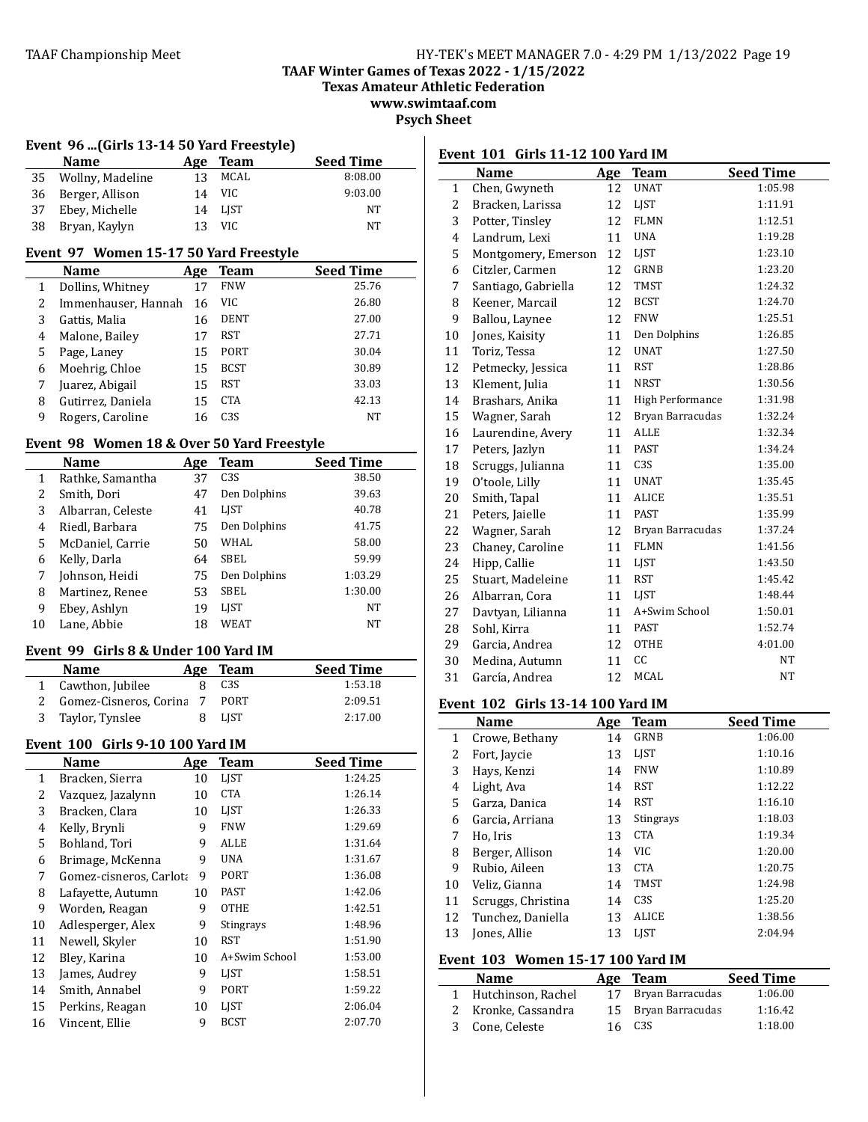**Event 101 Girls 11-12 100 Yard IM** 

**TAAF Winter Games of Texas 2022 - 1/15/2022**

**Texas Amateur Athletic Federation**

**www.swimtaaf.com**

**Psych Sheet**

|    | Event 96 (Girls 13-14 50 Yard Freestyle) |     |      |                  |
|----|------------------------------------------|-----|------|------------------|
|    | <b>Name</b>                              | Age | Team | <b>Seed Time</b> |
|    | 35 Wollny, Madeline                      | 13  | MCAL | 8:08.00          |
| 36 | Berger, Allison                          | 14  | VIC. | 9:03.00          |
| 37 | Ebey, Michelle                           | 14  | LIST | NT               |
| 38 | Bryan, Kaylyn                            | 13  | VIC. | NT               |
|    |                                          |     |      |                  |

#### Event 97 Women 15-17 50 Yard Freestyle

|   | <b>Name</b>         | Age | Team             | <b>Seed Time</b> |
|---|---------------------|-----|------------------|------------------|
|   | Dollins, Whitney    | 17  | <b>FNW</b>       | 25.76            |
| 2 | Immenhauser, Hannah | 16  | VIC              | 26.80            |
| 3 | Gattis, Malia       | 16  | <b>DENT</b>      | 27.00            |
| 4 | Malone, Bailey      | 17  | RST              | 27.71            |
| 5 | Page, Laney         | 15  | PORT             | 30.04            |
| 6 | Moehrig, Chloe      | 15  | <b>BCST</b>      | 30.89            |
|   | Juarez, Abigail     | 15  | RST              | 33.03            |
| 8 | Gutirrez, Daniela   | 15  | <b>CTA</b>       | 42.13            |
| 9 | Rogers, Caroline    | 16  | C <sub>3</sub> S | NT               |

#### Event 98 Women 18 & Over 50 Yard Freestyle

|    | Name              | Age | <b>Team</b>     | Seed Time |
|----|-------------------|-----|-----------------|-----------|
| 1  | Rathke, Samantha  | 37  | C <sub>3S</sub> | 38.50     |
| 2  | Smith, Dori       | 47  | Den Dolphins    | 39.63     |
| 3  | Albarran, Celeste | 41  | LJST            | 40.78     |
| 4  | Riedl, Barbara    | 75  | Den Dolphins    | 41.75     |
| 5  | McDaniel, Carrie  | 50  | WHAL            | 58.00     |
| 6  | Kelly, Darla      | 64  | SBEL            | 59.99     |
| 7  | Johnson, Heidi    | 75  | Den Dolphins    | 1:03.29   |
| 8  | Martinez, Renee   | 53  | SBEL            | 1:30.00   |
| 9  | Ebey, Ashlyn      | 19  | LIST            | <b>NT</b> |
| 10 | Lane, Abbie       | 18  | WEAT            | NT        |

#### Event 99 Girls 8 & Under 100 Yard IM

| <b>Name</b>              | Age | Team             | <b>Seed Time</b> |
|--------------------------|-----|------------------|------------------|
| 1 Cawthon, Jubilee       |     | C <sub>3</sub> S | 1:53.18          |
| 2 Gomez-Cisneros, Corina |     | <b>PORT</b>      | 2:09.51          |
| 3 Taylor, Tynslee        |     | LIST             | 2:17.00          |

#### **Event 100 Girls 9-10 100 Yard IM**

|    | Name                    | Age | Team          | <b>Seed Time</b> |
|----|-------------------------|-----|---------------|------------------|
| 1  | Bracken, Sierra         | 10  | <b>LIST</b>   | 1:24.25          |
| 2  | Vazquez, Jazalynn       | 10  | <b>CTA</b>    | 1:26.14          |
| 3  | Bracken, Clara          | 10  | LIST          | 1:26.33          |
| 4  | Kelly, Brynli           | 9   | <b>FNW</b>    | 1:29.69          |
| 5  | Bohland, Tori           | 9   | <b>ALLE</b>   | 1:31.64          |
| 6  | Brimage, McKenna        | 9   | UNA           | 1:31.67          |
| 7  | Gomez-cisneros, Carlota | 9   | PORT          | 1:36.08          |
| 8  | Lafayette, Autumn       | 10  | <b>PAST</b>   | 1:42.06          |
| 9  | Worden, Reagan          | 9   | <b>OTHE</b>   | 1:42.51          |
| 10 | Adlesperger, Alex       | 9   | Stingrays     | 1:48.96          |
| 11 | Newell, Skyler          | 10  | RST           | 1:51.90          |
| 12 | Bley, Karina            | 10  | A+Swim School | 1:53.00          |
| 13 | James, Audrey           | 9   | LIST          | 1:58.51          |
| 14 | Smith, Annabel          | 9   | PORT          | 1:59.22          |
| 15 | Perkins, Reagan         | 10  | LIST          | 2:06.04          |
| 16 | Vincent, Ellie          | 9   | <b>BCST</b>   | 2:07.70          |

|              | Name                | Age | <b>Team</b>      | <b>Seed Time</b> |
|--------------|---------------------|-----|------------------|------------------|
| $\mathbf{1}$ | Chen, Gwyneth       | 12  | <b>UNAT</b>      | 1:05.98          |
| 2            | Bracken, Larissa    | 12  | <b>LIST</b>      | 1:11.91          |
| 3            | Potter, Tinsley     | 12  | <b>FLMN</b>      | 1:12.51          |
| 4            | Landrum, Lexi       | 11  | <b>UNA</b>       | 1:19.28          |
| 5            | Montgomery, Emerson | 12  | <b>LIST</b>      | 1:23.10          |
| 6            | Citzler, Carmen     | 12  | GRNB             | 1:23.20          |
| 7            | Santiago, Gabriella | 12  | <b>TMST</b>      | 1:24.32          |
| 8            | Keener, Marcail     | 12  | <b>BCST</b>      | 1:24.70          |
| 9            | Ballou, Laynee      | 12  | <b>FNW</b>       | 1:25.51          |
| 10           | Jones, Kaisity      | 11  | Den Dolphins     | 1:26.85          |
| 11           | Toriz, Tessa        | 12  | <b>UNAT</b>      | 1:27.50          |
| 12           | Petmecky, Jessica   | 11  | <b>RST</b>       | 1:28.86          |
| 13           | Klement, Julia      | 11  | <b>NRST</b>      | 1:30.56          |
| 14           | Brashars, Anika     | 11  | High Performance | 1:31.98          |
| 15           | Wagner, Sarah       | 12  | Bryan Barracudas | 1:32.24          |
| 16           | Laurendine, Avery   | 11  | <b>ALLE</b>      | 1:32.34          |
| 17           | Peters, Jazlyn      | 11  | <b>PAST</b>      | 1:34.24          |
| 18           | Scruggs, Julianna   | 11  | C <sub>3</sub> S | 1:35.00          |
| 19           | O'toole, Lilly      | 11  | <b>UNAT</b>      | 1:35.45          |
| 20           | Smith, Tapal        | 11  | ALICE            | 1:35.51          |
| 21           | Peters, Jaielle     | 11  | <b>PAST</b>      | 1:35.99          |
| 22           | Wagner, Sarah       | 12  | Bryan Barracudas | 1:37.24          |
| 23           | Chaney, Caroline    | 11  | <b>FLMN</b>      | 1:41.56          |
| 24           | Hipp, Callie        | 11  | LJST             | 1:43.50          |
| 25           | Stuart, Madeleine   | 11  | <b>RST</b>       | 1:45.42          |
| 26           | Albarran, Cora      | 11  | LIST             | 1:48.44          |
| 27           | Davtyan, Lilianna   | 11  | A+Swim School    | 1:50.01          |
| 28           | Sohl, Kirra         | 11  | <b>PAST</b>      | 1:52.74          |
| 29           | Garcia, Andrea      | 12  | <b>OTHE</b>      | 4:01.00          |
| 30           | Medina, Autumn      | 11  | cc               | NT               |
| 31           | García, Andrea      | 12  | <b>MCAL</b>      | NT               |
|              |                     |     |                  |                  |

# **Event 102 Girls 13-14 100 Yard IM**

|    | <b>Name</b>        | Age | <b>Team</b>      | <b>Seed Time</b> |
|----|--------------------|-----|------------------|------------------|
| 1  | Crowe, Bethany     | 14  | <b>GRNB</b>      | 1:06.00          |
| 2  | Fort, Jaycie       | 13  | <b>LIST</b>      | 1:10.16          |
| 3  | Hays, Kenzi        | 14  | <b>FNW</b>       | 1:10.89          |
| 4  | Light, Ava         | 14  | <b>RST</b>       | 1:12.22          |
| 5  | Garza, Danica      | 14  | <b>RST</b>       | 1:16.10          |
| 6  | Garcia, Arriana    | 13  | <b>Stingrays</b> | 1:18.03          |
| 7  | Ho, Iris           | 13  | <b>CTA</b>       | 1:19.34          |
| 8  | Berger, Allison    | 14  | <b>VIC</b>       | 1:20.00          |
| 9  | Rubio, Aileen      | 13  | <b>CTA</b>       | 1:20.75          |
| 10 | Veliz, Gianna      | 14  | <b>TMST</b>      | 1:24.98          |
| 11 | Scruggs, Christina | 14  | C <sub>3S</sub>  | 1:25.20          |
| 12 | Tunchez, Daniella  | 13  | <b>ALICE</b>     | 1:38.56          |
| 13 | Jones, Allie       | 13  | <b>LIST</b>      | 2:04.94          |

# **Event 103 Women 15-17 100 Yard IM**

| <b>Name</b>          | Age Team            | <b>Seed Time</b> |
|----------------------|---------------------|------------------|
| 1 Hutchinson, Rachel | Bryan Barracudas    | 1:06.00          |
| 2 Kronke, Cassandra  | 15 Bryan Barracudas | 1:16.42          |
| 3 Cone, Celeste      | C3S                 | 1:18.00          |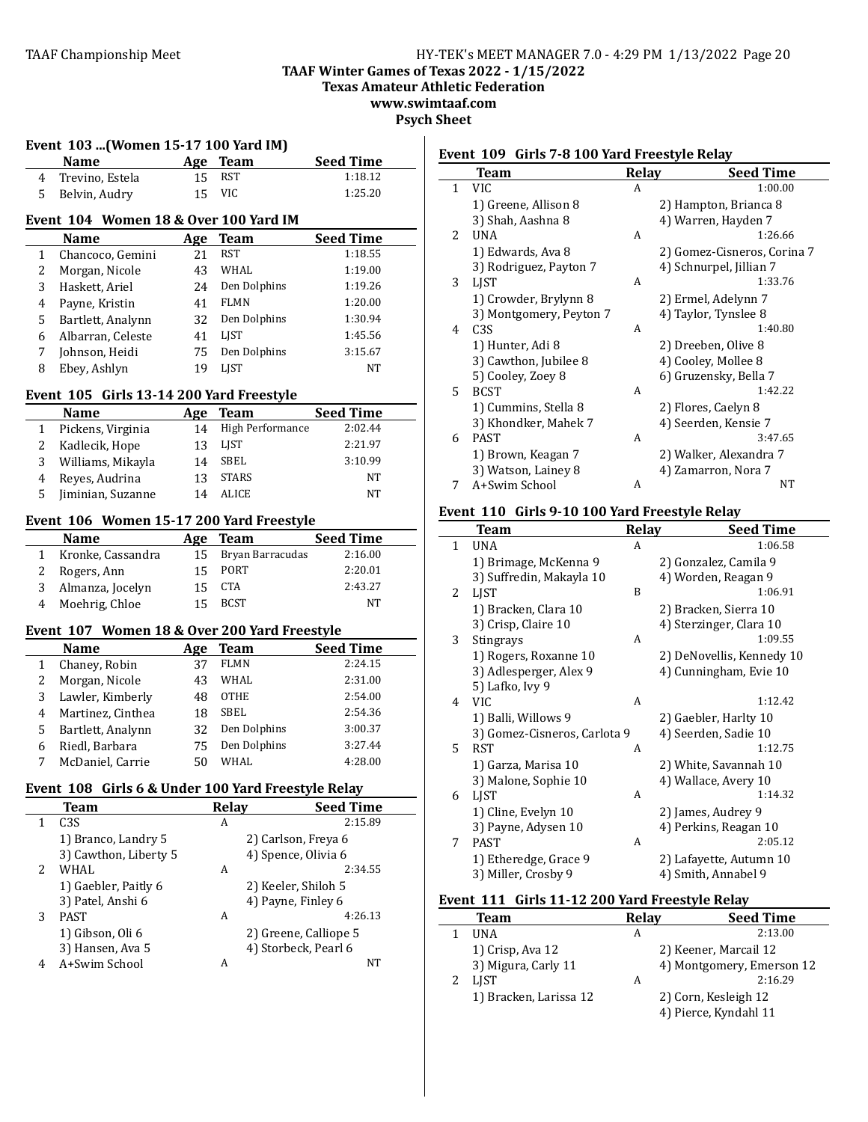**TAAF Winter Games of Texas 2022 - 1/15/2022**

**Texas Amateur Athletic Federation** 

**www.swimtaaf.com Psych Sheet**

| 4<br>5<br>1<br>2<br>3<br>4<br>5<br>6<br>7<br>8<br>1<br>2 | Name<br>Trevino, Estela<br>Belvin, Audry<br>Event 104 Women 18 & Over 100 Yard IM<br>Name<br>Chancoco, Gemini<br>Morgan, Nicole<br>Haskett, Ariel<br>Payne, Kristin<br>Bartlett, Analynn<br>Albarran, Celeste<br>Johnson, Heidi<br>Ebey, Ashlyn | 15<br>15<br>Age<br>21<br>43<br>24<br>41<br>32 | Age Team<br><b>RST</b><br><b>VIC</b><br><b>Team</b><br><b>RST</b><br>WHAL<br>Den Dolphins | <b>Seed Time</b><br>1:18.12<br>1:25.20<br><b>Seed Time</b><br>1:18.55<br>1:19.00 |
|----------------------------------------------------------|-------------------------------------------------------------------------------------------------------------------------------------------------------------------------------------------------------------------------------------------------|-----------------------------------------------|-------------------------------------------------------------------------------------------|----------------------------------------------------------------------------------|
|                                                          |                                                                                                                                                                                                                                                 |                                               |                                                                                           |                                                                                  |
|                                                          |                                                                                                                                                                                                                                                 |                                               |                                                                                           |                                                                                  |
|                                                          |                                                                                                                                                                                                                                                 |                                               |                                                                                           |                                                                                  |
|                                                          |                                                                                                                                                                                                                                                 |                                               |                                                                                           |                                                                                  |
|                                                          |                                                                                                                                                                                                                                                 |                                               |                                                                                           |                                                                                  |
|                                                          |                                                                                                                                                                                                                                                 |                                               |                                                                                           |                                                                                  |
|                                                          |                                                                                                                                                                                                                                                 |                                               |                                                                                           | 1:19.26                                                                          |
|                                                          |                                                                                                                                                                                                                                                 |                                               | <b>FLMN</b>                                                                               | 1:20.00                                                                          |
|                                                          |                                                                                                                                                                                                                                                 |                                               | Den Dolphins                                                                              | 1:30.94                                                                          |
|                                                          |                                                                                                                                                                                                                                                 | 41                                            | <b>LIST</b>                                                                               | 1:45.56                                                                          |
|                                                          |                                                                                                                                                                                                                                                 | 75                                            | Den Dolphins                                                                              | 3:15.67                                                                          |
|                                                          |                                                                                                                                                                                                                                                 | 19                                            | <b>LIST</b>                                                                               | NT                                                                               |
|                                                          | Event 105 Girls 13-14 200 Yard Freestyle                                                                                                                                                                                                        |                                               |                                                                                           |                                                                                  |
|                                                          | <b>Name</b>                                                                                                                                                                                                                                     |                                               |                                                                                           | <b>Seed Time</b>                                                                 |
|                                                          | Pickens, Virginia                                                                                                                                                                                                                               | 14                                            | Age Team<br>High Performance                                                              | 2:02.44                                                                          |
|                                                          | Kadlecik, Hope                                                                                                                                                                                                                                  | 13                                            | LJST                                                                                      | 2:21.97                                                                          |
| 3                                                        | Williams, Mikayla                                                                                                                                                                                                                               | 14                                            | SBEL                                                                                      | 3:10.99                                                                          |
| 4                                                        |                                                                                                                                                                                                                                                 | 13                                            | <b>STARS</b>                                                                              | NT                                                                               |
| 5                                                        | Reyes, Audrina<br>Jiminian, Suzanne                                                                                                                                                                                                             | 14                                            | <b>ALICE</b>                                                                              | NT                                                                               |
|                                                          |                                                                                                                                                                                                                                                 |                                               |                                                                                           |                                                                                  |
|                                                          | Event 106 Women 15-17 200 Yard Freestyle<br><b>Name</b>                                                                                                                                                                                         |                                               | <b>Team</b>                                                                               | <b>Seed Time</b>                                                                 |
| 1                                                        | Kronke, Cassandra                                                                                                                                                                                                                               | Age<br>15                                     | Bryan Barracudas                                                                          | 2:16.00                                                                          |
| 2                                                        | Rogers, Ann                                                                                                                                                                                                                                     | 15                                            | PORT                                                                                      | 2:20.01                                                                          |
| 3                                                        | Almanza, Jocelyn                                                                                                                                                                                                                                | 15                                            | <b>CTA</b>                                                                                | 2:43.27                                                                          |
| 4                                                        | Moehrig, Chloe                                                                                                                                                                                                                                  | 15                                            | <b>BCST</b>                                                                               | NT                                                                               |
|                                                          |                                                                                                                                                                                                                                                 |                                               |                                                                                           |                                                                                  |
|                                                          | Event 107 Women 18 & Over 200 Yard Freestyle                                                                                                                                                                                                    |                                               |                                                                                           |                                                                                  |
|                                                          | Name                                                                                                                                                                                                                                            | Age                                           | <b>Team</b><br>FLMN                                                                       | <b>Seed Time</b><br>2:24.15                                                      |
| 1                                                        | Chaney, Robin                                                                                                                                                                                                                                   | 37                                            | WHAL                                                                                      | 2:31.00                                                                          |
| 2<br>3                                                   | Morgan, Nicole                                                                                                                                                                                                                                  | 43<br>48                                      | <b>OTHE</b>                                                                               | 2:54.00                                                                          |
|                                                          | Lawler, Kimberly                                                                                                                                                                                                                                |                                               | SBEL                                                                                      | 2:54.36                                                                          |
| 4                                                        | Martinez, Cinthea                                                                                                                                                                                                                               | 18                                            |                                                                                           |                                                                                  |
| 5                                                        | Bartlett, Analynn                                                                                                                                                                                                                               | 32                                            | Den Dolphins                                                                              | 3:00.37                                                                          |
| 6<br>7                                                   | Riedl, Barbara                                                                                                                                                                                                                                  | 75                                            | Den Dolphins<br>WHAL                                                                      | 3:27.44<br>4:28.00                                                               |
|                                                          | McDaniel, Carrie                                                                                                                                                                                                                                | 50                                            |                                                                                           |                                                                                  |
|                                                          | Event 108 Girls 6 & Under 100 Yard Freestyle Relay                                                                                                                                                                                              |                                               |                                                                                           |                                                                                  |
| 1                                                        | <b>Team</b><br>C3S                                                                                                                                                                                                                              |                                               | <b>Relay</b><br>A                                                                         | <b>Seed Time</b><br>2:15.89                                                      |
|                                                          |                                                                                                                                                                                                                                                 |                                               |                                                                                           |                                                                                  |
|                                                          | 1) Branco, Landry 5                                                                                                                                                                                                                             |                                               | 2) Carlson, Freya 6                                                                       |                                                                                  |
| 2                                                        | 3) Cawthon, Liberty 5<br>WHAL                                                                                                                                                                                                                   |                                               | 4) Spence, Olivia 6<br>A                                                                  | 2:34.55                                                                          |
|                                                          | 1) Gaebler, Paitly 6                                                                                                                                                                                                                            |                                               |                                                                                           |                                                                                  |
|                                                          |                                                                                                                                                                                                                                                 |                                               | 2) Keeler, Shiloh 5<br>4) Payne, Finley 6                                                 |                                                                                  |
| 3                                                        | 3) Patel, Anshi 6<br><b>PAST</b>                                                                                                                                                                                                                |                                               | A                                                                                         | 4:26.13                                                                          |
|                                                          | 1) Gibson, Oli 6                                                                                                                                                                                                                                |                                               | 2) Greene, Calliope 5                                                                     |                                                                                  |
|                                                          | 3) Hansen, Ava 5                                                                                                                                                                                                                                |                                               | 4) Storbeck, Pearl 6                                                                      |                                                                                  |
| 4                                                        | A+Swim School                                                                                                                                                                                                                                   |                                               | A                                                                                         | NΤ                                                                               |
|                                                          |                                                                                                                                                                                                                                                 |                                               |                                                                                           |                                                                                  |

# **Event 109 Girls 7-8 100 Yard Freestyle Relay**

|              | <b>Team</b>             | <b>Relay</b> | <b>Seed Time</b>            |
|--------------|-------------------------|--------------|-----------------------------|
| $\mathbf{1}$ | <b>VIC</b>              | A            | 1:00.00                     |
|              | 1) Greene, Allison 8    |              | 2) Hampton, Brianca 8       |
|              | 3) Shah, Aashna 8       |              | 4) Warren, Hayden 7         |
| 2            | <b>UNA</b>              | A            | 1:26.66                     |
|              | 1) Edwards, Ava 8       |              | 2) Gomez-Cisneros, Corina 7 |
|              | 3) Rodriguez, Payton 7  |              | 4) Schnurpel, Jillian 7     |
| 3            | LIST                    | A            | 1:33.76                     |
|              | 1) Crowder, Brylynn 8   |              | 2) Ermel, Adelynn 7         |
|              | 3) Montgomery, Peyton 7 |              | 4) Taylor, Tynslee 8        |
| 4            | C <sub>3</sub> S        | A            | 1:40.80                     |
|              | 1) Hunter, Adi 8        |              | 2) Dreeben, Olive 8         |
|              | 3) Cawthon, Jubilee 8   |              | 4) Cooley, Mollee 8         |
|              | 5) Cooley, Zoey 8       |              | 6) Gruzensky, Bella 7       |
| 5            | <b>BCST</b>             | A            | 1:42.22                     |
|              | 1) Cummins, Stella 8    |              | 2) Flores, Caelyn 8         |
|              | 3) Khondker, Mahek 7    |              | 4) Seerden, Kensie 7        |
| 6            | <b>PAST</b>             | A            | 3:47.65                     |
|              | 1) Brown, Keagan 7      |              | 2) Walker, Alexandra 7      |
|              | 3) Watson, Lainey 8     |              | 4) Zamarron, Nora 7         |
| 7            | A+Swim School           | A            | NT                          |

# **Event 110 Girls 9-10 100 Yard Freestyle Relay**

|              | <b>Team</b>                  | Relay | <b>Seed Time</b>          |
|--------------|------------------------------|-------|---------------------------|
| $\mathbf{1}$ | <b>UNA</b>                   | A     | 1:06.58                   |
|              | 1) Brimage, McKenna 9        |       | 2) Gonzalez, Camila 9     |
|              | 3) Suffredin, Makayla 10     |       | 4) Worden, Reagan 9       |
| 2            | LIST                         | B     | 1:06.91                   |
|              | 1) Bracken, Clara 10         |       | 2) Bracken, Sierra 10     |
|              | 3) Crisp, Claire 10          |       | 4) Sterzinger, Clara 10   |
| 3            | Stingrays                    | A     | 1:09.55                   |
|              | 1) Rogers, Roxanne 10        |       | 2) DeNovellis, Kennedy 10 |
|              | 3) Adlesperger, Alex 9       |       | 4) Cunningham, Evie 10    |
|              | 5) Lafko, Ivy 9              |       |                           |
| 4            | <b>VIC</b>                   | A     | 1:12.42                   |
|              | 1) Balli, Willows 9          |       | 2) Gaebler, Harlty 10     |
|              | 3) Gomez-Cisneros, Carlota 9 |       | 4) Seerden, Sadie 10      |
| 5.           | <b>RST</b>                   | A     | 1:12.75                   |
|              | 1) Garza, Marisa 10          |       | 2) White, Savannah 10     |
|              | 3) Malone, Sophie 10         |       | 4) Wallace, Avery 10      |
| 6            | LJST                         | A     | 1:14.32                   |
|              | 1) Cline, Evelyn 10          |       | 2) James, Audrey 9        |
|              | 3) Payne, Adysen 10          |       | 4) Perkins, Reagan 10     |
| 7            | <b>PAST</b>                  | A     | 2:05.12                   |
|              | 1) Etheredge, Grace 9        |       | 2) Lafayette, Autumn 10   |
|              | 3) Miller, Crosby 9          |       | 4) Smith, Annabel 9       |
|              |                              |       |                           |

# **Event 111 Girls 11-12 200 Yard Freestyle Relay**

| Team                   | <b>Relay</b> | <b>Seed Time</b>          |
|------------------------|--------------|---------------------------|
| <b>IJNA</b>            | А            | 2:13.00                   |
| 1) Crisp, Ava 12       |              | 2) Keener, Marcail 12     |
| 3) Migura, Carly 11    |              | 4) Montgomery, Emerson 12 |
| <b>LIST</b>            | А            | 2:16.29                   |
| 1) Bracken, Larissa 12 |              | 2) Corn, Kesleigh 12      |
|                        |              | 4) Pierce, Kyndahl 11     |